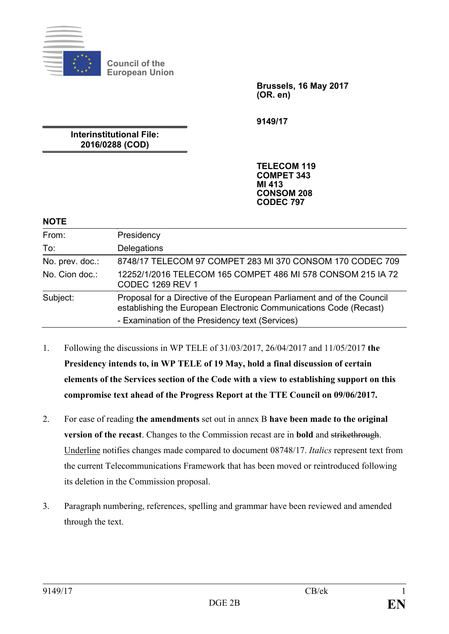

**Council of the European Union**

> **Brussels, 16 May 2017 (OR. en)**

**9149/17**

**Interinstitutional File: 2016/0288 (COD)**

> **TELECOM 119 COMPET 343 MI 413 CONSOM 208 CODEC 797**

#### **NOTE**

| From:           | Presidency                                                                                                                                  |
|-----------------|---------------------------------------------------------------------------------------------------------------------------------------------|
| To:             | Delegations                                                                                                                                 |
| No. prev. doc.: | 8748/17 TELECOM 97 COMPET 283 MI 370 CONSOM 170 CODEC 709                                                                                   |
| No. Cion doc.:  | 12252/1/2016 TELECOM 165 COMPET 486 MI 578 CONSOM 215 IA 72<br><b>CODEC 1269 REV 1</b>                                                      |
| Subject:        | Proposal for a Directive of the European Parliament and of the Council<br>establishing the European Electronic Communications Code (Recast) |
|                 | - Examination of the Presidency text (Services)                                                                                             |

- 1. Following the discussions in WP TELE of 31/03/2017, 26/04/2017 and 11/05/2017 **the Presidency intends to, in WP TELE of 19 May, hold a final discussion of certain elements of the Services section of the Code with a view to establishing support on this compromise text ahead of the Progress Report at the TTE Council on 09/06/2017.**
- 2. For ease of reading **the amendments** set out in annex B **have been made to the original version of the recast**. Changes to the Commission recast are in **bold** and strikethrough. Underline notifies changes made compared to document 08748/17. *Italics* represent text from the current Telecommunications Framework that has been moved or reintroduced following its deletion in the Commission proposal.
- 3. Paragraph numbering, references, spelling and grammar have been reviewed and amended through the text.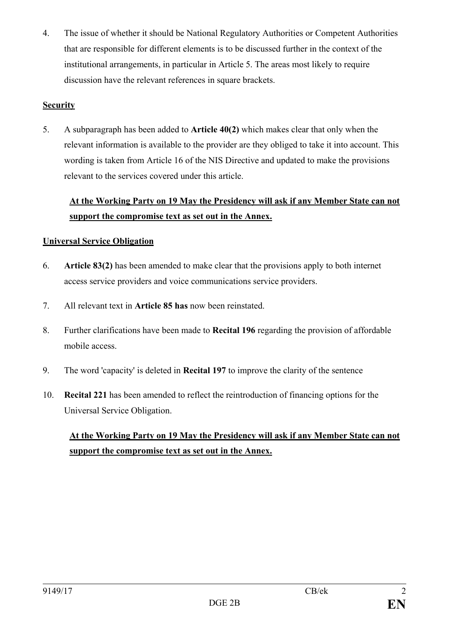4. The issue of whether it should be National Regulatory Authorities or Competent Authorities that are responsible for different elements is to be discussed further in the context of the institutional arrangements, in particular in Article 5. The areas most likely to require discussion have the relevant references in square brackets.

# **Security**

5. A subparagraph has been added to **Article 40(2)** which makes clear that only when the relevant information is available to the provider are they obliged to take it into account. This wording is taken from Article 16 of the NIS Directive and updated to make the provisions relevant to the services covered under this article.

# **At the Working Party on 19 May the Presidency will ask if any Member State can not support the compromise text as set out in the Annex.**

# **Universal Service Obligation**

- 6. **Article 83(2)** has been amended to make clear that the provisions apply to both internet access service providers and voice communications service providers.
- 7. All relevant text in **Article 85 has** now been reinstated.
- 8. Further clarifications have been made to **Recital 196** regarding the provision of affordable mobile access.
- 9. The word 'capacity' is deleted in **Recital 197** to improve the clarity of the sentence
- 10. **Recital 221** has been amended to reflect the reintroduction of financing options for the Universal Service Obligation.

**At the Working Party on 19 May the Presidency will ask if any Member State can not support the compromise text as set out in the Annex.**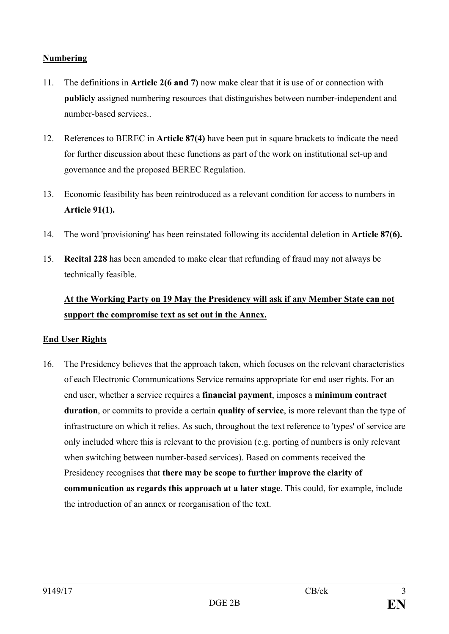# **Numbering**

- 11. The definitions in **Article 2(6 and 7)** now make clear that it is use of or connection with **publicly** assigned numbering resources that distinguishes between number-independent and number-based services..
- 12. References to BEREC in **Article 87(4)** have been put in square brackets to indicate the need for further discussion about these functions as part of the work on institutional set-up and governance and the proposed BEREC Regulation.
- 13. Economic feasibility has been reintroduced as a relevant condition for access to numbers in **Article 91(1).**
- 14. The word 'provisioning' has been reinstated following its accidental deletion in **Article 87(6).**
- 15. **Recital 228** has been amended to make clear that refunding of fraud may not always be technically feasible.

# **At the Working Party on 19 May the Presidency will ask if any Member State can not support the compromise text as set out in the Annex.**

### **End User Rights**

16. The Presidency believes that the approach taken, which focuses on the relevant characteristics of each Electronic Communications Service remains appropriate for end user rights. For an end user, whether a service requires a **financial payment**, imposes a **minimum contract duration**, or commits to provide a certain **quality of service**, is more relevant than the type of infrastructure on which it relies. As such, throughout the text reference to 'types' of service are only included where this is relevant to the provision (e.g. porting of numbers is only relevant when switching between number-based services). Based on comments received the Presidency recognises that **there may be scope to further improve the clarity of communication as regards this approach at a later stage**. This could, for example, include the introduction of an annex or reorganisation of the text.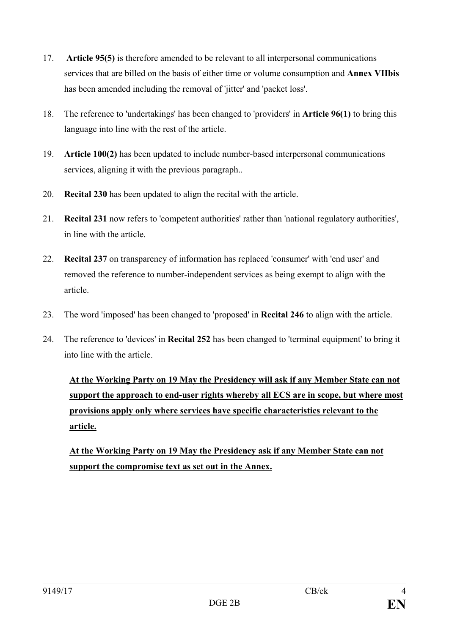- 17. **Article 95(5)** is therefore amended to be relevant to all interpersonal communications services that are billed on the basis of either time or volume consumption and **Annex VIIbis** has been amended including the removal of 'jitter' and 'packet loss'.
- 18. The reference to 'undertakings' has been changed to 'providers' in **Article 96(1)** to bring this language into line with the rest of the article.
- 19. **Article 100(2)** has been updated to include number-based interpersonal communications services, aligning it with the previous paragraph..
- 20. **Recital 230** has been updated to align the recital with the article.
- 21. **Recital 231** now refers to 'competent authorities' rather than 'national regulatory authorities', in line with the article.
- 22. **Recital 237** on transparency of information has replaced 'consumer' with 'end user' and removed the reference to number-independent services as being exempt to align with the article.
- 23. The word 'imposed' has been changed to 'proposed' in **Recital 246** to align with the article.
- 24. The reference to 'devices' in **Recital 252** has been changed to 'terminal equipment' to bring it into line with the article.

**At the Working Party on 19 May the Presidency will ask if any Member State can not support the approach to end-user rights whereby all ECS are in scope, but where most provisions apply only where services have specific characteristics relevant to the article.**

**At the Working Party on 19 May the Presidency ask if any Member State can not support the compromise text as set out in the Annex.**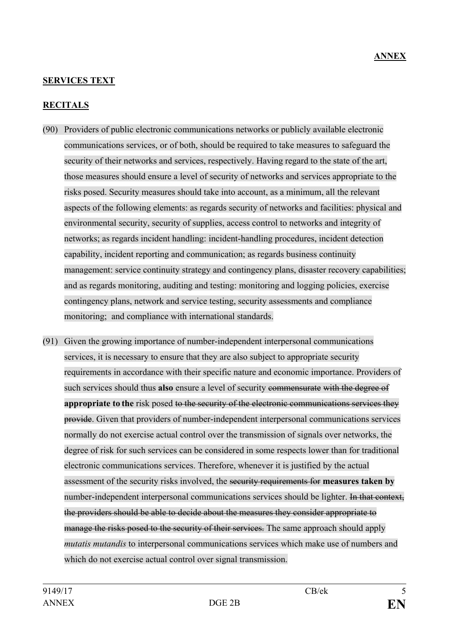#### **SERVICES TEXT**

#### **RECITALS**

- (90) Providers of public electronic communications networks or publicly available electronic communications services, or of both, should be required to take measures to safeguard the security of their networks and services, respectively. Having regard to the state of the art, those measures should ensure a level of security of networks and services appropriate to the risks posed. Security measures should take into account, as a minimum, all the relevant aspects of the following elements: as regards security of networks and facilities: physical and environmental security, security of supplies, access control to networks and integrity of networks; as regards incident handling: incident-handling procedures, incident detection capability, incident reporting and communication; as regards business continuity management: service continuity strategy and contingency plans, disaster recovery capabilities; and as regards monitoring, auditing and testing: monitoring and logging policies, exercise contingency plans, network and service testing, security assessments and compliance monitoring; and compliance with international standards.
- (91) Given the growing importance of number-independent interpersonal communications services, it is necessary to ensure that they are also subject to appropriate security requirements in accordance with their specific nature and economic importance. Providers of such services should thus **also** ensure a level of security commensurate with the degree of **appropriate to the** risk posed to the security of the electronic communications services they provide. Given that providers of number-independent interpersonal communications services normally do not exercise actual control over the transmission of signals over networks, the degree of risk for such services can be considered in some respects lower than for traditional electronic communications services. Therefore, whenever it is justified by the actual assessment of the security risks involved, the security requirements for **measures taken by** number-independent interpersonal communications services should be lighter. In that context, the providers should be able to decide about the measures they consider appropriate to manage the risks posed to the security of their services. The same approach should apply *mutatis mutandis* to interpersonal communications services which make use of numbers and which do not exercise actual control over signal transmission.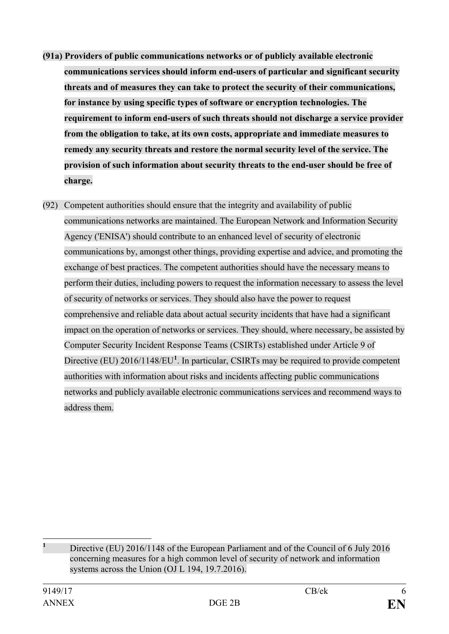- **(91a) Providers of public communications networks or of publicly available electronic communications services should inform end-users of particular and significant security threats and of measures they can take to protect the security of their communications, for instance by using specific types of software or encryption technologies. The requirement to inform end-users of such threats should not discharge a service provider from the obligation to take, at its own costs, appropriate and immediate measures to remedy any security threats and restore the normal security level of the service. The provision of such information about security threats to the end-user should be free of charge.**
- (92) Competent authorities should ensure that the integrity and availability of public communications networks are maintained. The European Network and Information Security Agency ('ENISA') should contribute to an enhanced level of security of electronic communications by, amongst other things, providing expertise and advice, and promoting the exchange of best practices. The competent authorities should have the necessary means to perform their duties, including powers to request the information necessary to assess the level of security of networks or services. They should also have the power to request comprehensive and reliable data about actual security incidents that have had a significant impact on the operation of networks or services. They should, where necessary, be assisted by Computer Security Incident Response Teams (CSIRTs) established under Article 9 of Directive (EU) 2016/1148/EU<sup>1</sup>. In particular, CSIRTs may be required to provide competent authorities with information about risks and incidents affecting public communications networks and publicly available electronic communications services and recommend ways to address them.

**<sup>1</sup>** Directive (EU) 2016/1148 of the European Parliament and of the Council of 6 July 2016 concerning measures for a high common level of security of network and information systems across the Union (OJ L 194, 19.7.2016).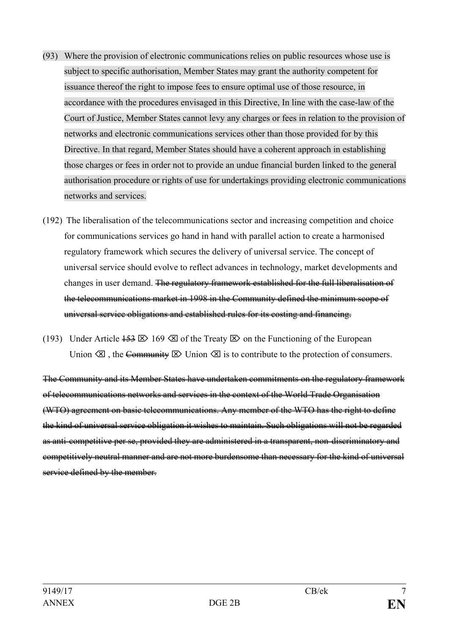- (93) Where the provision of electronic communications relies on public resources whose use is subject to specific authorisation, Member States may grant the authority competent for issuance thereof the right to impose fees to ensure optimal use of those resource, in accordance with the procedures envisaged in this Directive, In line with the case-law of the Court of Justice, Member States cannot levy any charges or fees in relation to the provision of networks and electronic communications services other than those provided for by this Directive. In that regard, Member States should have a coherent approach in establishing those charges or fees in order not to provide an undue financial burden linked to the general authorisation procedure or rights of use for undertakings providing electronic communications networks and services.
- (192) The liberalisation of the telecommunications sector and increasing competition and choice for communications services go hand in hand with parallel action to create a harmonised regulatory framework which secures the delivery of universal service. The concept of universal service should evolve to reflect advances in technology, market developments and changes in user demand. The regulatory framework established for the full liberalisation of the telecommunications market in 1998 in the Community defined the minimum scope of universal service obligations and established rules for its costing and financing.
- (193) Under Article  $\frac{153}{8}$   $\otimes$  169  $\otimes$  of the Treaty  $\otimes$  on the Functioning of the European Union  $\otimes$ , the Community  $\otimes$  Union  $\otimes$  is to contribute to the protection of consumers.

The Community and its Member States have undertaken commitments on the regulatory framework of telecommunications networks and services in the context of the World Trade Organisation (WTO) agreement on basic telecommunications. Any member of the WTO has the right to define the kind of universal service obligation it wishes to maintain. Such obligations will not be regarded as anti competitive per se, provided they are administered in a transparent, non discriminatory and competitively neutral manner and are not more burdensome than necessary for the kind of universal service defined by the member.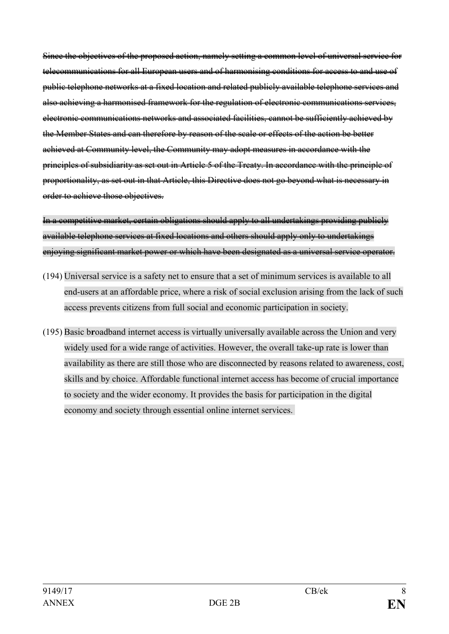Since the objectives of the proposed action, namely setting a common level of universal service for telecommunications for all European users and of harmonising conditions for access to and use of public telephone networks at a fixed location and related publicly available telephone services and also achieving a harmonised framework for the regulation of electronic communications services, electronic communications networks and associated facilities, cannot be sufficiently achieved by the Member States and can therefore by reason of the scale or effects of the action be better achieved at Community level, the Community may adopt measures in accordance with the principles of subsidiarity as set out in Article 5 of the Treaty. In accordance with the principle of proportionality, as set out in that Article, this Directive does not go beyond what is necessary in order to achieve those objectives.

In a competitive market, certain obligations should apply to all undertakings providing publicly available telephone services at fixed locations and others should apply only to undertakings enjoying significant market power or which have been designated as a universal service operator.

- (194) Universal service is a safety net to ensure that a set of minimum services is available to all end-users at an affordable price, where a risk of social exclusion arising from the lack of such access prevents citizens from full social and economic participation in society.
- (195) Basic b**r**oadband internet access is virtually universally available across the Union and very widely used for a wide range of activities. However, the overall take-up rate is lower than availability as there are still those who are disconnected by reasons related to awareness, cost, skills and by choice. Affordable functional internet access has become of crucial importance to society and the wider economy. It provides the basis for participation in the digital economy and society through essential online internet services.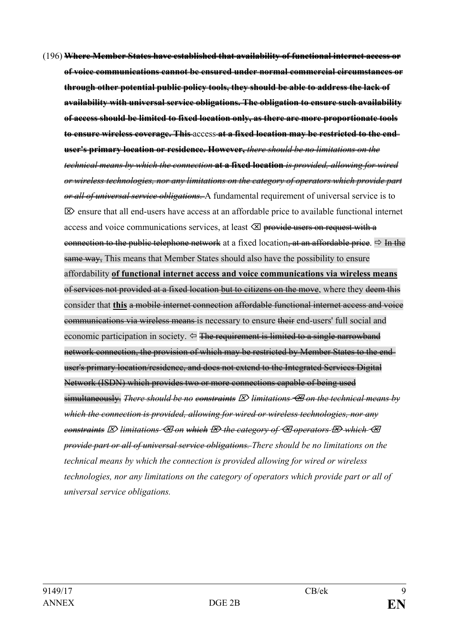(196) **Where Member States have established that availability of functional internet access or of voice communications cannot be ensured under normal commercial circumstances or through other potential public policy tools, they should be able to address the lack of availability with universal service obligations. The obligation to ensure such availability of access should be limited to fixed location only, as there are more proportionate tools to ensure wireless coverage. This** access **at a fixed location may be restricted to the end user's primary location or residence. However,** *there should be no limitations on the technical means by which the connection* **at a fixed location** *is provided, allowing for wired or wireless technologies, nor any limitations on the category of operators which provide part or all of universal service obligations.* A fundamental requirement of universal service is to  $\boxtimes$  ensure that all end-users have access at an affordable price to available functional internet access and voice communications services, at least  $\otimes$  provide users on request with a connection to the public telephone network at a fixed location, at an affordable price.  $\Rightarrow$  In the same way, This means that Member States should also have the possibility to ensure affordability **of functional internet access and voice communications via wireless means** of services not provided at a fixed location but to citizens on the move, where they deem this consider that **this** a mobile internet connection affordable functional internet access and voice communications via wireless means is necessary to ensure their end-users' full social and economic participation in society.  $\Leftrightarrow$  The requirement is limited to a single narrowband network connection, the provision of which may be restricted by Member States to the end user's primary location/residence, and does not extend to the Integrated Services Digital Network (ISDN) which provides two or more connections capable of being used simultaneously. *There should be no constraints limitations on the technical means by which the connection is provided, allowing for wired or wireless technologies, nor any constraints limitations on which the category of operators which provide part or all of universal service obligations. There should be no limitations on the technical means by which the connection is provided allowing for wired or wireless technologies, nor any limitations on the category of operators which provide part or all of universal service obligations.*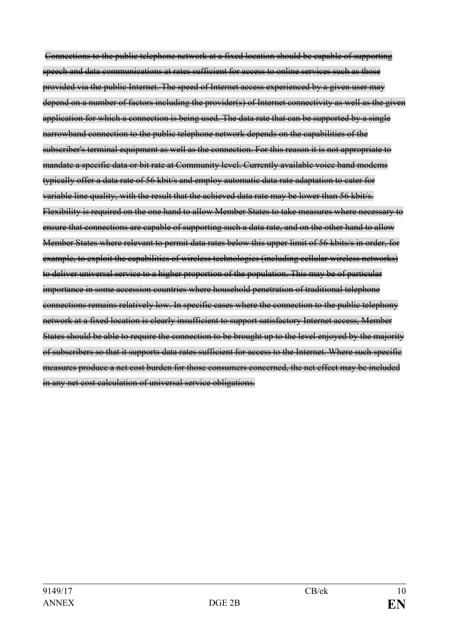Connections to the public telephone network at a fixed location should be capable of supporting speech and data communications at rates sufficient for access to online services such as those provided via the public Internet. The speed of Internet access experienced by a given user may depend on a number of factors including the provider(s) of Internet connectivity as well as the given application for which a connection is being used. The data rate that can be supported by a single narrowband connection to the public telephone network depends on the capabilities of the subscriber's terminal equipment as well as the connection. For this reason it is not appropriate to mandate a specific data or bit rate at Community level. Currently available voice band modems typically offer a data rate of 56 kbit/s and employ automatic data rate adaptation to cater for variable line quality, with the result that the achieved data rate may be lower than 56 kbit/s. Flexibility is required on the one hand to allow Member States to take measures where necessary to ensure that connections are capable of supporting such a data rate, and on the other hand to allow Member States where relevant to permit data rates below this upper limit of 56 kbits/s in order, for example, to exploit the capabilities of wireless technologies (including cellular wireless networks) to deliver universal service to a higher proportion of the population. This may be of particular importance in some accession countries where household penetration of traditional telephone connections remains relatively low. In specific cases where the connection to the public telephony network at a fixed location is clearly insufficient to support satisfactory Internet access, Member States should be able to require the connection to be brought up to the level enjoyed by the majority of subscribers so that it supports data rates sufficient for access to the Internet. Where such specific measures produce a net cost burden for those consumers concerned, the net effect may be included in any net cost calculation of universal service obligations.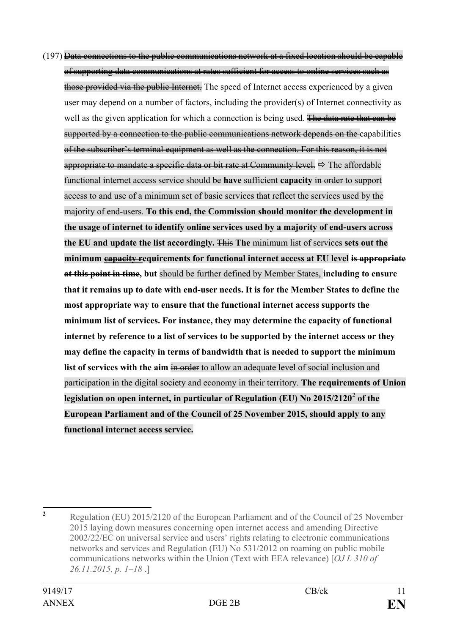(197) Data connections to the public communications network at a fixed location should be capable of supporting data communications at rates sufficient for access to online services such as those provided via the public Internet. The speed of Internet access experienced by a given user may depend on a number of factors, including the provider(s) of Internet connectivity as well as the given application for which a connection is being used. The data rate that can be supported by a connection to the public communications network depends on the capabilities of the subscriber's terminal equipment as well as the connection. For this reason, it is not appropriate to mandate a specific data or bit rate at Community level.  $\Rightarrow$  The affordable functional internet access service should be **have** sufficient **capacity** in order to support access to and use of a minimum set of basic services that reflect the services used by the majority of end-users. **To this end, the Commission should monitor the development in the usage of internet to identify online services used by a majority of end-users across the EU and update the list accordingly.** This **The** minimum list of services **sets out the minimum capacity requirements for functional internet access at EU level is appropriate at this point in time, but** should be further defined by Member States, **including to ensure that it remains up to date with end-user needs. It is for the Member States to define the most appropriate way to ensure that the functional internet access supports the minimum list of services. For instance, they may determine the capacity of functional internet by reference to a list of services to be supported by the internet access or they may define the capacity in terms of bandwidth that is needed to support the minimum list of services with the aim** in order to allow an adequate level of social inclusion and participation in the digital society and economy in their territory. **The requirements of Union legislation on open internet, in particular of Regulation (EU) No 2015/2120**<sup>2</sup> **of the European Parliament and of the Council of 25 November 2015, should apply to any functional internet access service.**

**<sup>2</sup>** Regulation (EU) 2015/2120 of the European Parliament and of the Council of 25 November 2015 laying down measures concerning open internet access and amending Directive 2002/22/EC on universal service and users' rights relating to electronic communications networks and services and Regulation (EU) No 531/2012 on roaming on public mobile communications networks within the Union (Text with EEA relevance) [*OJ L 310 of 26.11.2015, p. 1–18* .]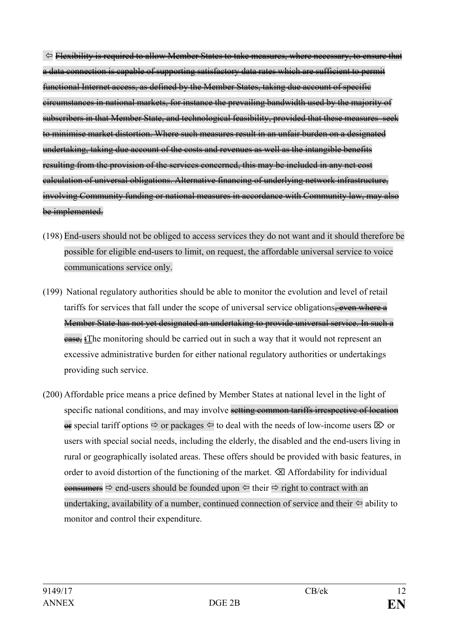$\Diamond$  Flexibility is required to allow Member States to take measures, where necessary, to ensure that a data connection is capable of supporting satisfactory data rates which are sufficient to permit functional Internet access, as defined by the Member States, taking due account of specific circumstances in national markets, for instance the prevailing bandwidth used by the majority of subscribers in that Member State, and technological feasibility, provided that these measures seek to minimise market distortion. Where such measures result in an unfair burden on a designated undertaking, taking due account of the costs and revenues as well as the intangible benefits resulting from the provision of the services concerned, this may be included in any net cost calculation of universal obligations. Alternative financing of underlying network infrastructure, involving Community funding or national measures in accordance with Community law, may also be implemented.

- (198) End-users should not be obliged to access services they do not want and it should therefore be possible for eligible end-users to limit, on request, the affordable universal service to voice communications service only.
- (199) National regulatory authorities should be able to monitor the evolution and level of retail tariffs for services that fall under the scope of universal service obligations, even where a Member State has not yet designated an undertaking to provide universal service. In such a  $\frac{1}{\sqrt{1-\frac{1}{\sqrt{1-\frac{1}{\sqrt{1-\frac{1}{\sqrt{1-\frac{1}{\sqrt{1-\frac{1}{\sqrt{1-\frac{1}{\sqrt{1-\frac{1}{\sqrt{1-\frac{1}{\sqrt{1-\frac{1}{\sqrt{1-\frac{1}{\sqrt{1-\frac{1}{\sqrt{1-\frac{1}{\sqrt{1-\frac{1}{\sqrt{1-\frac{1}{\sqrt{1-\frac{1}{\sqrt{1-\frac{1}{\sqrt{1-\frac{1}{\sqrt{1-\frac{1}{\sqrt{1-\frac{1}{\sqrt{1-\frac{1}{\sqrt{1-\frac{1}{\sqrt{1-\frac{1}{\sqrt{1-\frac{1}{\sqrt{1-\frac{1$ excessive administrative burden for either national regulatory authorities or undertakings providing such service.
- (200) Affordable price means a price defined by Member States at national level in the light of specific national conditions, and may involve setting common tariffs irrespective of location  $\Theta$  special tariff options  $\Rightarrow$  or packages  $\Leftrightarrow$  to deal with the needs of low-income users  $\boxtimes$  or users with special social needs, including the elderly, the disabled and the end-users living in rural or geographically isolated areas. These offers should be provided with basic features, in order to avoid distortion of the functioning of the market.  $\boxtimes$  Affordability for individual consumers  $\Rightarrow$  end-users should be founded upon  $\Leftrightarrow$  their  $\Leftrightarrow$  right to contract with an undertaking, availability of a number, continued connection of service and their  $\Leftrightarrow$  ability to monitor and control their expenditure.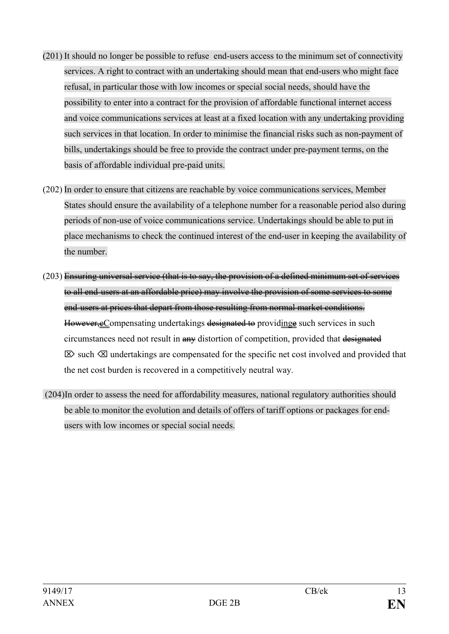- (201) It should no longer be possible to refuse end-users access to the minimum set of connectivity services. A right to contract with an undertaking should mean that end-users who might face refusal, in particular those with low incomes or special social needs, should have the possibility to enter into a contract for the provision of affordable functional internet access and voice communications services at least at a fixed location with any undertaking providing such services in that location. In order to minimise the financial risks such as non-payment of bills, undertakings should be free to provide the contract under pre-payment terms, on the basis of affordable individual pre-paid units.
- (202) In order to ensure that citizens are reachable by voice communications services, Member States should ensure the availability of a telephone number for a reasonable period also during periods of non-use of voice communications service. Undertakings should be able to put in place mechanisms to check the continued interest of the end-user in keeping the availability of the number.
- (203) Ensuring universal service (that is to say, the provision of a defined minimum set of services to all end users at an affordable price) may involve the provision of some services to some end users at prices that depart from those resulting from normal market conditions. However, eCompensating undertakings designated to providing esuch services in such circumstances need not result in  $\frac{m}{n}$  distortion of competition, provided that designated  $\boxtimes$  such  $\boxtimes$  undertakings are compensated for the specific net cost involved and provided that the net cost burden is recovered in a competitively neutral way.
- (204)In order to assess the need for affordability measures, national regulatory authorities should be able to monitor the evolution and details of offers of tariff options or packages for endusers with low incomes or special social needs.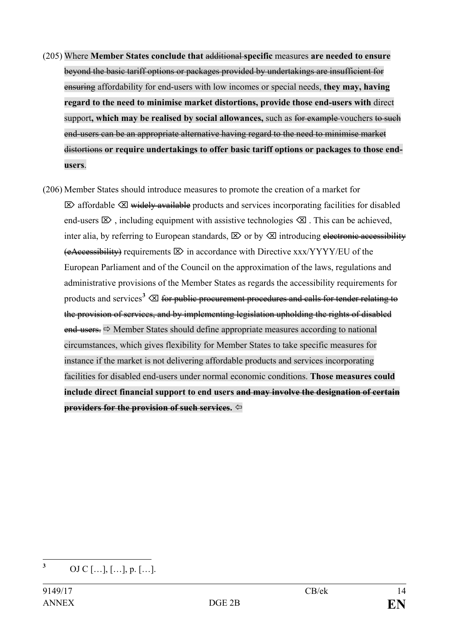- (205) Where **Member States conclude that** additional **specific** measures **are needed to ensure**  beyond the basic tariff options or packages provided by undertakings are insufficient for ensuring affordability for end-users with low incomes or special needs, **they may, having regard to the need to minimise market distortions, provide those end-users with** direct support**, which may be realised by social allowances,** such as for example vouchers to such end-users can be an appropriate alternative having regard to the need to minimise market distortions **or require undertakings to offer basic tariff options or packages to those endusers**.
- (206) Member States should introduce measures to promote the creation of a market for  $\boxtimes$  affordable  $\boxtimes$  widely available products and services incorporating facilities for disabled end-users  $\boxtimes$ , including equipment with assistive technologies  $\boxtimes$ . This can be achieved, inter alia, by referring to European standards,  $\boxtimes$  or by  $\boxtimes$  introducing electronic accessibility  $\left(\frac{eA}{YYYY}{YEU}\right)$  requirements  $\infty$  in accordance with Directive xxx/YYYY/EU of the European Parliament and of the Council on the approximation of the laws, regulations and administrative provisions of the Member States as regards the accessibility requirements for products and services<sup>3</sup>  $\otimes$  for public procurement procedures and calls for tender relating to the provision of services, and by implementing legislation upholding the rights of disabled  $\theta$  end users.  $\Rightarrow$  Member States should define appropriate measures according to national circumstances, which gives flexibility for Member States to take specific measures for instance if the market is not delivering affordable products and services incorporating facilities for disabled end-users under normal economic conditions. **Those measures could include direct financial support to end users and may involve the designation of certain providers for the provision of such services.**

 $\overline{3}$ **<sup>3</sup>** OJ C […], […], p. […].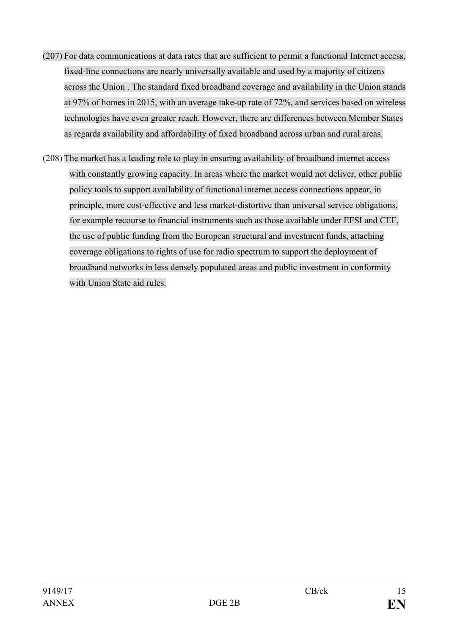- (207) For data communications at data rates that are sufficient to permit a functional Internet access, fixed-line connections are nearly universally available and used by a majority of citizens across the Union . The standard fixed broadband coverage and availability in the Union stands at 97% of homes in 2015, with an average take-up rate of 72%, and services based on wireless technologies have even greater reach. However, there are differences between Member States as regards availability and affordability of fixed broadband across urban and rural areas.
- (208) The market has a leading role to play in ensuring availability of broadband internet access with constantly growing capacity. In areas where the market would not deliver, other public policy tools to support availability of functional internet access connections appear, in principle, more cost-effective and less market-distortive than universal service obligations, for example recourse to financial instruments such as those available under EFSI and CEF, the use of public funding from the European structural and investment funds, attaching coverage obligations to rights of use for radio spectrum to support the deployment of broadband networks in less densely populated areas and public investment in conformity with Union State aid rules.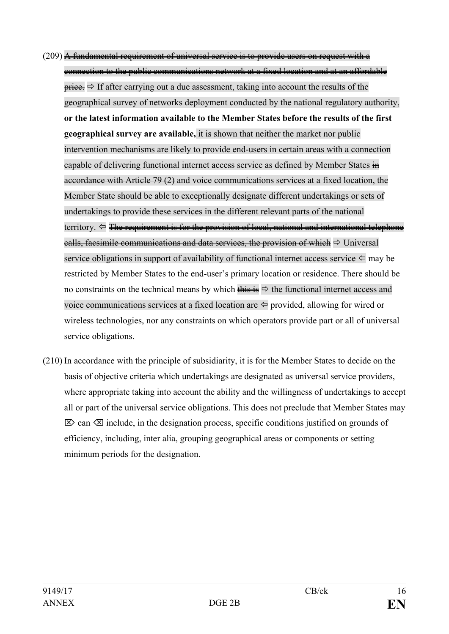- (209) A fundamental requirement of universal service is to provide users on request with a connection to the public communications network at a fixed location and at an affordable  $\overline{\text{price}}$   $\Rightarrow$  If after carrying out a due assessment, taking into account the results of the geographical survey of networks deployment conducted by the national regulatory authority, **or the latest information available to the Member States before the results of the first geographical survey are available,** it is shown that neither the market nor public intervention mechanisms are likely to provide end-users in certain areas with a connection capable of delivering functional internet access service as defined by Member States in accordance with Article 79 (2) and voice communications services at a fixed location, the Member State should be able to exceptionally designate different undertakings or sets of undertakings to provide these services in the different relevant parts of the national territory.  $\Diamond$  The requirement is for the provision of local, national and international telephone ealls, facsimile communications and data services, the provision of which  $\Rightarrow$  Universal service obligations in support of availability of functional internet access service  $\Leftrightarrow$  may be restricted by Member States to the end-user's primary location or residence. There should be no constraints on the technical means by which  $\frac{1}{\text{this is}}$   $\Rightarrow$  the functional internet access and voice communications services at a fixed location are  $\Leftrightarrow$  provided, allowing for wired or wireless technologies, nor any constraints on which operators provide part or all of universal service obligations.
- (210) In accordance with the principle of subsidiarity, it is for the Member States to decide on the basis of objective criteria which undertakings are designated as universal service providers, where appropriate taking into account the ability and the willingness of undertakings to accept all or part of the universal service obligations. This does not preclude that Member States  $\frac{m}{m}$  $\boxtimes$  can  $\boxtimes$  include, in the designation process, specific conditions justified on grounds of efficiency, including, inter alia, grouping geographical areas or components or setting minimum periods for the designation.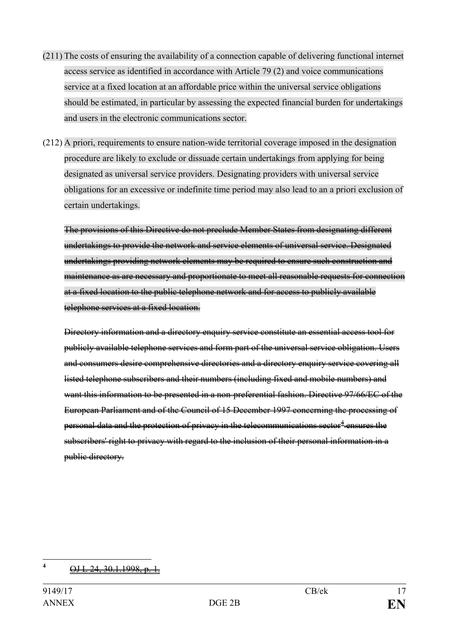- (211) The costs of ensuring the availability of a connection capable of delivering functional internet access service as identified in accordance with Article 79 (2) and voice communications service at a fixed location at an affordable price within the universal service obligations should be estimated, in particular by assessing the expected financial burden for undertakings and users in the electronic communications sector.
- (212) A priori, requirements to ensure nation-wide territorial coverage imposed in the designation procedure are likely to exclude or dissuade certain undertakings from applying for being designated as universal service providers. Designating providers with universal service obligations for an excessive or indefinite time period may also lead to an a priori exclusion of certain undertakings.

The provisions of this Directive do not preclude Member States from designating different undertakings to provide the network and service elements of universal service. Designated undertakings providing network elements may be required to ensure such construction and maintenance as are necessary and proportionate to meet all reasonable requests for connection at a fixed location to the public telephone network and for access to publicly available telephone services at a fixed location.

Directory information and a directory enquiry service constitute an essential access tool for publicly available telephone services and form part of the universal service obligation. Users and consumers desire comprehensive directories and a directory enquiry service covering all listed telephone subscribers and their numbers (including fixed and mobile numbers) and want this information to be presented in a non preferential fashion. Directive 97/66/EC of the European Parliament and of the Council of 15 December 1997 concerning the processing of personal data and the protection of privacy in the telecommunications sector<sup>4</sup> ensures the subscribers' right to privacy with regard to the inclusion of their personal information in a public directory.

**4**

 $\Theta$ J L 24, 30, 1, 1998, p. 1.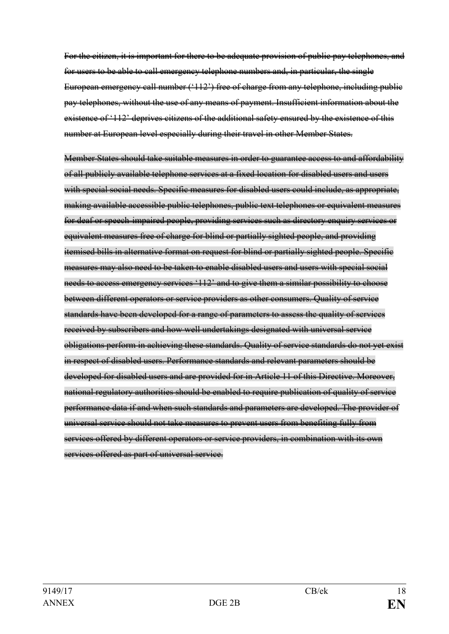For the citizen, it is important for there to be adequate provision of public pay telephones, and for users to be able to call emergency telephone numbers and, in particular, the single European emergency call number ('112') free of charge from any telephone, including public pay telephones, without the use of any means of payment. Insufficient information about the existence of '112' deprives citizens of the additional safety ensured by the existence of this number at European level especially during their travel in other Member States.

Member States should take suitable measures in order to guarantee access to and affordability of all publicly available telephone services at a fixed location for disabled users and users with special social needs. Specific measures for disabled users could include, as appropriate, making available accessible public telephones, public text telephones or equivalent measures for deaf or speech impaired people, providing services such as directory enquiry services or equivalent measures free of charge for blind or partially sighted people, and providing itemised bills in alternative format on request for blind or partially sighted people. Specific measures may also need to be taken to enable disabled users and users with special social needs to access emergency services '112' and to give them a similar possibility to choose between different operators or service providers as other consumers. Quality of service standards have been developed for a range of parameters to assess the quality of services received by subscribers and how well undertakings designated with universal service obligations perform in achieving these standards. Quality of service standards do not yet exist in respect of disabled users. Performance standards and relevant parameters should be developed for disabled users and are provided for in Article 11 of this Directive. Moreover, national regulatory authorities should be enabled to require publication of quality of service performance data if and when such standards and parameters are developed. The provider of universal service should not take measures to prevent users from benefiting fully from services offered by different operators or service providers, in combination with its own services offered as part of universal service.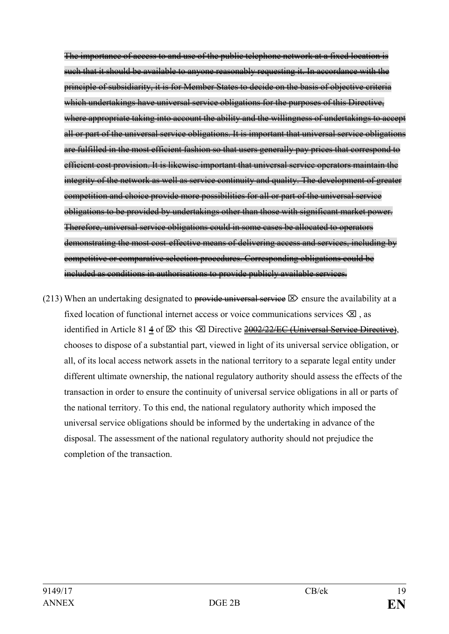The importance of access to and use of the public telephone network at a fixed location is such that it should be available to anyone reasonably requesting it. In accordance with the principle of subsidiarity, it is for Member States to decide on the basis of objective criteria which undertakings have universal service obligations for the purposes of this Directive, where appropriate taking into account the ability and the willingness of undertakings to accept all or part of the universal service obligations. It is important that universal service obligations are fulfilled in the most efficient fashion so that users generally pay prices that correspond to efficient cost provision. It is likewise important that universal service operators maintain the integrity of the network as well as service continuity and quality. The development of greater competition and choice provide more possibilities for all or part of the universal service obligations to be provided by undertakings other than those with significant market power. Therefore, universal service obligations could in some cases be allocated to operators demonstrating the most cost effective means of delivering access and services, including by competitive or comparative selection procedures. Corresponding obligations could be included as conditions in authorisations to provide publicly available services.

(213) When an undertaking designated to provide universal service  $\boxtimes$  ensure the availability at a fixed location of functional internet access or voice communications services  $\otimes$ , as identified in Article 81 4 of  $\boxtimes$  this  $\boxtimes$  Directive 2002/22/EC (Universal Service Directive), chooses to dispose of a substantial part, viewed in light of its universal service obligation, or all, of its local access network assets in the national territory to a separate legal entity under different ultimate ownership, the national regulatory authority should assess the effects of the transaction in order to ensure the continuity of universal service obligations in all or parts of the national territory. To this end, the national regulatory authority which imposed the universal service obligations should be informed by the undertaking in advance of the disposal. The assessment of the national regulatory authority should not prejudice the completion of the transaction.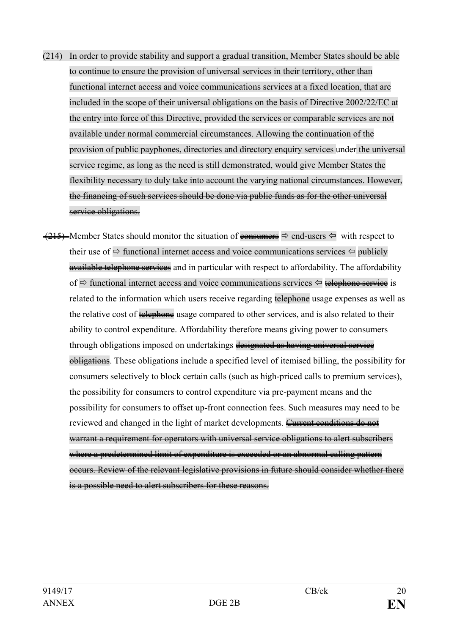- (214) In order to provide stability and support a gradual transition, Member States should be able to continue to ensure the provision of universal services in their territory, other than functional internet access and voice communications services at a fixed location, that are included in the scope of their universal obligations on the basis of Directive 2002/22/EC at the entry into force of this Directive, provided the services or comparable services are not available under normal commercial circumstances. Allowing the continuation of the provision of public payphones, directories and directory enquiry services under the universal service regime, as long as the need is still demonstrated, would give Member States the flexibility necessary to duly take into account the varying national circumstances. However, the financing of such services should be done via public funds as for the other universal service obligations.
- $\leftarrow$  (215) Member States should monitor the situation of consumers  $\Rightarrow$  end-users  $\Leftarrow$  with respect to their use of  $\Rightarrow$  functional internet access and voice communications services  $\Leftarrow$  publicly available telephone services and in particular with respect to affordability. The affordability of  $\Rightarrow$  functional internet access and voice communications services  $\Leftarrow$  telephone service is related to the information which users receive regarding telephone usage expenses as well as the relative cost of telephone usage compared to other services, and is also related to their ability to control expenditure. Affordability therefore means giving power to consumers through obligations imposed on undertakings designated as having universal service obligations. These obligations include a specified level of itemised billing, the possibility for consumers selectively to block certain calls (such as high-priced calls to premium services), the possibility for consumers to control expenditure via pre-payment means and the possibility for consumers to offset up-front connection fees. Such measures may need to be reviewed and changed in the light of market developments. Current conditions do not warrant a requirement for operators with universal service obligations to alert subscribers where a predetermined limit of expenditure is exceeded or an abnormal calling pattern occurs. Review of the relevant legislative provisions in future should consider whether there is a possible need to alert subscribers for these reasons.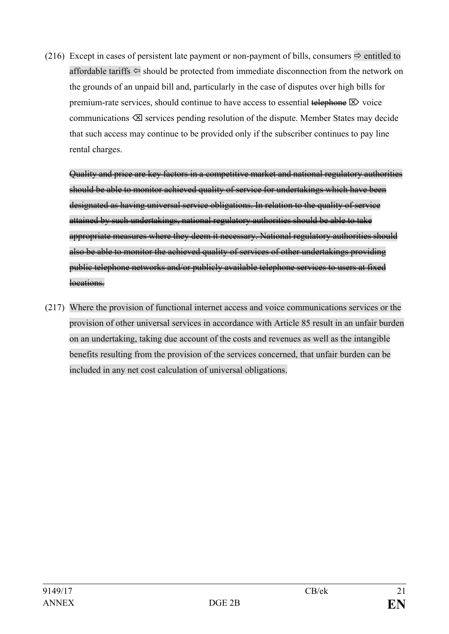(216) Except in cases of persistent late payment or non-payment of bills, consumers  $\Rightarrow$  entitled to affordable tariffs  $\Leftrightarrow$  should be protected from immediate disconnection from the network on the grounds of an unpaid bill and, particularly in the case of disputes over high bills for premium-rate services, should continue to have access to essential telephone  $\boxtimes$  voice communications  $\otimes$  services pending resolution of the dispute. Member States may decide that such access may continue to be provided only if the subscriber continues to pay line rental charges.

Quality and price are key factors in a competitive market and national regulatory authorities should be able to monitor achieved quality of service for undertakings which have been designated as having universal service obligations. In relation to the quality of service attained by such undertakings, national regulatory authorities should be able to take appropriate measures where they deem it necessary. National regulatory authorities should also be able to monitor the achieved quality of services of other undertakings providing public telephone networks and/or publicly available telephone services to users at fixed locations.

(217) Where the provision of functional internet access and voice communications services or the provision of other universal services in accordance with Article 85 result in an unfair burden on an undertaking, taking due account of the costs and revenues as well as the intangible benefits resulting from the provision of the services concerned, that unfair burden can be included in any net cost calculation of universal obligations.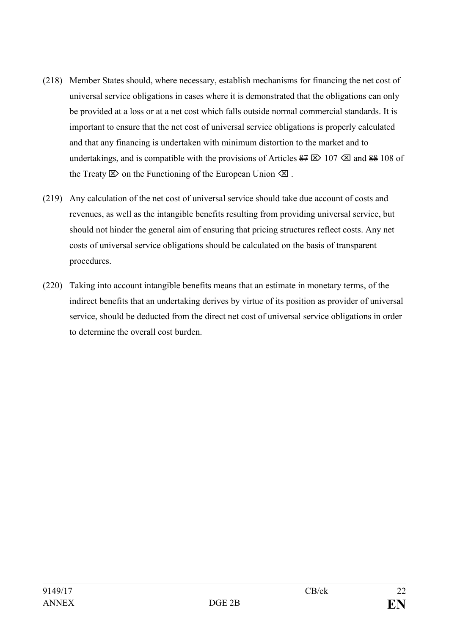- (218) Member States should, where necessary, establish mechanisms for financing the net cost of universal service obligations in cases where it is demonstrated that the obligations can only be provided at a loss or at a net cost which falls outside normal commercial standards. It is important to ensure that the net cost of universal service obligations is properly calculated and that any financing is undertaken with minimum distortion to the market and to undertakings, and is compatible with the provisions of Articles  $\frac{12}{2}$   $\boxtimes$  107  $\otimes$  and  $\frac{12}{2}$  and 88 108 of the Treaty  $\boxtimes$  on the Functioning of the European Union  $\boxtimes$ .
- (219) Any calculation of the net cost of universal service should take due account of costs and revenues, as well as the intangible benefits resulting from providing universal service, but should not hinder the general aim of ensuring that pricing structures reflect costs. Any net costs of universal service obligations should be calculated on the basis of transparent procedures.
- (220) Taking into account intangible benefits means that an estimate in monetary terms, of the indirect benefits that an undertaking derives by virtue of its position as provider of universal service, should be deducted from the direct net cost of universal service obligations in order to determine the overall cost burden.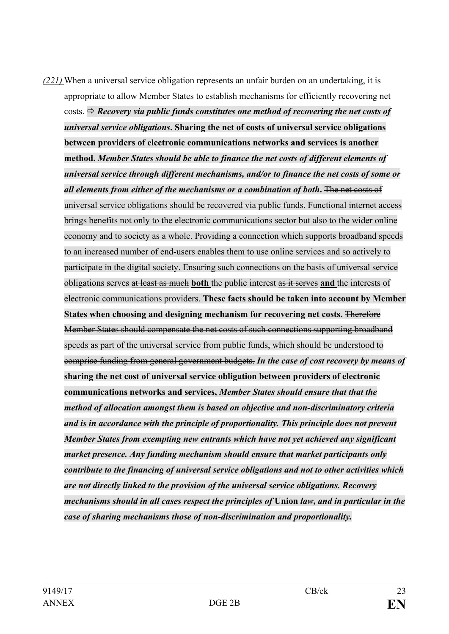*(221)* When a universal service obligation represents an unfair burden on an undertaking, it is appropriate to allow Member States to establish mechanisms for efficiently recovering net  $costs. \Rightarrow$  *Recovery via public funds constitutes one method of recovering the net costs of universal service obligations***. Sharing the net of costs of universal service obligations between providers of electronic communications networks and services is another method.** *Member States should be able to finance the net costs of different elements of universal service through different mechanisms, and/or to finance the net costs of some or all elements from either of the mechanisms or a combination of both***.** The net costs of universal service obligations should be recovered via public funds. Functional internet access brings benefits not only to the electronic communications sector but also to the wider online economy and to society as a whole. Providing a connection which supports broadband speeds to an increased number of end-users enables them to use online services and so actively to participate in the digital society. Ensuring such connections on the basis of universal service obligations serves at least as much **both** the public interest as it serves **and** the interests of electronic communications providers. **These facts should be taken into account by Member States when choosing and designing mechanism for recovering net costs.** Therefore Member States should compensate the net costs of such connections supporting broadband speeds as part of the universal service from public funds, which should be understood to comprise funding from general government budgets. *In the case of cost recovery by means of* **sharing the net cost of universal service obligation between providers of electronic communications networks and services,** *Member States should ensure that that the method of allocation amongst them is based on objective and non-discriminatory criteria and is in accordance with the principle of proportionality. This principle does not prevent Member States from exempting new entrants which have not yet achieved any significant market presence. Any funding mechanism should ensure that market participants only contribute to the financing of universal service obligations and not to other activities which are not directly linked to the provision of the universal service obligations. Recovery mechanisms should in all cases respect the principles of* **Union** *law, and in particular in the case of sharing mechanisms those of non-discrimination and proportionality.*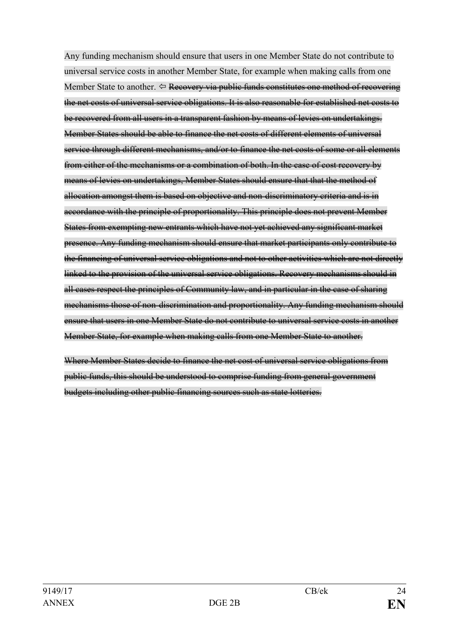Any funding mechanism should ensure that users in one Member State do not contribute to universal service costs in another Member State, for example when making calls from one Member State to another.  $\Leftarrow$  Recovery via public funds constitutes one method of recovering the net costs of universal service obligations. It is also reasonable for established net costs to be recovered from all users in a transparent fashion by means of levies on undertakings. Member States should be able to finance the net costs of different elements of universal service through different mechanisms, and/or to finance the net costs of some or all elements from either of the mechanisms or a combination of both. In the case of cost recovery by means of levies on undertakings, Member States should ensure that that the method of allocation amongst them is based on objective and non discriminatory criteria and is in accordance with the principle of proportionality. This principle does not prevent Member States from exempting new entrants which have not yet achieved any significant market presence. Any funding mechanism should ensure that market participants only contribute to the financing of universal service obligations and not to other activities which are not directly linked to the provision of the universal service obligations. Recovery mechanisms should in all cases respect the principles of Community law, and in particular in the case of sharing mechanisms those of non discrimination and proportionality. Any funding mechanism should ensure that users in one Member State do not contribute to universal service costs in another Member State, for example when making calls from one Member State to another.

Where Member States decide to finance the net cost of universal service obligations from public funds, this should be understood to comprise funding from general government budgets including other public financing sources such as state lotteries.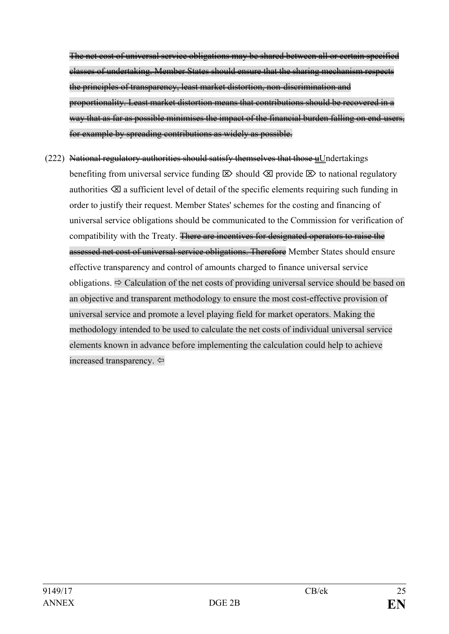The net cost of universal service obligations may be shared between all or certain specified classes of undertaking. Member States should ensure that the sharing mechanism respects the principles of transparency, least market distortion, non-discrimination and proportionality. Least market distortion means that contributions should be recovered in a way that as far as possible minimises the impact of the financial burden falling on end users, for example by spreading contributions as widely as possible.

(222) National regulatory authorities should satisfy themselves that those  $\underline{u}$ Undertakings benefiting from universal service funding  $\boxtimes$  should  $\boxtimes$  provide  $\boxtimes$  to national regulatory authorities  $\otimes$  a sufficient level of detail of the specific elements requiring such funding in order to justify their request. Member States' schemes for the costing and financing of universal service obligations should be communicated to the Commission for verification of compatibility with the Treaty. There are incentives for designated operators to raise the assessed net cost of universal service obligations. Therefore Member States should ensure effective transparency and control of amounts charged to finance universal service obligations.  $\Rightarrow$  Calculation of the net costs of providing universal service should be based on an objective and transparent methodology to ensure the most cost-effective provision of universal service and promote a level playing field for market operators. Making the methodology intended to be used to calculate the net costs of individual universal service elements known in advance before implementing the calculation could help to achieve increased transparency. ⇔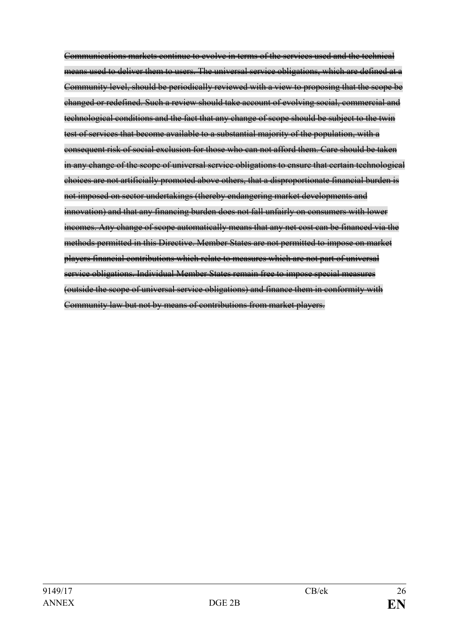Communications markets continue to evolve in terms of the services used and the technical means used to deliver them to users. The universal service obligations, which are defined at a Community level, should be periodically reviewed with a view to proposing that the scope be changed or redefined. Such a review should take account of evolving social, commercial and technological conditions and the fact that any change of scope should be subject to the twin test of services that become available to a substantial majority of the population, with a consequent risk of social exclusion for those who can not afford them. Care should be taken in any change of the scope of universal service obligations to ensure that certain technological choices are not artificially promoted above others, that a disproportionate financial burden is not imposed on sector undertakings (thereby endangering market developments and innovation) and that any financing burden does not fall unfairly on consumers with lower incomes. Any change of scope automatically means that any net cost can be financed via the methods permitted in this Directive. Member States are not permitted to impose on market players financial contributions which relate to measures which are not part of universal service obligations. Individual Member States remain free to impose special measures (outside the scope of universal service obligations) and finance them in conformity with Community law but not by means of contributions from market players.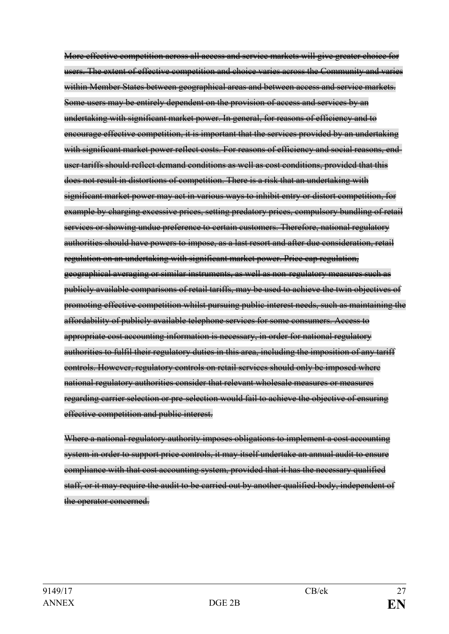More effective competition across all access and service markets will give greater choice for users. The extent of effective competition and choice varies across the Community and varies within Member States between geographical areas and between access and service markets. Some users may be entirely dependent on the provision of access and services by an undertaking with significant market power. In general, for reasons of efficiency and to encourage effective competition, it is important that the services provided by an undertaking with significant market power reflect costs. For reasons of efficiency and social reasons, enduser tariffs should reflect demand conditions as well as cost conditions, provided that this does not result in distortions of competition. There is a risk that an undertaking with significant market power may act in various ways to inhibit entry or distort competition, for example by charging excessive prices, setting predatory prices, compulsory bundling of retail services or showing undue preference to certain customers. Therefore, national regulatory authorities should have powers to impose, as a last resort and after due consideration, retail regulation on an undertaking with significant market power. Price cap regulation, geographical averaging or similar instruments, as well as non regulatory measures such as publicly available comparisons of retail tariffs, may be used to achieve the twin objectives of promoting effective competition whilst pursuing public interest needs, such as maintaining the affordability of publicly available telephone services for some consumers. Access to appropriate cost accounting information is necessary, in order for national regulatory authorities to fulfil their regulatory duties in this area, including the imposition of any tariff controls. However, regulatory controls on retail services should only be imposed where national regulatory authorities consider that relevant wholesale measures or measures regarding carrier selection or pre selection would fail to achieve the objective of ensuring effective competition and public interest.

Where a national regulatory authority imposes obligations to implement a cost accounting system in order to support price controls, it may itself undertake an annual audit to ensure compliance with that cost accounting system, provided that it has the necessary qualified staff, or it may require the audit to be carried out by another qualified body, independent of the operator concerned.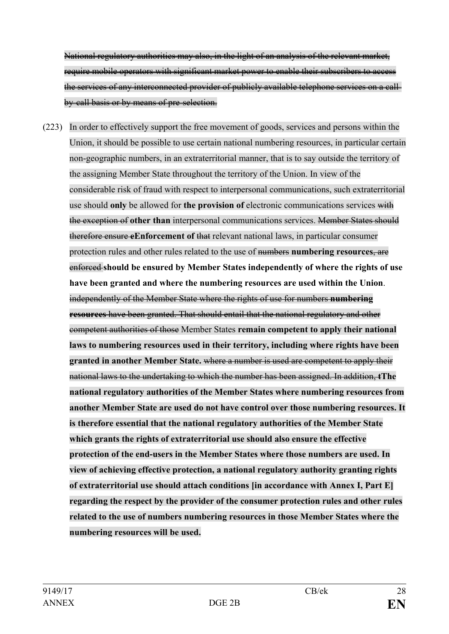National regulatory authorities may also, in the light of an analysis of the relevant market, require mobile operators with significant market power to enable their subscribers to access the services of any interconnected provider of publicly available telephone services on a call by call basis or by means of pre selection.

(223) In order to effectively support the free movement of goods, services and persons within the Union, it should be possible to use certain national numbering resources, in particular certain non-geographic numbers, in an extraterritorial manner, that is to say outside the territory of the assigning Member State throughout the territory of the Union. In view of the considerable risk of fraud with respect to interpersonal communications, such extraterritorial use should **only** be allowed for **the provision of** electronic communications services with the exception of **other than** interpersonal communications services. Member States should therefore ensure **eEnforcement of** that relevant national laws, in particular consumer protection rules and other rules related to the use of numbers **numbering resources**, are enforced **should be ensured by Member States independently of where the rights of use have been granted and where the numbering resources are used within the Union**. independently of the Member State where the rights of use for numbers **numbering resources** have been granted. That should entail that the national regulatory and other competent authorities of those Member States **remain competent to apply their national laws to numbering resources used in their territory, including where rights have been granted in another Member State.** where a number is used are competent to apply their national laws to the undertaking to which the number has been assigned. In addition, **tThe national regulatory authorities of the Member States where numbering resources from another Member State are used do not have control over those numbering resources. It is therefore essential that the national regulatory authorities of the Member State which grants the rights of extraterritorial use should also ensure the effective protection of the end-users in the Member States where those numbers are used. In view of achieving effective protection, a national regulatory authority granting rights of extraterritorial use should attach conditions [in accordance with Annex I, Part E] regarding the respect by the provider of the consumer protection rules and other rules related to the use of numbers numbering resources in those Member States where the numbering resources will be used.**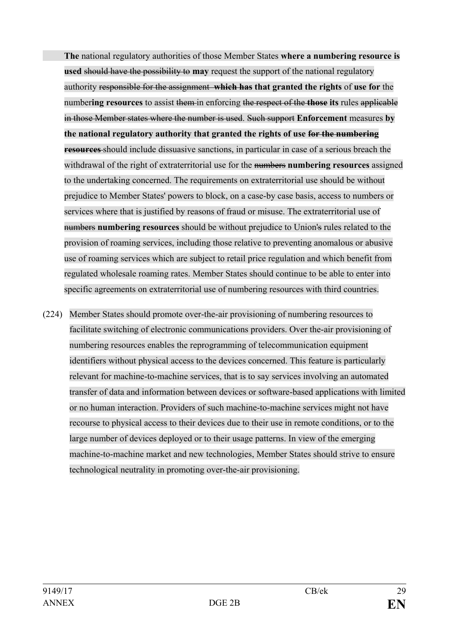**The** national regulatory authorities of those Member States **where a numbering resource is used** should have the possibility to **may** request the support of the national regulatory authority responsible for the assignment **which has that granted the rights** of **use for** the number**ing resources** to assist them in enforcing the respect of the **those its** rules applicable in those Member states where the number is used. Such support **Enforcement** measures **by the national regulatory authority that granted the rights of use for the numbering resources** should include dissuasive sanctions, in particular in case of a serious breach the withdrawal of the right of extraterritorial use for the numbers **numbering resources** assigned to the undertaking concerned. The requirements on extraterritorial use should be without prejudice to Member States' powers to block, on a case-by case basis, access to numbers or services where that is justified by reasons of fraud or misuse. The extraterritorial use of numbers **numbering resources** should be without prejudice to Union's rules related to the provision of roaming services, including those relative to preventing anomalous or abusive use of roaming services which are subject to retail price regulation and which benefit from regulated wholesale roaming rates. Member States should continue to be able to enter into specific agreements on extraterritorial use of numbering resources with third countries.

(224) Member States should promote over-the-air provisioning of numbering resources to facilitate switching of electronic communications providers. Over the-air provisioning of numbering resources enables the reprogramming of telecommunication equipment identifiers without physical access to the devices concerned. This feature is particularly relevant for machine-to-machine services, that is to say services involving an automated transfer of data and information between devices or software-based applications with limited or no human interaction. Providers of such machine-to-machine services might not have recourse to physical access to their devices due to their use in remote conditions, or to the large number of devices deployed or to their usage patterns. In view of the emerging machine-to-machine market and new technologies, Member States should strive to ensure technological neutrality in promoting over-the-air provisioning.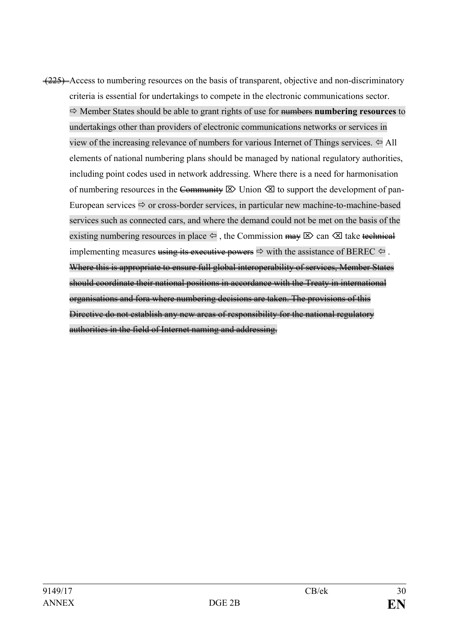$\sqrt{225}$  Access to numbering resources on the basis of transparent, objective and non-discriminatory criteria is essential for undertakings to compete in the electronic communications sector.  $\Rightarrow$  Member States should be able to grant rights of use for numbers **numbering resources** to undertakings other than providers of electronic communications networks or services in view of the increasing relevance of numbers for various Internet of Things services.  $\Leftarrow$  All elements of national numbering plans should be managed by national regulatory authorities, including point codes used in network addressing. Where there is a need for harmonisation of numbering resources in the Community  $\boxtimes$  Union  $\boxtimes$  to support the development of pan-European services  $\Rightarrow$  or cross-border services, in particular new machine-to-machine-based services such as connected cars, and where the demand could not be met on the basis of the existing numbering resources in place  $\Leftrightarrow$ , the Commission  $\overline{\text{max}} \boxtimes \text{can } \boxtimes$  take technical implementing measures using its executive powers  $\Rightarrow$  with the assistance of BEREC  $\Leftrightarrow$ . Where this is appropriate to ensure full global interoperability of services, Member States should coordinate their national positions in accordance with the Treaty in international organisations and fora where numbering decisions are taken. The provisions of this Directive do not establish any new areas of responsibility for the national regulatory authorities in the field of Internet naming and addressing.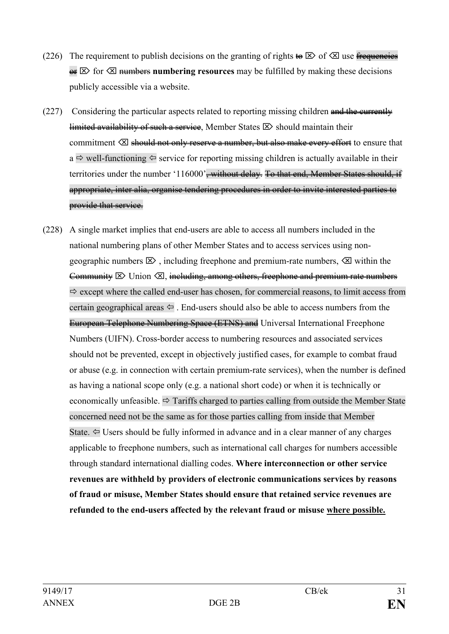- (226) The requirement to publish decisions on the granting of rights  $\leftrightarrow \infty$  of  $\otimes$  use frequencies  $\overline{\text{er}}$   $\boxtimes$  for  $\boxtimes$  numbers **numbering resources** may be fulfilled by making these decisions publicly accessible via a website.
- (227) Considering the particular aspects related to reporting missing children and the eurrently limited availability of such a service. Member States  $\boxtimes$  should maintain their commitment  $\otimes$  should not only reserve a number, but also make every effort to ensure that  $a \Rightarrow$  well-functioning  $\Leftarrow$  service for reporting missing children is actually available in their territories under the number '116000'<del>, without delay. To that end, Member States should, if</del> appropriate, inter alia, organise tendering procedures in order to invite interested parties to provide that service.
- (228) A single market implies that end-users are able to access all numbers included in the national numbering plans of other Member States and to access services using nongeographic numbers  $\boxtimes$ , including freephone and premium-rate numbers,  $\boxtimes$  within the Community  $\boxtimes$  Union  $\boxtimes$ , including, among others, freephone and premium rate numbers  $\Leftrightarrow$  except where the called end-user has chosen, for commercial reasons, to limit access from certain geographical areas  $\Leftrightarrow$ . End-users should also be able to access numbers from the European Telephone Numbering Space (ETNS) and Universal International Freephone Numbers (UIFN). Cross-border access to numbering resources and associated services should not be prevented, except in objectively justified cases, for example to combat fraud or abuse (e.g. in connection with certain premium-rate services), when the number is defined as having a national scope only (e.g. a national short code) or when it is technically or economically unfeasible.  $\Rightarrow$  Tariffs charged to parties calling from outside the Member State concerned need not be the same as for those parties calling from inside that Member State.  $\Leftarrow$  Users should be fully informed in advance and in a clear manner of any charges applicable to freephone numbers, such as international call charges for numbers accessible through standard international dialling codes. **Where interconnection or other service revenues are withheld by providers of electronic communications services by reasons of fraud or misuse, Member States should ensure that retained service revenues are refunded to the end-users affected by the relevant fraud or misuse where possible.**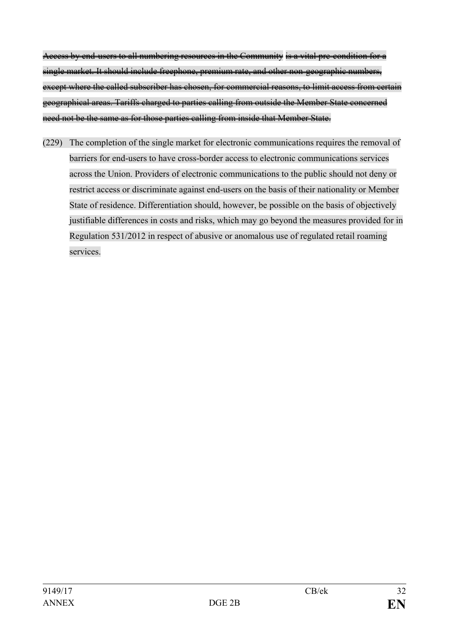Access by end users to all numbering resources in the Community is a vital pre condition for a single market. It should include freephone, premium rate, and other non geographic numbers, except where the called subscriber has chosen, for commercial reasons, to limit access from certain geographical areas. Tariffs charged to parties calling from outside the Member State concerned need not be the same as for those parties calling from inside that Member State.

(229) The completion of the single market for electronic communications requires the removal of barriers for end-users to have cross-border access to electronic communications services across the Union. Providers of electronic communications to the public should not deny or restrict access or discriminate against end-users on the basis of their nationality or Member State of residence. Differentiation should, however, be possible on the basis of objectively justifiable differences in costs and risks, which may go beyond the measures provided for in Regulation 531/2012 in respect of abusive or anomalous use of regulated retail roaming services.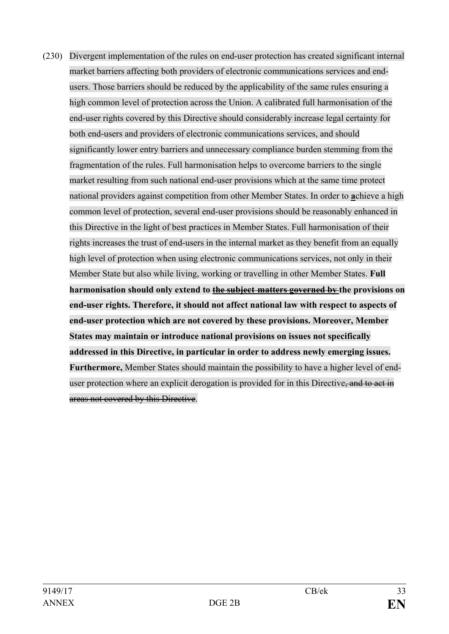(230) Divergent implementation of the rules on end-user protection has created significant internal market barriers affecting both providers of electronic communications services and endusers. Those barriers should be reduced by the applicability of the same rules ensuring a high common level of protection across the Union. A calibrated full harmonisation of the end-user rights covered by this Directive should considerably increase legal certainty for both end-users and providers of electronic communications services, and should significantly lower entry barriers and unnecessary compliance burden stemming from the fragmentation of the rules. Full harmonisation helps to overcome barriers to the single market resulting from such national end-user provisions which at the same time protect national providers against competition from other Member States. In order to **a**chieve a high common level of protection, several end-user provisions should be reasonably enhanced in this Directive in the light of best practices in Member States. Full harmonisation of their rights increases the trust of end-users in the internal market as they benefit from an equally high level of protection when using electronic communications services, not only in their Member State but also while living, working or travelling in other Member States. **Full harmonisation should only extend to the subject matters governed by the provisions on end-user rights. Therefore, it should not affect national law with respect to aspects of end-user protection which are not covered by these provisions. Moreover, Member States may maintain or introduce national provisions on issues not specifically addressed in this Directive, in particular in order to address newly emerging issues. Furthermore,** Member States should maintain the possibility to have a higher level of enduser protection where an explicit derogation is provided for in this Directive, and to act in areas not covered by this Directive.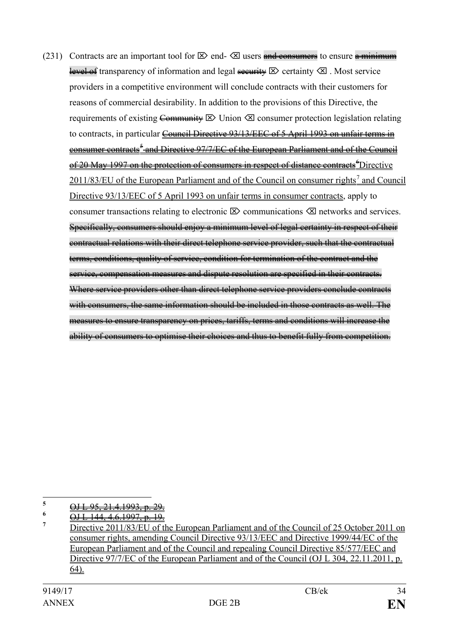(231) Contracts are an important tool for  $\boxtimes$  end-  $\boxtimes$  users and consumers to ensure a minimum level of transparency of information and legal security  $\boxtimes$  certainty  $\boxtimes$ . Most service providers in a competitive environment will conclude contracts with their customers for reasons of commercial desirability. In addition to the provisions of this Directive, the requirements of existing Community  $\boxtimes$  Union  $\boxtimes$  consumer protection legislation relating to contracts, in particular Council Directive 93/13/EEC of 5 April 1993 on unfair terms in consumer contracts<sup>5</sup> and Directive 97/7/EC of the European Parliament and of the Council of 20 May 1997 on the protection of consumers in respect of distance contracts Directive  $2011/83/EU$  of the European Parliament and of the Council on consumer rights<sup>7</sup> and Council Directive 93/13/EEC of 5 April 1993 on unfair terms in consumer contracts, apply to consumer transactions relating to electronic  $\boxtimes$  communications  $\boxtimes$  networks and services. Specifically, consumers should enjoy a minimum level of legal certainty in respect of their contractual relations with their direct telephone service provider, such that the contractual terms, conditions, quality of service, condition for termination of the contract and the service, compensation measures and dispute resolution are specified in their contracts. Where service providers other than direct telephone service providers conclude contracts with consumers, the same information should be included in those contracts as well. The measures to ensure transparency on prices, tariffs, terms and conditions will increase the ability of consumers to optimise their choices and thus to benefit fully from competition.

 $\frac{6}{6}$  <del>QJ L 95, 21.4.1993, p.</del>

 $\frac{6}{7}$  <del>QJ L 144, 4.6.1997, p. 19.</del>

**<sup>7</sup>** Directive 2011/83/EU of the European Parliament and of the Council of 25 October 2011 on consumer rights, amending Council Directive 93/13/EEC and Directive 1999/44/EC of the European Parliament and of the Council and repealing Council Directive 85/577/EEC and Directive 97/7/EC of the European Parliament and of the Council (OJ L 304, 22.11.2011, p. 64).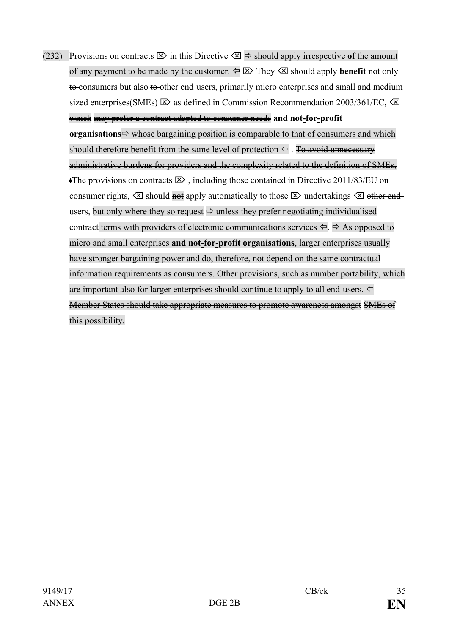(232) Provisions on contracts  $\boxtimes$  in this Directive  $\boxtimes$   $\Rightarrow$  should apply irrespective of the amount of any payment to be made by the customer.  $\Leftarrow \boxtimes$  They  $\boxtimes$  should apply **benefit** not only to consumers but also to other end users, primarily micro enterprises and small and mediumsized enterprises (SMEs)  $\boxtimes$  as defined in Commission Recommendation 2003/361/EC,  $\boxtimes$ which may prefer a contract adapted to consumer needs **and not-for-profit organisations**  $\Rightarrow$  whose bargaining position is comparable to that of consumers and which should therefore benefit from the same level of protection  $\leftarrow$  . To avoid unnecessary administrative burdens for providers and the complexity related to the definition of SMEs,  $\overline{\text{t}}$  The provisions on contracts  $\overline{\mathbb{Z}}$ , including those contained in Directive 2011/83/EU on consumer rights,  $\otimes$  should note apply automatically to those  $\otimes$  undertakings  $\otimes$  other endusers, but only where they so request  $\Rightarrow$  unless they prefer negotiating individualised contract terms with providers of electronic communications services  $\Leftrightarrow$ .  $\Leftrightarrow$  As opposed to micro and small enterprises **and not-for-profit organisations**, larger enterprises usually have stronger bargaining power and do, therefore, not depend on the same contractual information requirements as consumers. Other provisions, such as number portability, which are important also for larger enterprises should continue to apply to all end-users.  $\Leftrightarrow$ Member States should take appropriate measures to promote awareness amongst SMEs of this possibility.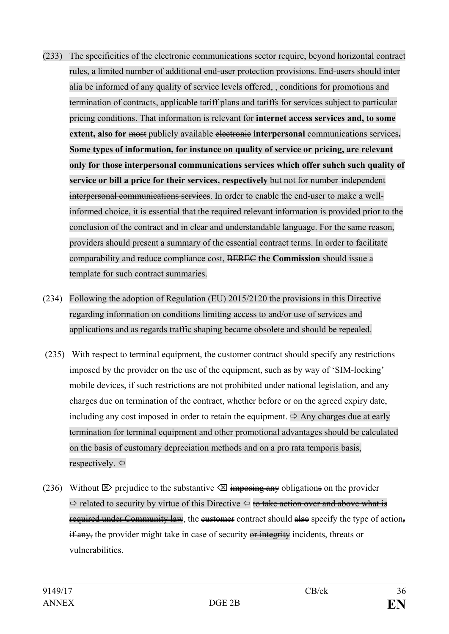- (233) The specificities of the electronic communications sector require, beyond horizontal contract rules, a limited number of additional end-user protection provisions. End-users should inter alia be informed of any quality of service levels offered, , conditions for promotions and termination of contracts, applicable tariff plans and tariffs for services subject to particular pricing conditions. That information is relevant for **internet access services and, to some extent, also for** most publicly available electronic **interpersonal** communications services**. Some types of information, for instance on quality of service or pricing, are relevant only for those interpersonal communications services which offer suhch such quality of service or bill a price for their services, respectively** but not for number independent interpersonal communications services. In order to enable the end-user to make a wellinformed choice, it is essential that the required relevant information is provided prior to the conclusion of the contract and in clear and understandable language. For the same reason, providers should present a summary of the essential contract terms. In order to facilitate comparability and reduce compliance cost, BEREC **the Commission** should issue a template for such contract summaries.
- (234) Following the adoption of Regulation (EU) 2015/2120 the provisions in this Directive regarding information on conditions limiting access to and/or use of services and applications and as regards traffic shaping became obsolete and should be repealed.
- (235) With respect to terminal equipment, the customer contract should specify any restrictions imposed by the provider on the use of the equipment, such as by way of 'SIM-locking' mobile devices, if such restrictions are not prohibited under national legislation, and any charges due on termination of the contract, whether before or on the agreed expiry date, including any cost imposed in order to retain the equipment.  $\Rightarrow$  Any charges due at early termination for terminal equipment and other promotional advantages should be calculated on the basis of customary depreciation methods and on a pro rata temporis basis, respectively.  $\Leftrightarrow$
- (236) Without  $\boxtimes$  prejudice to the substantive  $\boxtimes$  imposing any obligations on the provider  $\Rightarrow$  related to security by virtue of this Directive  $\Leftrightarrow$  to take action over and above what is required under Community law, the eustomer contract should also specify the type of action.  $\frac{d}{dx}$  the provider might take in case of security or integrity incidents, threats or vulnerabilities.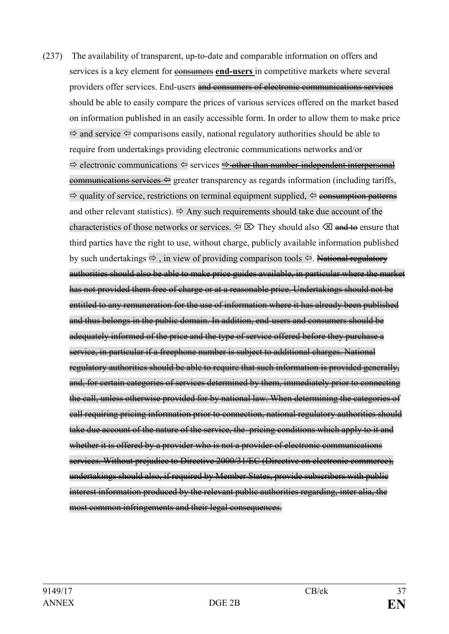(237) The availability of transparent, up-to-date and comparable information on offers and services is a key element for consumers **end-users** in competitive markets where several providers offer services. End-users and consumers of electronic communications services should be able to easily compare the prices of various services offered on the market based on information published in an easily accessible form. In order to allow them to make price  $\Rightarrow$  and service  $\Leftarrow$  comparisons easily, national regulatory authorities should be able to require from undertakings providing electronic communications networks and/or  $\Rightarrow$  electronic communications  $\Leftrightarrow$  services  $\Leftrightarrow$  other than number independent interpersonal communications services  $\Leftarrow$  greater transparency as regards information (including tariffs,  $\Rightarrow$  quality of service, restrictions on terminal equipment supplied,  $\Leftrightarrow$  espectivelent patterns and other relevant statistics).  $\Rightarrow$  Any such requirements should take due account of the characteristics of those networks or services.  $\Leftarrow \boxtimes$  They should also  $\boxtimes$  and to ensure that third parties have the right to use, without charge, publicly available information published by such undertakings  $\Rightarrow$ , in view of providing comparison tools  $\Leftarrow$ . National regulatory authorities should also be able to make price guides available, in particular where the market has not provided them free of charge or at a reasonable price. Undertakings should not be entitled to any remuneration for the use of information where it has already been published and thus belongs in the public domain. In addition, end users and consumers should be adequately informed of the price and the type of service offered before they purchase a service, in particular if a freephone number is subject to additional charges. National regulatory authorities should be able to require that such information is provided generally, and, for certain categories of services determined by them, immediately prior to connecting the call, unless otherwise provided for by national law. When determining the categories of call requiring pricing information prior to connection, national regulatory authorities should take due account of the nature of the service, the pricing conditions which apply to it and whether it is offered by a provider who is not a provider of electronic communications services. Without prejudice to Directive 2000/31/EC (Directive on electronic commerce), undertakings should also, if required by Member States, provide subscribers with public interest information produced by the relevant public authorities regarding, inter alia, the most common infringements and their legal consequences.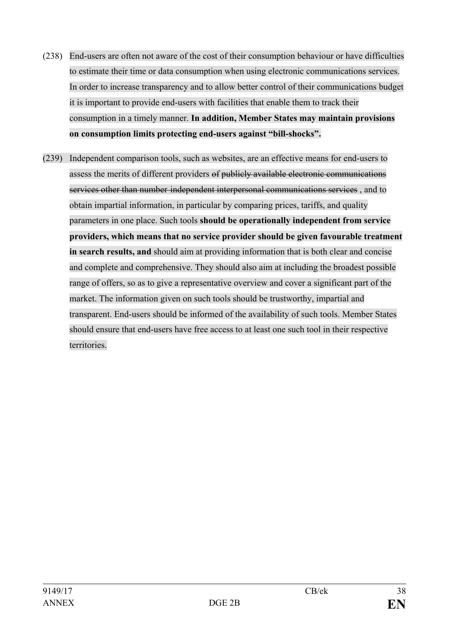- (238) End-users are often not aware of the cost of their consumption behaviour or have difficulties to estimate their time or data consumption when using electronic communications services. In order to increase transparency and to allow better control of their communications budget it is important to provide end-users with facilities that enable them to track their consumption in a timely manner. **In addition, Member States may maintain provisions on consumption limits protecting end-users against "bill-shocks".**
- (239) Independent comparison tools, such as websites, are an effective means for end-users to assess the merits of different providers of publicly available electronic communications services other than number independent interpersonal communications services , and to obtain impartial information, in particular by comparing prices, tariffs, and quality parameters in one place. Such tools **should be operationally independent from service providers, which means that no service provider should be given favourable treatment in search results, and** should aim at providing information that is both clear and concise and complete and comprehensive. They should also aim at including the broadest possible range of offers, so as to give a representative overview and cover a significant part of the market. The information given on such tools should be trustworthy, impartial and transparent. End-users should be informed of the availability of such tools. Member States should ensure that end-users have free access to at least one such tool in their respective **territories**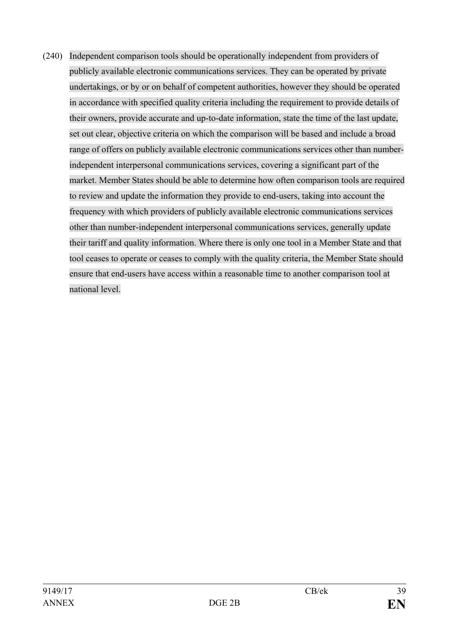(240) Independent comparison tools should be operationally independent from providers of publicly available electronic communications services. They can be operated by private undertakings, or by or on behalf of competent authorities, however they should be operated in accordance with specified quality criteria including the requirement to provide details of their owners, provide accurate and up-to-date information, state the time of the last update, set out clear, objective criteria on which the comparison will be based and include a broad range of offers on publicly available electronic communications services other than numberindependent interpersonal communications services, covering a significant part of the market. Member States should be able to determine how often comparison tools are required to review and update the information they provide to end-users, taking into account the frequency with which providers of publicly available electronic communications services other than number-independent interpersonal communications services, generally update their tariff and quality information. Where there is only one tool in a Member State and that tool ceases to operate or ceases to comply with the quality criteria, the Member State should ensure that end-users have access within a reasonable time to another comparison tool at national level.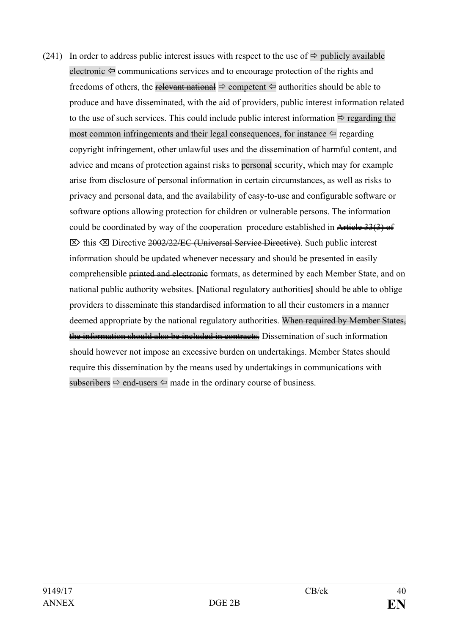(241) In order to address public interest issues with respect to the use of  $\Rightarrow$  publicly available electronic  $\Leftarrow$  communications services and to encourage protection of the rights and freedoms of others, the relevant national  $\Rightarrow$  competent  $\Leftarrow$  authorities should be able to produce and have disseminated, with the aid of providers, public interest information related to the use of such services. This could include public interest information  $\Rightarrow$  regarding the most common infringements and their legal consequences, for instance  $\Leftarrow$  regarding copyright infringement, other unlawful uses and the dissemination of harmful content, and advice and means of protection against risks to personal security, which may for example arise from disclosure of personal information in certain circumstances, as well as risks to privacy and personal data, and the availability of easy-to-use and configurable software or software options allowing protection for children or vulnerable persons. The information could be coordinated by way of the cooperation procedure established in Article 33(3) of  $\triangleright$  this  $\triangleright$  Directive 2002/22/EC (Universal Service Directive). Such public interest information should be updated whenever necessary and should be presented in easily comprehensible **printed and electronic** formats, as determined by each Member State, and on national public authority websites. **[**National regulatory authorities**]** should be able to oblige providers to disseminate this standardised information to all their customers in a manner deemed appropriate by the national regulatory authorities. When required by Member States, the information should also be included in contracts. Dissemination of such information should however not impose an excessive burden on undertakings. Member States should require this dissemination by the means used by undertakings in communications with subscribers  $\Rightarrow$  end-users  $\Leftrightarrow$  made in the ordinary course of business.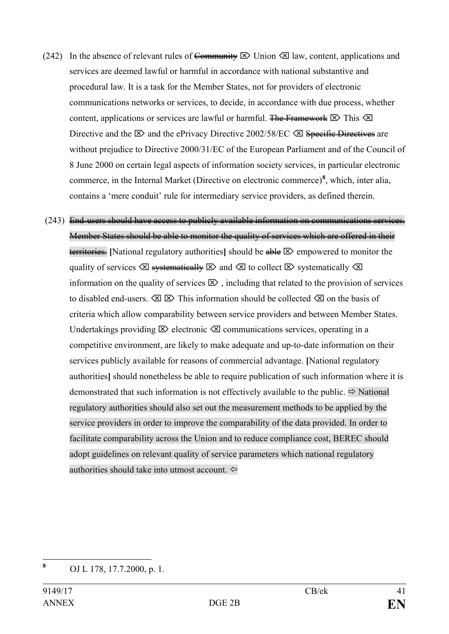- (242) In the absence of relevant rules of Community  $\boxtimes$  Union  $\boxtimes$  law, content, applications and services are deemed lawful or harmful in accordance with national substantive and procedural law. It is a task for the Member States, not for providers of electronic communications networks or services, to decide, in accordance with due process, whether content, applications or services are lawful or harmful. The Framework  $\boxtimes$  This  $\boxtimes$ Directive and the  $\boxtimes$  and the ePrivacy Directive 2002/58/EC  $\boxtimes$  Specific Directives are without prejudice to Directive 2000/31/EC of the European Parliament and of the Council of 8 June 2000 on certain legal aspects of information society services, in particular electronic commerce, in the Internal Market (Directive on electronic commerce)**<sup>8</sup>** , which, inter alia, contains a 'mere conduit' rule for intermediary service providers, as defined therein.
- (243) End users should have access to publicly available information on communications services. Member States should be able to monitor the quality of services which are offered in their **territories.** [National regulatory authorities] should be  $\frac{ab \cdot b}{2}$  empowered to monitor the quality of services  $\otimes$  systematically  $\otimes$  and  $\otimes$  to collect  $\otimes$  systematically  $\otimes$ information on the quality of services  $\boxtimes$ , including that related to the provision of services to disabled end-users.  $\otimes$   $\otimes$  This information should be collected  $\otimes$  on the basis of criteria which allow comparability between service providers and between Member States. Undertakings providing  $\boxtimes$  electronic  $\boxtimes$  communications services, operating in a competitive environment, are likely to make adequate and up-to-date information on their services publicly available for reasons of commercial advantage. **[**National regulatory authorities**]** should nonetheless be able to require publication of such information where it is demonstrated that such information is not effectively available to the public.  $\Rightarrow$  National regulatory authorities should also set out the measurement methods to be applied by the service providers in order to improve the comparability of the data provided. In order to facilitate comparability across the Union and to reduce compliance cost, BEREC should adopt guidelines on relevant quality of service parameters which national regulatory authorities should take into utmost account.  $\Leftarrow$

 $\bf{8}$ **<sup>8</sup>** OJ L 178, 17.7.2000, p. 1.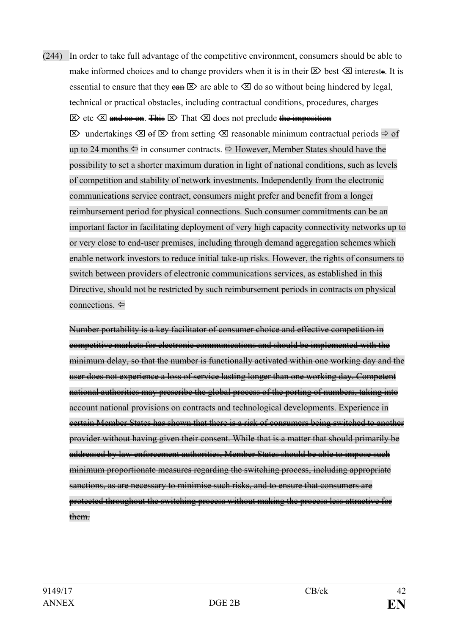(244) In order to take full advantage of the competitive environment, consumers should be able to make informed choices and to change providers when it is in their  $\boxtimes$  best  $\boxtimes$  interests. It is essential to ensure that they  $\epsilon$   $\otimes$  are able to  $\otimes$  do so without being hindered by legal, technical or practical obstacles, including contractual conditions, procedures, charges  $\boxtimes$  etc  $\boxtimes$  and so on. This  $\boxtimes$  That  $\boxtimes$  does not preclude the imposition  $\boxtimes$  undertakings  $\boxtimes$  of  $\boxtimes$  from setting  $\boxtimes$  reasonable minimum contractual periods  $\Rightarrow$  of up to 24 months  $\Leftarrow$  in consumer contracts.  $\Rightarrow$  However, Member States should have the possibility to set a shorter maximum duration in light of national conditions, such as levels of competition and stability of network investments. Independently from the electronic communications service contract, consumers might prefer and benefit from a longer reimbursement period for physical connections. Such consumer commitments can be an important factor in facilitating deployment of very high capacity connectivity networks up to or very close to end-user premises, including through demand aggregation schemes which enable network investors to reduce initial take-up risks. However, the rights of consumers to switch between providers of electronic communications services, as established in this Directive, should not be restricted by such reimbursement periods in contracts on physical connections.  $\Leftrightarrow$ 

Number portability is a key facilitator of consumer choice and effective competition in competitive markets for electronic communications and should be implemented with the minimum delay, so that the number is functionally activated within one working day and the user does not experience a loss of service lasting longer than one working day. Competent national authorities may prescribe the global process of the porting of numbers, taking into account national provisions on contracts and technological developments. Experience in certain Member States has shown that there is a risk of consumers being switched to another provider without having given their consent. While that is a matter that should primarily be addressed by law enforcement authorities, Member States should be able to impose such minimum proportionate measures regarding the switching process, including appropriate sanctions, as are necessary to minimise such risks, and to ensure that consumers are protected throughout the switching process without making the process less attractive for them.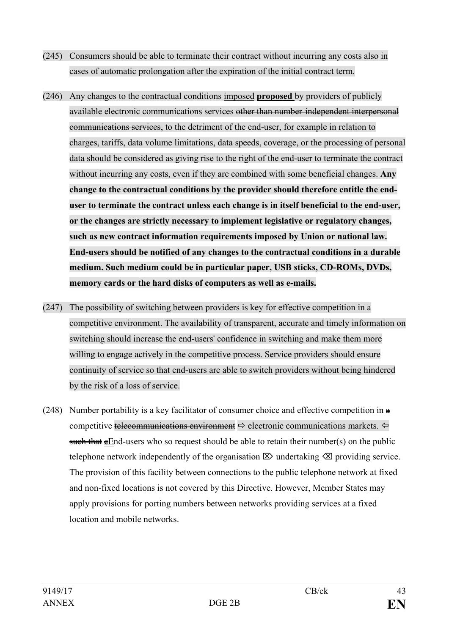- (245) Consumers should be able to terminate their contract without incurring any costs also in cases of automatic prolongation after the expiration of the initial contract term.
- (246) Any changes to the contractual conditions imposed **proposed** by providers of publicly available electronic communications services other than number independent interpersonal communications services, to the detriment of the end-user, for example in relation to charges, tariffs, data volume limitations, data speeds, coverage, or the processing of personal data should be considered as giving rise to the right of the end-user to terminate the contract without incurring any costs, even if they are combined with some beneficial changes. **Any change to the contractual conditions by the provider should therefore entitle the enduser to terminate the contract unless each change is in itself beneficial to the end-user, or the changes are strictly necessary to implement legislative or regulatory changes, such as new contract information requirements imposed by Union or national law. End-users should be notified of any changes to the contractual conditions in a durable medium. Such medium could be in particular paper, USB sticks, CD-ROMs, DVDs, memory cards or the hard disks of computers as well as e-mails.**
- (247) The possibility of switching between providers is key for effective competition in a competitive environment. The availability of transparent, accurate and timely information on switching should increase the end-users' confidence in switching and make them more willing to engage actively in the competitive process. Service providers should ensure continuity of service so that end-users are able to switch providers without being hindered by the risk of a loss of service.
- (248) Number portability is a key facilitator of consumer choice and effective competition in  $\theta$ competitive telecommunications environment  $\Rightarrow$  electronic communications markets.  $\Leftarrow$ such that  $E$ nd-users who so request should be able to retain their number(s) on the public telephone network independently of the  $\sigma$  organisation  $\otimes$  undertaking  $\otimes$  providing service. The provision of this facility between connections to the public telephone network at fixed and non-fixed locations is not covered by this Directive. However, Member States may apply provisions for porting numbers between networks providing services at a fixed location and mobile networks.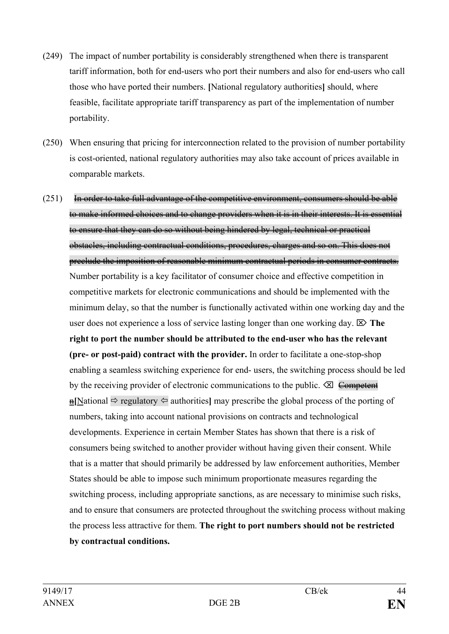- (249) The impact of number portability is considerably strengthened when there is transparent tariff information, both for end-users who port their numbers and also for end-users who call those who have ported their numbers. **[**National regulatory authorities**]** should, where feasible, facilitate appropriate tariff transparency as part of the implementation of number portability.
- (250) When ensuring that pricing for interconnection related to the provision of number portability is cost-oriented, national regulatory authorities may also take account of prices available in comparable markets.
- $(251)$  In order to take full advantage of the competitive environment, consumers should be able to make informed choices and to change providers when it is in their interests. It is essential to ensure that they can do so without being hindered by legal, technical or practical obstacles, including contractual conditions, procedures, charges and so on. This does not preclude the imposition of reasonable minimum contractual periods in consumer contracts. Number portability is a key facilitator of consumer choice and effective competition in competitive markets for electronic communications and should be implemented with the minimum delay, so that the number is functionally activated within one working day and the user does not experience a loss of service lasting longer than one working day.  $\boxtimes$  The **right to port the number should be attributed to the end-user who has the relevant (pre- or post-paid) contract with the provider.** In order to facilitate a one-stop-shop enabling a seamless switching experience for end- users, the switching process should be led by the receiving provider of electronic communications to the public.  $\boxtimes$  Competent  $\frac{1}{\sqrt{m}}$ [National  $\Rightarrow$  regulatory  $\Leftrightarrow$  authorities] may prescribe the global process of the porting of numbers, taking into account national provisions on contracts and technological developments. Experience in certain Member States has shown that there is a risk of consumers being switched to another provider without having given their consent. While that is a matter that should primarily be addressed by law enforcement authorities, Member States should be able to impose such minimum proportionate measures regarding the switching process, including appropriate sanctions, as are necessary to minimise such risks, and to ensure that consumers are protected throughout the switching process without making the process less attractive for them. **The right to port numbers should not be restricted by contractual conditions.**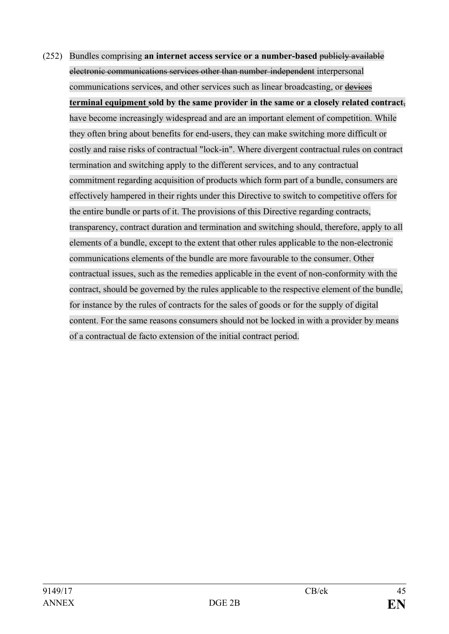(252) Bundles comprising **an internet access service or a number-based** publicly available electronic communications services other than number independent interpersonal communications services, and other services such as linear broadcasting, or devices **terminal equipment sold by the same provider in the same or a closely related contract**, have become increasingly widespread and are an important element of competition. While they often bring about benefits for end-users, they can make switching more difficult or costly and raise risks of contractual "lock-in". Where divergent contractual rules on contract termination and switching apply to the different services, and to any contractual commitment regarding acquisition of products which form part of a bundle, consumers are effectively hampered in their rights under this Directive to switch to competitive offers for the entire bundle or parts of it. The provisions of this Directive regarding contracts, transparency, contract duration and termination and switching should, therefore, apply to all elements of a bundle, except to the extent that other rules applicable to the non-electronic communications elements of the bundle are more favourable to the consumer. Other contractual issues, such as the remedies applicable in the event of non-conformity with the contract, should be governed by the rules applicable to the respective element of the bundle, for instance by the rules of contracts for the sales of goods or for the supply of digital content. For the same reasons consumers should not be locked in with a provider by means of a contractual de facto extension of the initial contract period.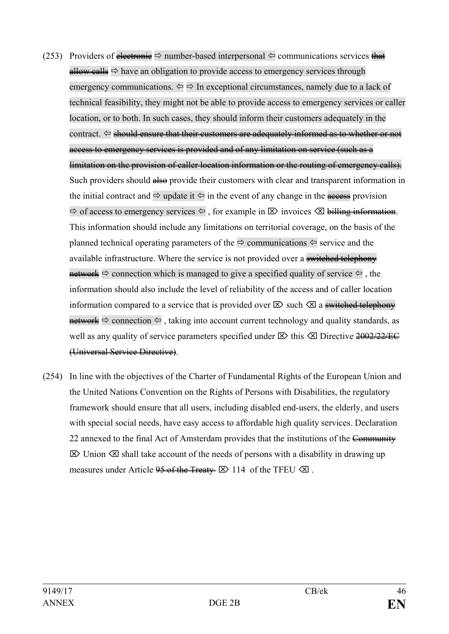- (253) Providers of electronic  $\Rightarrow$  number-based interpersonal  $\Leftarrow$  communications services that allow calls  $\Rightarrow$  have an obligation to provide access to emergency services through emergency communications.  $\Leftarrow \Rightarrow$  In exceptional circumstances, namely due to a lack of technical feasibility, they might not be able to provide access to emergency services or caller location, or to both. In such cases, they should inform their customers adequately in the contract.  $\Leftrightarrow$  should ensure that their customers are adequately informed as to whether or not access to emergency services is provided and of any limitation on service (such as a limitation on the provision of caller location information or the routing of emergency calls). Such providers should also provide their customers with clear and transparent information in the initial contract and  $\Rightarrow$  update it  $\Leftarrow$  in the event of any change in the access provision  $\Rightarrow$  of access to emergency services  $\Leftrightarrow$ , for example in  $\boxtimes$  invoices  $\boxtimes$  billing information. This information should include any limitations on territorial coverage, on the basis of the planned technical operating parameters of the  $\Rightarrow$  communications  $\Leftarrow$  service and the available infrastructure. Where the service is not provided over a switched telephony network  $\Rightarrow$  connection which is managed to give a specified quality of service  $\Leftarrow$ , the information should also include the level of reliability of the access and of caller location information compared to a service that is provided over  $\boxtimes$  such  $\boxtimes$  a switched telephony network  $\Rightarrow$  connection  $\Leftrightarrow$ , taking into account current technology and quality standards, as well as any quality of service parameters specified under  $\boxtimes$  this  $\boxtimes$  Directive 2002/22/EC (Universal Service Directive).
- (254) In line with the objectives of the Charter of Fundamental Rights of the European Union and the United Nations Convention on the Rights of Persons with Disabilities, the regulatory framework should ensure that all users, including disabled end-users, the elderly, and users with special social needs, have easy access to affordable high quality services. Declaration 22 annexed to the final Act of Amsterdam provides that the institutions of the Community  $\boxtimes$  Union  $\boxtimes$  shall take account of the needs of persons with a disability in drawing up measures under Article  $95 \text{ of the Treaty-} \ \n\gg 114 \text{ of the TFEU} \ \n\ll 1.$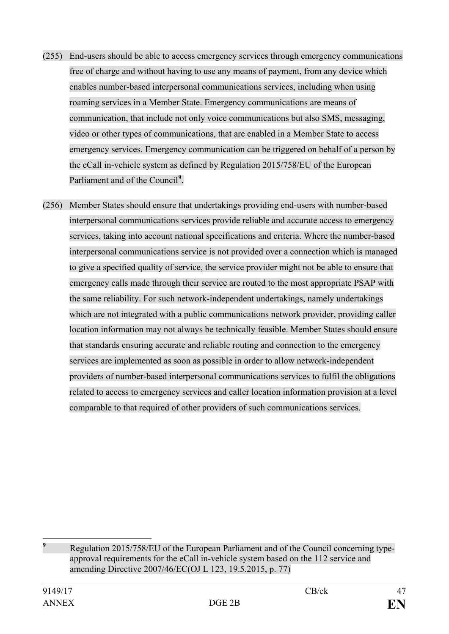- (255) End-users should be able to access emergency services through emergency communications free of charge and without having to use any means of payment, from any device which enables number-based interpersonal communications services, including when using roaming services in a Member State. Emergency communications are means of communication, that include not only voice communications but also SMS, messaging, video or other types of communications, that are enabled in a Member State to access emergency services. Emergency communication can be triggered on behalf of a person by the eCall in-vehicle system as defined by Regulation 2015/758/EU of the European Parliament and of the Council<sup>9</sup>.
- (256) Member States should ensure that undertakings providing end-users with number-based interpersonal communications services provide reliable and accurate access to emergency services, taking into account national specifications and criteria. Where the number-based interpersonal communications service is not provided over a connection which is managed to give a specified quality of service, the service provider might not be able to ensure that emergency calls made through their service are routed to the most appropriate PSAP with the same reliability. For such network-independent undertakings, namely undertakings which are not integrated with a public communications network provider, providing caller location information may not always be technically feasible. Member States should ensure that standards ensuring accurate and reliable routing and connection to the emergency services are implemented as soon as possible in order to allow network-independent providers of number-based interpersonal communications services to fulfil the obligations related to access to emergency services and caller location information provision at a level comparable to that required of other providers of such communications services.

 **<sup>9</sup>** Regulation 2015/758/EU of the European Parliament and of the Council concerning typeapproval requirements for the eCall in-vehicle system based on the 112 service and amending Directive 2007/46/EC(OJ L 123, 19.5.2015, p. 77)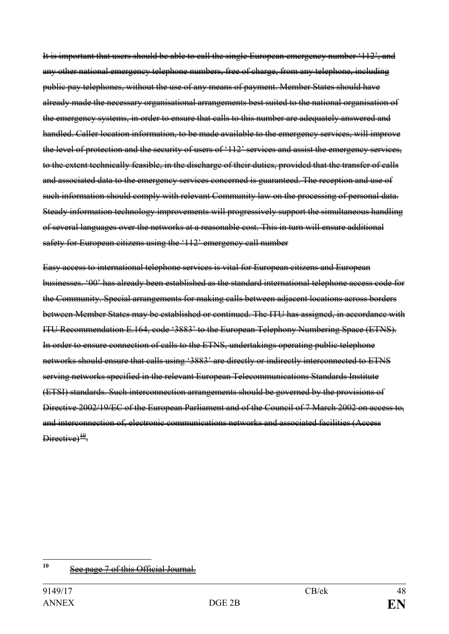It is important that users should be able to call the single European emergency number '112', and any other national emergency telephone numbers, free of charge, from any telephone, including public pay telephones, without the use of any means of payment. Member States should have already made the necessary organisational arrangements best suited to the national organisation of the emergency systems, in order to ensure that calls to this number are adequately answered and handled. Caller location information, to be made available to the emergency services, will improve the level of protection and the security of users of '112' services and assist the emergency services, to the extent technically feasible, in the discharge of their duties, provided that the transfer of calls and associated data to the emergency services concerned is guaranteed. The reception and use of such information should comply with relevant Community law on the processing of personal data. Steady information technology improvements will progressively support the simultaneous handling of several languages over the networks at a reasonable cost. This in turn will ensure additional safety for European citizens using the '112' emergency call number

Easy access to international telephone services is vital for European citizens and European businesses. '00' has already been established as the standard international telephone access code for the Community. Special arrangements for making calls between adjacent locations across borders between Member States may be established or continued. The ITU has assigned, in accordance with ITU Recommendation E.164, code '3883' to the European Telephony Numbering Space (ETNS). In order to ensure connection of calls to the ETNS, undertakings operating public telephone networks should ensure that calls using '3883' are directly or indirectly interconnected to ETNS serving networks specified in the relevant European Telecommunications Standards Institute (ETSI) standards. Such interconnection arrangements should be governed by the provisions of Directive 2002/19/EC of the European Parliament and of the Council of 7 March 2002 on access to, and interconnection of, electronic communications networks and associated facilities (Access Directive)<sup> $\frac{10}{2}$ </sup>.

**<sup>10</sup>** See page 7 of this Official Journal.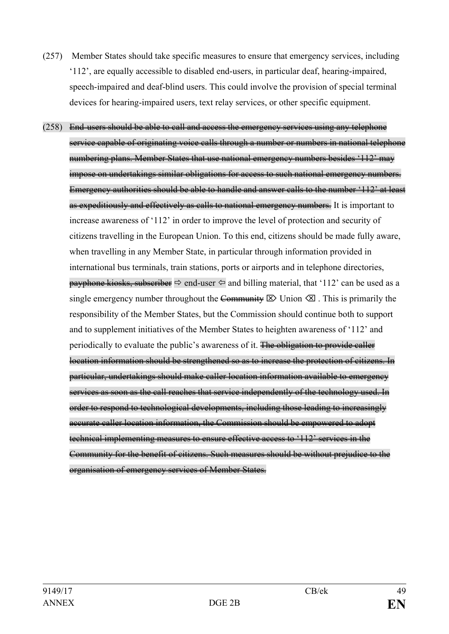- (257) Member States should take specific measures to ensure that emergency services, including '112', are equally accessible to disabled end-users, in particular deaf, hearing-impaired, speech-impaired and deaf-blind users. This could involve the provision of special terminal devices for hearing-impaired users, text relay services, or other specific equipment.
- (258) End users should be able to call and access the emergency services using any telephone service capable of originating voice calls through a number or numbers in national telephone numbering plans. Member States that use national emergency numbers besides '112' may impose on undertakings similar obligations for access to such national emergency numbers. Emergency authorities should be able to handle and answer calls to the number '112' at least as expeditiously and effectively as calls to national emergency numbers. It is important to increase awareness of '112' in order to improve the level of protection and security of citizens travelling in the European Union. To this end, citizens should be made fully aware, when travelling in any Member State, in particular through information provided in international bus terminals, train stations, ports or airports and in telephone directories, payphone kiosks, subscriber  $\Rightarrow$  end-user  $\Leftrightarrow$  and billing material, that '112' can be used as a single emergency number throughout the Community  $\boxtimes$  Union  $\boxtimes$ . This is primarily the responsibility of the Member States, but the Commission should continue both to support and to supplement initiatives of the Member States to heighten awareness of '112' and periodically to evaluate the public's awareness of it. The obligation to provide caller location information should be strengthened so as to increase the protection of citizens. In particular, undertakings should make caller location information available to emergency services as soon as the call reaches that service independently of the technology used. In order to respond to technological developments, including those leading to increasingly accurate caller location information, the Commission should be empowered to adopt technical implementing measures to ensure effective access to '112' services in the Community for the benefit of citizens. Such measures should be without prejudice to the organisation of emergency services of Member States.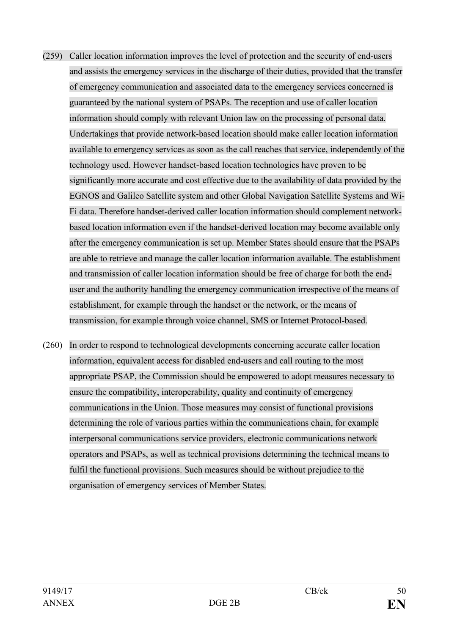- (259) Caller location information improves the level of protection and the security of end-users and assists the emergency services in the discharge of their duties, provided that the transfer of emergency communication and associated data to the emergency services concerned is guaranteed by the national system of PSAPs. The reception and use of caller location information should comply with relevant Union law on the processing of personal data. Undertakings that provide network-based location should make caller location information available to emergency services as soon as the call reaches that service, independently of the technology used. However handset-based location technologies have proven to be significantly more accurate and cost effective due to the availability of data provided by the EGNOS and Galileo Satellite system and other Global Navigation Satellite Systems and Wi-Fi data. Therefore handset-derived caller location information should complement networkbased location information even if the handset-derived location may become available only after the emergency communication is set up. Member States should ensure that the PSAPs are able to retrieve and manage the caller location information available. The establishment and transmission of caller location information should be free of charge for both the enduser and the authority handling the emergency communication irrespective of the means of establishment, for example through the handset or the network, or the means of transmission, for example through voice channel, SMS or Internet Protocol-based.
- (260) In order to respond to technological developments concerning accurate caller location information, equivalent access for disabled end-users and call routing to the most appropriate PSAP, the Commission should be empowered to adopt measures necessary to ensure the compatibility, interoperability, quality and continuity of emergency communications in the Union. Those measures may consist of functional provisions determining the role of various parties within the communications chain, for example interpersonal communications service providers, electronic communications network operators and PSAPs, as well as technical provisions determining the technical means to fulfil the functional provisions. Such measures should be without prejudice to the organisation of emergency services of Member States.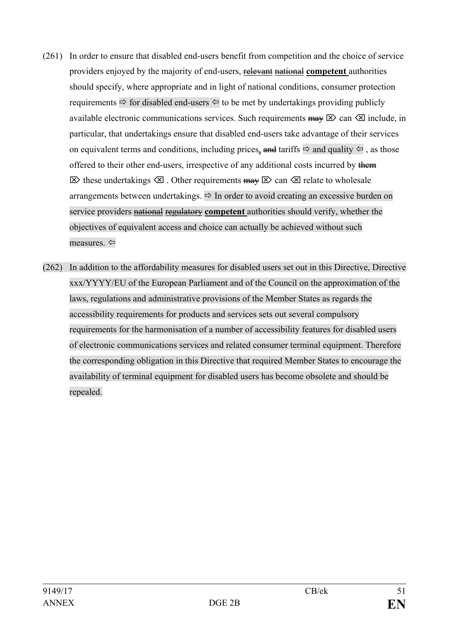- (261) In order to ensure that disabled end-users benefit from competition and the choice of service providers enjoyed by the majority of end-users, relevant national **competent** authorities should specify, where appropriate and in light of national conditions, consumer protection requirements  $\Rightarrow$  for disabled end-users  $\Leftrightarrow$  to be met by undertakings providing publicly available electronic communications services. Such requirements  $\max \ \mathbb{Z}$  can  $\mathbb{Z}$  include, in particular, that undertakings ensure that disabled end-users take advantage of their services on equivalent terms and conditions, including prices, and tariffs  $\Rightarrow$  and quality  $\Leftrightarrow$ , as those offered to their other end-users, irrespective of any additional costs incurred by them  $\boxtimes$  these undertakings  $\boxtimes$ . Other requirements  $\text{max}$   $\boxtimes$  can  $\boxtimes$  relate to wholesale arrangements between undertakings.  $\Rightarrow$  In order to avoid creating an excessive burden on service providers national regulatory **competent** authorities should verify, whether the objectives of equivalent access and choice can actually be achieved without such measures. ⇔
- (262) In addition to the affordability measures for disabled users set out in this Directive, Directive xxx/YYYY/EU of the European Parliament and of the Council on the approximation of the laws, regulations and administrative provisions of the Member States as regards the accessibility requirements for products and services sets out several compulsory requirements for the harmonisation of a number of accessibility features for disabled users of electronic communications services and related consumer terminal equipment. Therefore the corresponding obligation in this Directive that required Member States to encourage the availability of terminal equipment for disabled users has become obsolete and should be repealed.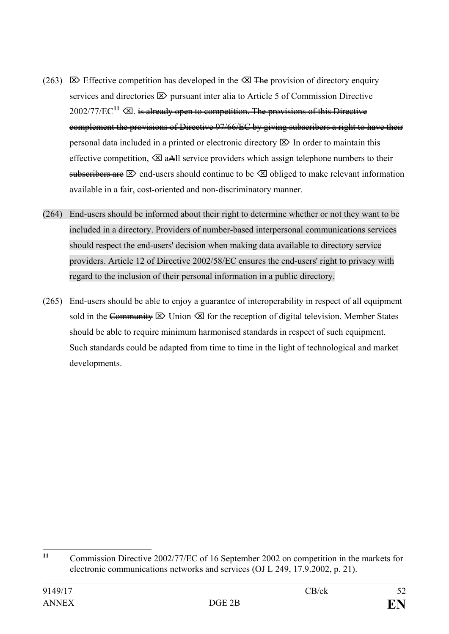- (263)  $\mathbb{\Sigma}$  Effective competition has developed in the  $\mathbb{\Sigma}$  The provision of directory enquiry services and directories  $\boxtimes$  pursuant inter alia to Article 5 of Commission Directive  $2002/77/EC^{11}$   $\ll$ . is already open to competition. The provisions of this Directive complement the provisions of Directive 97/66/EC by giving subscribers a right to have their personal data included in a printed or electronic directory  $\boxtimes$  In order to maintain this effective competition,  $\otimes$  a all service providers which assign telephone numbers to their subscribers are  $\boxtimes$  end-users should continue to be  $\boxtimes$  obliged to make relevant information available in a fair, cost-oriented and non-discriminatory manner.
- (264) End-users should be informed about their right to determine whether or not they want to be included in a directory. Providers of number-based interpersonal communications services should respect the end-users' decision when making data available to directory service providers. Article 12 of Directive 2002/58/EC ensures the end-users' right to privacy with regard to the inclusion of their personal information in a public directory.
- (265) End-users should be able to enjoy a guarantee of interoperability in respect of all equipment sold in the Community  $\boxtimes$  Union  $\boxtimes$  for the reception of digital television. Member States should be able to require minimum harmonised standards in respect of such equipment. Such standards could be adapted from time to time in the light of technological and market developments.

**<sup>11</sup>** Commission Directive 2002/77/EC of 16 September 2002 on competition in the markets for electronic communications networks and services (OJ L 249, 17.9.2002, p. 21).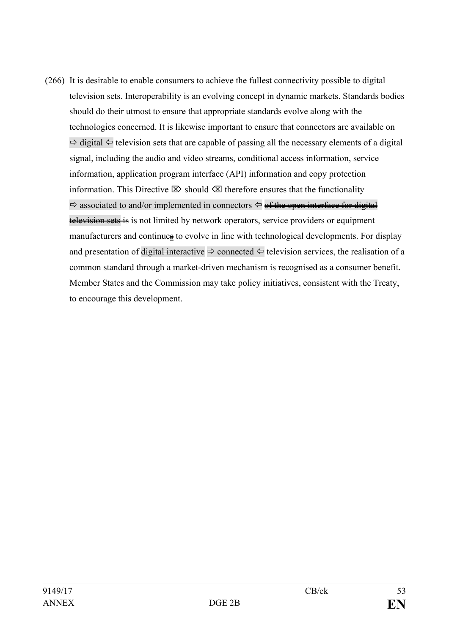(266) It is desirable to enable consumers to achieve the fullest connectivity possible to digital television sets. Interoperability is an evolving concept in dynamic markets. Standards bodies should do their utmost to ensure that appropriate standards evolve along with the technologies concerned. It is likewise important to ensure that connectors are available on  $\Rightarrow$  digital  $\Leftarrow$  television sets that are capable of passing all the necessary elements of a digital signal, including the audio and video streams, conditional access information, service information, application program interface (API) information and copy protection information. This Directive  $\boxtimes$  should  $\boxtimes$  therefore ensures that the functionality  $\Rightarrow$  associated to and/or implemented in connectors  $\Leftrightarrow$  of the open interface for digital television sets is is not limited by network operators, service providers or equipment manufacturers and continues to evolve in line with technological developments. For display and presentation of digital interactive  $\Rightarrow$  connected  $\Leftarrow$  television services, the realisation of a common standard through a market-driven mechanism is recognised as a consumer benefit. Member States and the Commission may take policy initiatives, consistent with the Treaty, to encourage this development.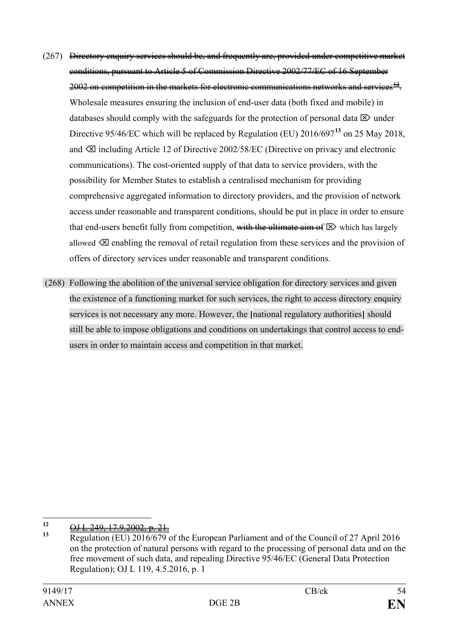- (267) Directory enquiry services should be, and frequently are, provided under competitive market conditions, pursuant to Article 5 of Commission Directive 2002/77/EC of 16 September 2002 on competition in the markets for electronic communications networks and services $\frac{12}{2}$ . Wholesale measures ensuring the inclusion of end-user data (both fixed and mobile) in databases should comply with the safeguards for the protection of personal data  $\boxtimes$  under Directive 95/46/EC which will be replaced by Regulation (EU) 2016/697**<sup>13</sup>** on 25 May 2018, and  $\otimes$  including Article 12 of Directive 2002/58/EC (Directive on privacy and electronic communications). The cost-oriented supply of that data to service providers, with the possibility for Member States to establish a centralised mechanism for providing comprehensive aggregated information to directory providers, and the provision of network access under reasonable and transparent conditions, should be put in place in order to ensure that end-users benefit fully from competition, with the ultimate aim of  $\boxtimes$  which has largely allowed  $\otimes$  enabling the removal of retail regulation from these services and the provision of offers of directory services under reasonable and transparent conditions.
- (268) Following the abolition of the universal service obligation for directory services and given the existence of a functioning market for such services, the right to access directory enquiry services is not necessary any more. However, the **[**national regulatory authorities**]** should still be able to impose obligations and conditions on undertakings that control access to endusers in order to maintain access and competition in that market.

 $\frac{12}{13}$  <u>OJ L 249, 17.9.2002, p. 21.</u>

**<sup>13</sup>** Regulation (EU) 2016/679 of the European Parliament and of the Council of 27 April 2016 on the protection of natural persons with regard to the processing of personal data and on the free movement of such data, and repealing Directive 95/46/EC (General Data Protection Regulation); OJ L 119, 4.5.2016, p. 1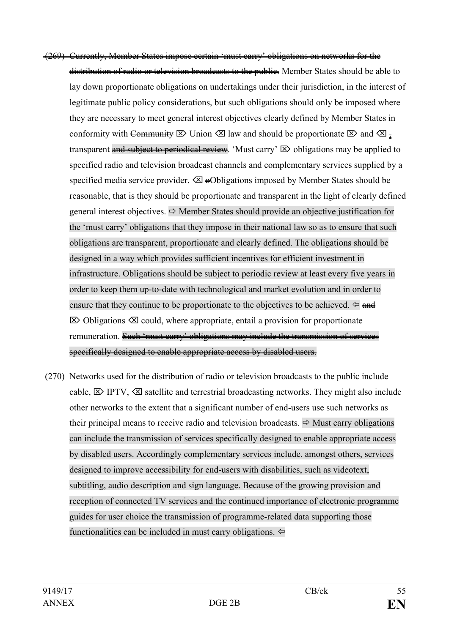- (269) Currently, Member States impose certain 'must carry' obligations on networks for the distribution of radio or television broadcasts to the public. Member States should be able to lay down proportionate obligations on undertakings under their jurisdiction, in the interest of legitimate public policy considerations, but such obligations should only be imposed where they are necessary to meet general interest objectives clearly defined by Member States in conformity with Community  $\boxtimes$  Union  $\boxtimes$  law and should be proportionate  $\boxtimes$  and  $\boxtimes$ . transparent and subject to periodical review. 'Must carry'  $\boxtimes$  obligations may be applied to specified radio and television broadcast channels and complementary services supplied by a specified media service provider.  $\boxtimes \oplus$ Obligations imposed by Member States should be reasonable, that is they should be proportionate and transparent in the light of clearly defined general interest objectives.  $\Rightarrow$  Member States should provide an objective justification for the 'must carry' obligations that they impose in their national law so as to ensure that such obligations are transparent, proportionate and clearly defined. The obligations should be designed in a way which provides sufficient incentives for efficient investment in infrastructure. Obligations should be subject to periodic review at least every five years in order to keep them up-to-date with technological and market evolution and in order to ensure that they continue to be proportionate to the objectives to be achieved.  $\Leftrightarrow$  and  $\boxtimes$  Obligations  $\boxtimes$  could, where appropriate, entail a provision for proportionate remuneration. Such 'must carry' obligations may include the transmission of services specifically designed to enable appropriate access by disabled users.
- (270) Networks used for the distribution of radio or television broadcasts to the public include cable,  $\boxtimes$  IPTV,  $\boxtimes$  satellite and terrestrial broadcasting networks. They might also include other networks to the extent that a significant number of end-users use such networks as their principal means to receive radio and television broadcasts.  $\Rightarrow$  Must carry obligations can include the transmission of services specifically designed to enable appropriate access by disabled users. Accordingly complementary services include, amongst others, services designed to improve accessibility for end-users with disabilities, such as videotext, subtitling, audio description and sign language. Because of the growing provision and reception of connected TV services and the continued importance of electronic programme guides for user choice the transmission of programme-related data supporting those functionalities can be included in must carry obligations.  $\Leftrightarrow$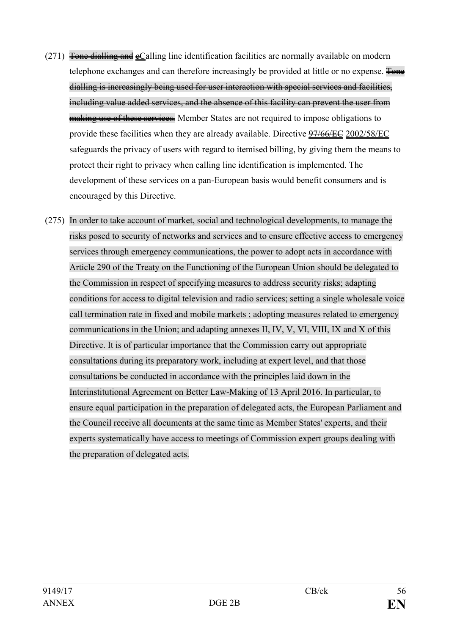- $(271)$  Tone dialling and eCalling line identification facilities are normally available on modern telephone exchanges and can therefore increasingly be provided at little or no expense. To dialling is increasingly being used for user interaction with special services and facilities, including value added services, and the absence of this facility can prevent the user from making use of these services. Member States are not required to impose obligations to provide these facilities when they are already available. Directive  $\frac{97}{66}$  (EQ 2002/58/EC safeguards the privacy of users with regard to itemised billing, by giving them the means to protect their right to privacy when calling line identification is implemented. The development of these services on a pan-European basis would benefit consumers and is encouraged by this Directive.
- (275) In order to take account of market, social and technological developments, to manage the risks posed to security of networks and services and to ensure effective access to emergency services through emergency communications, the power to adopt acts in accordance with Article 290 of the Treaty on the Functioning of the European Union should be delegated to the Commission in respect of specifying measures to address security risks; adapting conditions for access to digital television and radio services; setting a single wholesale voice call termination rate in fixed and mobile markets ; adopting measures related to emergency communications in the Union; and adapting annexes II, IV, V, VI, VIII, IX and X of this Directive. It is of particular importance that the Commission carry out appropriate consultations during its preparatory work, including at expert level, and that those consultations be conducted in accordance with the principles laid down in the Interinstitutional Agreement on Better Law-Making of 13 April 2016. In particular, to ensure equal participation in the preparation of delegated acts, the European Parliament and the Council receive all documents at the same time as Member States' experts, and their experts systematically have access to meetings of Commission expert groups dealing with the preparation of delegated acts.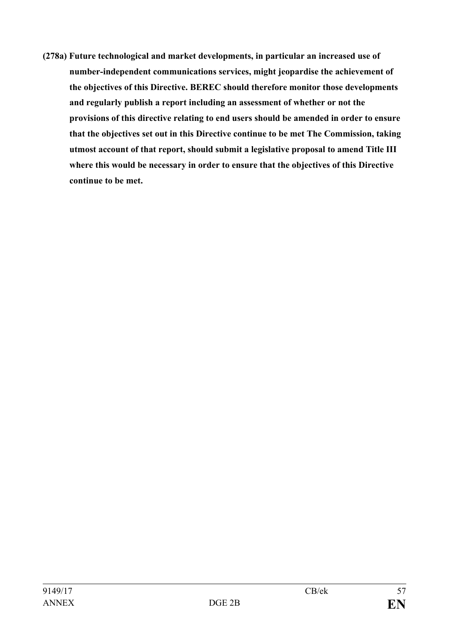**(278a) Future technological and market developments, in particular an increased use of number-independent communications services, might jeopardise the achievement of the objectives of this Directive. BEREC should therefore monitor those developments and regularly publish a report including an assessment of whether or not the provisions of this directive relating to end users should be amended in order to ensure that the objectives set out in this Directive continue to be met The Commission, taking utmost account of that report, should submit a legislative proposal to amend Title III where this would be necessary in order to ensure that the objectives of this Directive continue to be met.**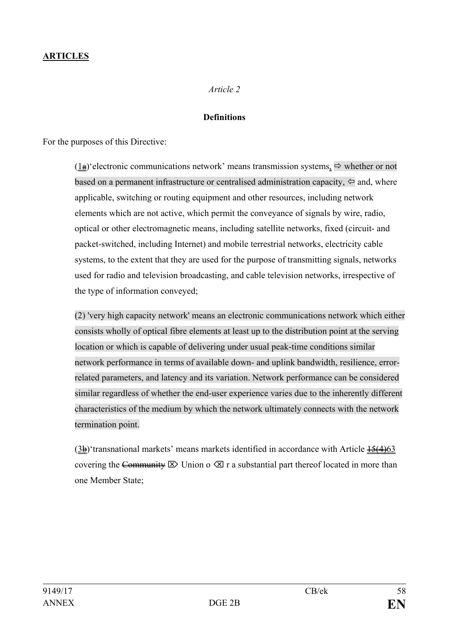#### **ARTICLES**

#### *Article 2*

#### **Definitions**

For the purposes of this Directive:

 $(1a)$ 'electronic communications network' means transmission systems,  $\Rightarrow$  whether or not based on a permanent infrastructure or centralised administration capacity,  $\Leftarrow$  and, where applicable, switching or routing equipment and other resources, including network elements which are not active, which permit the conveyance of signals by wire, radio, optical or other electromagnetic means, including satellite networks, fixed (circuit- and packet-switched, including Internet) and mobile terrestrial networks, electricity cable systems, to the extent that they are used for the purpose of transmitting signals, networks used for radio and television broadcasting, and cable television networks, irrespective of the type of information conveyed;

(2) 'very high capacity network' means an electronic communications network which either consists wholly of optical fibre elements at least up to the distribution point at the serving location or which is capable of delivering under usual peak-time conditions similar network performance in terms of available down- and uplink bandwidth, resilience, errorrelated parameters, and latency and its variation. Network performance can be considered similar regardless of whether the end-user experience varies due to the inherently different characteristics of the medium by which the network ultimately connects with the network termination point.

 $(3\frac{1}{2})$ <sup>t</sup>ransnational markets' means markets identified in accordance with Article  $\frac{15(4)}{6}$ covering the Community  $\boxtimes$  Union o  $\boxtimes$  r a substantial part thereof located in more than one Member State;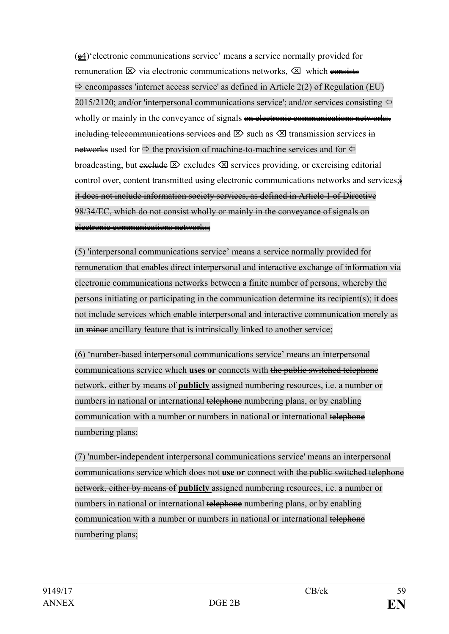$(e4)$ 'electronic communications service' means a service normally provided for remuneration  $\boxtimes$  via electronic communications networks,  $\boxtimes$  which consists  $\Rightarrow$  encompasses 'internet access service' as defined in Article 2(2) of Regulation (EU) 2015/2120; and/or 'interpersonal communications service'; and/or services consisting  $\Leftrightarrow$ wholly or mainly in the conveyance of signals on electronic communications networks, including telecommunications services and  $\boxtimes$  such as  $\boxtimes$  transmission services in networks used for  $\Rightarrow$  the provision of machine-to-machine services and for  $\Leftrightarrow$ broadcasting, but excludes  $\otimes$  excludes  $\otimes$  services providing, or exercising editorial control over, content transmitted using electronic communications networks and services; it does not include information society services, as defined in Article 1 of Directive 98/34/EC, which do not consist wholly or mainly in the conveyance of signals on electronic communications networks;

(5) 'interpersonal communications service' means a service normally provided for remuneration that enables direct interpersonal and interactive exchange of information via electronic communications networks between a finite number of persons, whereby the persons initiating or participating in the communication determine its recipient(s); it does not include services which enable interpersonal and interactive communication merely as a**n** minor ancillary feature that is intrinsically linked to another service;

(6) 'number-based interpersonal communications service' means an interpersonal communications service which **uses or** connects with the public switched telephone network, either by means of **publicly** assigned numbering resources, i.e. a number or numbers in national or international telephone numbering plans, or by enabling communication with a number or numbers in national or international telephone numbering plans;

(7) 'number-independent interpersonal communications service' means an interpersonal communications service which does not **use or** connect with the public switched telephone network, either by means of **publicly** assigned numbering resources, i.e. a number or numbers in national or international telephone numbering plans, or by enabling communication with a number or numbers in national or international telephone numbering plans;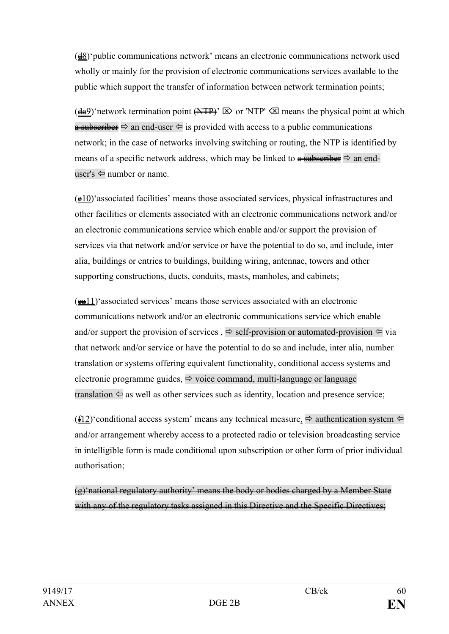(d8)'public communications network' means an electronic communications network used wholly or mainly for the provision of electronic communications services available to the public which support the transfer of information between network termination points;

 $(d\mathbf{a}^g)$ 'network termination point  $\overrightarrow{ATP}$ '  $\overrightarrow{D}$  or 'NTP'  $\overrightarrow{2}$  means the physical point at which a subscriber  $\Rightarrow$  an end-user  $\Leftrightarrow$  is provided with access to a public communications network; in the case of networks involving switching or routing, the NTP is identified by means of a specific network address, which may be linked to a subscriber  $\Rightarrow$  an enduser's  $\Leftrightarrow$  number or name.

 $(e10)$ 'associated facilities' means those associated services, physical infrastructures and other facilities or elements associated with an electronic communications network and/or an electronic communications service which enable and/or support the provision of services via that network and/or service or have the potential to do so, and include, inter alia, buildings or entries to buildings, building wiring, antennae, towers and other supporting constructions, ducts, conduits, masts, manholes, and cabinets;

(ea11)'associated services' means those services associated with an electronic communications network and/or an electronic communications service which enable and/or support the provision of services,  $\Rightarrow$  self-provision or automated-provision  $\Leftrightarrow$  via that network and/or service or have the potential to do so and include, inter alia, number translation or systems offering equivalent functionality, conditional access systems and electronic programme guides,  $\Rightarrow$  voice command, multi-language or language translation  $\Leftrightarrow$  as well as other services such as identity, location and presence service;

 $(\underline{f12})$ 'conditional access system' means any technical measure,  $\Rightarrow$  authentication system  $\Leftrightarrow$ and/or arrangement whereby access to a protected radio or television broadcasting service in intelligible form is made conditional upon subscription or other form of prior individual authorisation;

(g)'national regulatory authority' means the body or bodies charged by a Member State with any of the regulatory tasks assigned in this Directive and the Specific Directives;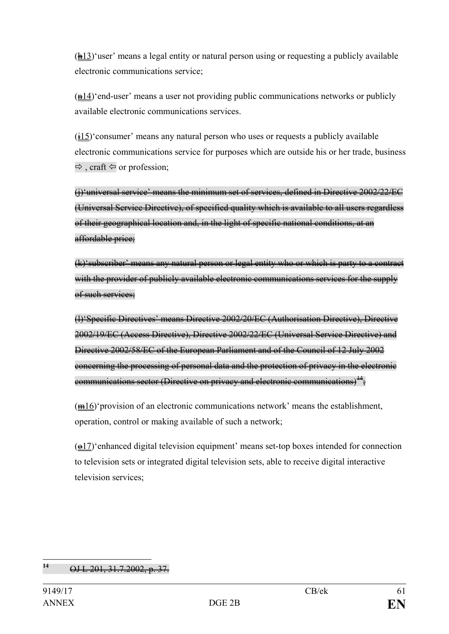$(\pm 13)'$ user' means a legal entity or natural person using or requesting a publicly available electronic communications service;

 $(\pm 14)$ 'end-user' means a user not providing public communications networks or publicly available electronic communications services.

 $(i15)'$ consumer' means any natural person who uses or requests a publicly available electronic communications service for purposes which are outside his or her trade, business  $\Rightarrow$ , craft  $\Leftrightarrow$  or profession;

(j)'universal service' means the minimum set of services, defined in Directive 2002/22/EC (Universal Service Directive), of specified quality which is available to all users regardless of their geographical location and, in the light of specific national conditions, at an affordable price;

(k)'subscriber' means any natural person or legal entity who or which is party to a contract with the provider of publicly available electronic communications services for the supply of such services:

(l)'Specific Directives' means Directive 2002/20/EC (Authorisation Directive), Directive 2002/19/EC (Access Directive), Directive 2002/22/EC (Universal Service Directive) and Directive 2002/58/EC of the European Parliament and of the Council of 12 July 2002 concerning the processing of personal data and the protection of privacy in the electronic communications sector (Directive on privacy and electronic communications) $^{14}$ ;

 $(\frac{m16}{m16})$ 'provision of an electronic communications network' means the establishment, operation, control or making available of such a network;

 $\left(\frac{0}{2}\right)^{6}$  enhanced digital television equipment' means set-top boxes intended for connection to television sets or integrated digital television sets, able to receive digital interactive television services;

<sup>14</sup> **OJ L 201, 31.7.2002, p. 37.**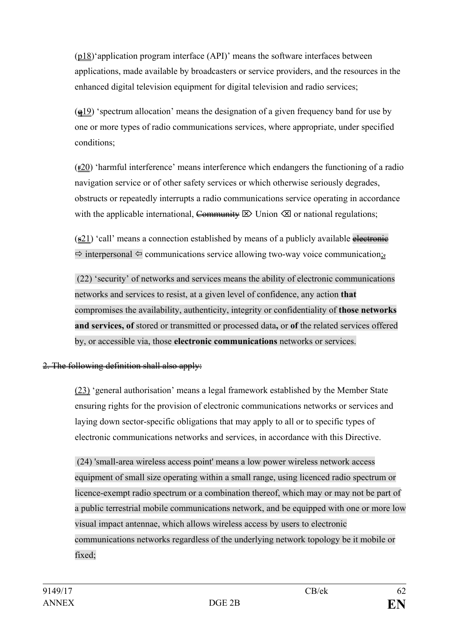$(p18)$ 'application program interface (API)' means the software interfaces between applications, made available by broadcasters or service providers, and the resources in the enhanced digital television equipment for digital television and radio services;

 $(419)$  'spectrum allocation' means the designation of a given frequency band for use by one or more types of radio communications services, where appropriate, under specified conditions;

 $(\pm 20)$  'harmful interference' means interference which endangers the functioning of a radio navigation service or of other safety services or which otherwise seriously degrades, obstructs or repeatedly interrupts a radio communications service operating in accordance with the applicable international, Community  $\boxtimes$  Union  $\boxtimes$  or national regulations;

 $\left(\frac{21}{21}\right)$  'call' means a connection established by means of a publicly available electronic  $\Rightarrow$  interpersonal  $\Leftarrow$  communications service allowing two-way voice communication;

(22) 'security' of networks and services means the ability of electronic communications networks and services to resist, at a given level of confidence, any action **that** compromises the availability, authenticity, integrity or confidentiality of **those networks and services, of** stored or transmitted or processed data**,** or **of** the related services offered by, or accessible via, those **electronic communications** networks or services.

#### 2. The following definition shall also apply:

(23) 'general authorisation' means a legal framework established by the Member State ensuring rights for the provision of electronic communications networks or services and laying down sector-specific obligations that may apply to all or to specific types of electronic communications networks and services, in accordance with this Directive.

(24) 'small-area wireless access point' means a low power wireless network access equipment of small size operating within a small range, using licenced radio spectrum or licence-exempt radio spectrum or a combination thereof, which may or may not be part of a public terrestrial mobile communications network, and be equipped with one or more low visual impact antennae, which allows wireless access by users to electronic communications networks regardless of the underlying network topology be it mobile or fixed;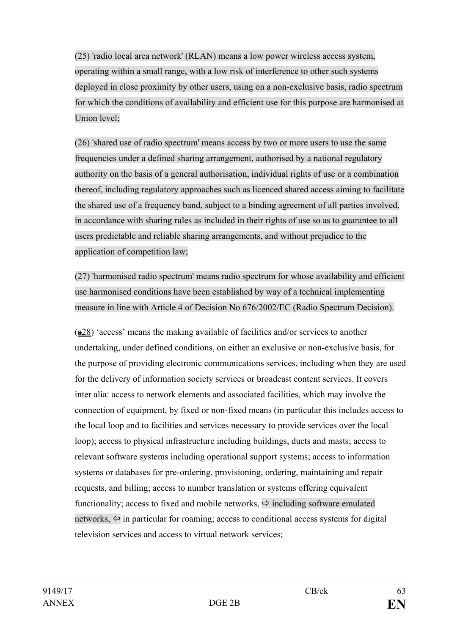(25) 'radio local area network' (RLAN) means a low power wireless access system, operating within a small range, with a low risk of interference to other such systems deployed in close proximity by other users, using on a non-exclusive basis, radio spectrum for which the conditions of availability and efficient use for this purpose are harmonised at Union level;

(26) 'shared use of radio spectrum' means access by two or more users to use the same frequencies under a defined sharing arrangement, authorised by a national regulatory authority on the basis of a general authorisation, individual rights of use or a combination thereof, including regulatory approaches such as licenced shared access aiming to facilitate the shared use of a frequency band, subject to a binding agreement of all parties involved, in accordance with sharing rules as included in their rights of use so as to guarantee to all users predictable and reliable sharing arrangements, and without prejudice to the application of competition law;

(27) 'harmonised radio spectrum' means radio spectrum for whose availability and efficient use harmonised conditions have been established by way of a technical implementing measure in line with Article 4 of Decision No 676/2002/EC (Radio Spectrum Decision).

 $\left(\frac{28}{8}\right)$  'access' means the making available of facilities and/or services to another undertaking, under defined conditions, on either an exclusive or non-exclusive basis, for the purpose of providing electronic communications services, including when they are used for the delivery of information society services or broadcast content services. It covers inter alia: access to network elements and associated facilities, which may involve the connection of equipment, by fixed or non-fixed means (in particular this includes access to the local loop and to facilities and services necessary to provide services over the local loop); access to physical infrastructure including buildings, ducts and masts; access to relevant software systems including operational support systems; access to information systems or databases for pre-ordering, provisioning, ordering, maintaining and repair requests, and billing; access to number translation or systems offering equivalent functionality; access to fixed and mobile networks,  $\Rightarrow$  including software emulated networks,  $\Leftrightarrow$  in particular for roaming; access to conditional access systems for digital television services and access to virtual network services;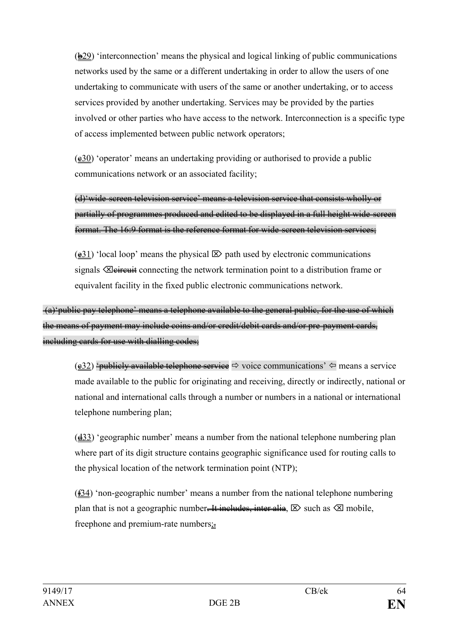$(\frac{1}{29})$  'interconnection' means the physical and logical linking of public communications networks used by the same or a different undertaking in order to allow the users of one undertaking to communicate with users of the same or another undertaking, or to access services provided by another undertaking. Services may be provided by the parties involved or other parties who have access to the network. Interconnection is a specific type of access implemented between public network operators;

 $(\underline{\text{e30}})$  'operator' means an undertaking providing or authorised to provide a public communications network or an associated facility;

(d)'wide screen television service' means a television service that consists wholly or partially of programmes produced and edited to be displayed in a full height wide screen format. The 16:9 format is the reference format for wide screen television services;

( $e31$ ) 'local loop' means the physical  $\boxtimes$  path used by electronic communications signals  $\overline{\mathcal{L}}$  einvestigated the network termination point to a distribution frame or equivalent facility in the fixed public electronic communications network.

 (a)'public pay telephone' means a telephone available to the general public, for the use of which the means of payment may include coins and/or credit/debit cards and/or pre payment cards, including cards for use with dialling codes;

 $(e32)$  'publicly available telephone service  $\Rightarrow$  voice communications'  $\Leftarrow$  means a service made available to the public for originating and receiving, directly or indirectly, national or national and international calls through a number or numbers in a national or international telephone numbering plan;

 $(\cancel{4}33)$  'geographic number' means a number from the national telephone numbering plan where part of its digit structure contains geographic significance used for routing calls to the physical location of the network termination point (NTP);

 $(f_34)$  'non-geographic number' means a number from the national telephone numbering plan that is not a geographic number. It includes, inter alia,  $\boxtimes$  such as  $\boxtimes$  mobile, freephone and premium-rate numbers;.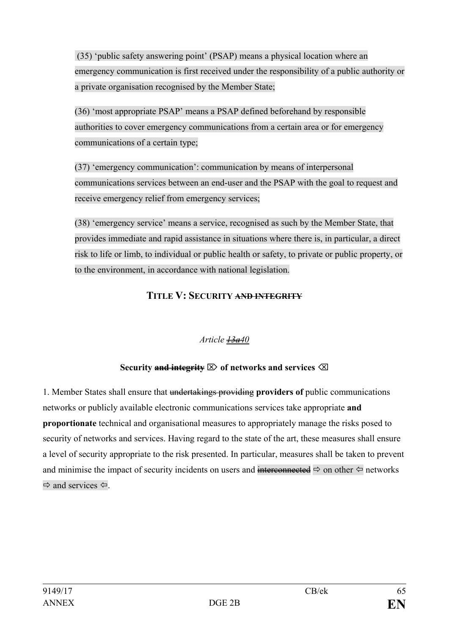(35) 'public safety answering point' (PSAP) means a physical location where an emergency communication is first received under the responsibility of a public authority or a private organisation recognised by the Member State;

(36) 'most appropriate PSAP' means a PSAP defined beforehand by responsible authorities to cover emergency communications from a certain area or for emergency communications of a certain type;

(37) 'emergency communication': communication by means of interpersonal communications services between an end-user and the PSAP with the goal to request and receive emergency relief from emergency services;

(38) 'emergency service' means a service, recognised as such by the Member State, that provides immediate and rapid assistance in situations where there is, in particular, a direct risk to life or limb, to individual or public health or safety, to private or public property, or to the environment, in accordance with national legislation.

### **TITLE V: SECURITY AND INTEGRITY**

### *Article 13a40*

### **Security <del>and integrity</del>**  $\boxtimes$  of networks and services  $\boxtimes$

1. Member States shall ensure that undertakings providing **providers of** public communications networks or publicly available electronic communications services take appropriate **and proportionate** technical and organisational measures to appropriately manage the risks posed to security of networks and services. Having regard to the state of the art, these measures shall ensure a level of security appropriate to the risk presented. In particular, measures shall be taken to prevent and minimise the impact of security incidents on users and interconnected  $\Rightarrow$  on other  $\Leftarrow$  networks  $\Rightarrow$  and services  $\Leftarrow$ .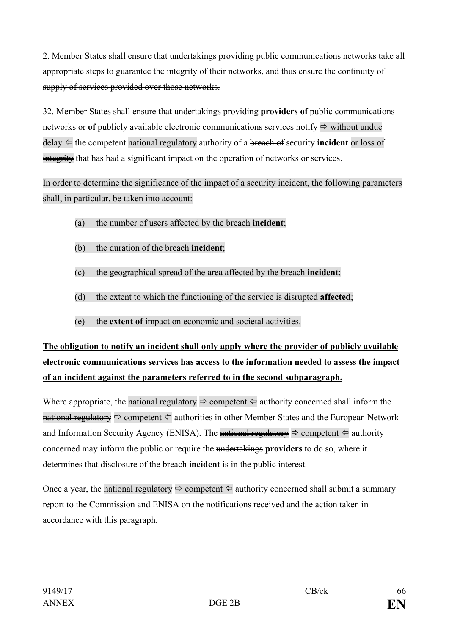2. Member States shall ensure that undertakings providing public communications networks take all appropriate steps to guarantee the integrity of their networks, and thus ensure the continuity of supply of services provided over those networks.

32. Member States shall ensure that undertakings providing **providers of** public communications networks or **of** publicly available electronic communications services notify  $\Rightarrow$  without undue delay  $\Leftrightarrow$  the competent national regulatory authority of a breach of security **incident** or loss of integrity that has had a significant impact on the operation of networks or services.

In order to determine the significance of the impact of a security incident, the following parameters shall, in particular, be taken into account:

- (a) the number of users affected by the breach **incident**;
- (b) the duration of the breach **incident**;
- (c) the geographical spread of the area affected by the breach **incident**;
- (d) the extent to which the functioning of the service is disrupted **affected**;
- (e) the **extent of** impact on economic and societal activities.

# **The obligation to notify an incident shall only apply where the provider of publicly available electronic communications services has access to the information needed to assess the impact of an incident against the parameters referred to in the second subparagraph.**

Where appropriate, the nucleonal regulatory  $\Rightarrow$  competent  $\Leftarrow$  authority concerned shall inform the national regulatory  $\Rightarrow$  competent  $\Leftarrow$  authorities in other Member States and the European Network and Information Security Agency (ENISA). The nettional regulatory  $\Rightarrow$  competent  $\Leftarrow$  authority concerned may inform the public or require the undertakings **providers** to do so, where it determines that disclosure of the breach **incident** is in the public interest.

Once a year, the national regulatory  $\Rightarrow$  competent  $\Leftarrow$  authority concerned shall submit a summary report to the Commission and ENISA on the notifications received and the action taken in accordance with this paragraph.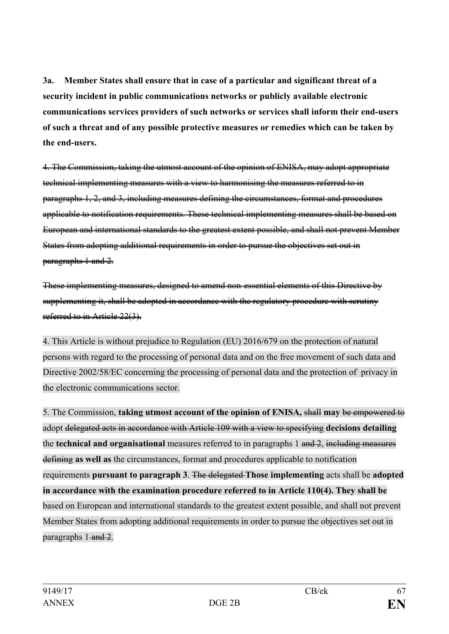**3a. Member States shall ensure that in case of a particular and significant threat of a security incident in public communications networks or publicly available electronic communications services providers of such networks or services shall inform their end-users of such a threat and of any possible protective measures or remedies which can be taken by the end-users.**

4. The Commission, taking the utmost account of the opinion of ENISA, may adopt appropriate technical implementing measures with a view to harmonising the measures referred to in paragraphs 1, 2, and 3, including measures defining the circumstances, format and procedures applicable to notification requirements. These technical implementing measures shall be based on European and international standards to the greatest extent possible, and shall not prevent Member States from adopting additional requirements in order to pursue the objectives set out in paragraphs 1 and 2.

These implementing measures, designed to amend non essential elements of this Directive by supplementing it, shall be adopted in accordance with the regulatory procedure with scrutiny referred to in Article 22(3).

4. This Article is without prejudice to Regulation (EU) 2016/679 on the protection of natural persons with regard to the processing of personal data and on the free movement of such data and Directive 2002/58/EC concerning the processing of personal data and the protection of privacy in the electronic communications sector.

5. The Commission, **taking utmost account of the opinion of ENISA,** shall **may** be empowered to adopt delegated acts in accordance with Article 109 with a view to specifying **decisions detailing**  the **technical and organisational** measures referred to in paragraphs 1 and 2, including measures defining **as well as** the circumstances, format and procedures applicable to notification requirements **pursuant to paragraph 3**. The delegated **Those implementing** acts shall be **adopted in accordance with the examination procedure referred to in Article 110(4). They shall be**  based on European and international standards to the greatest extent possible, and shall not prevent Member States from adopting additional requirements in order to pursue the objectives set out in paragraphs 1-and 2.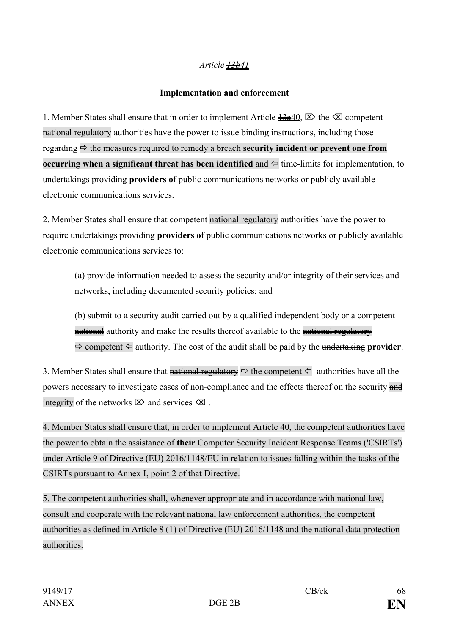### *Article 13b41*

#### **Implementation and enforcement**

1. Member States shall ensure that in order to implement Article  $\frac{13a}{0}$ ,  $\boxtimes$  the  $\boxtimes$  competent **national regulatory** authorities have the power to issue binding instructions, including those regarding  $\Rightarrow$  the measures required to remedy a breach **security incident or prevent one from occurring when a significant threat has been identified** and  $\Leftarrow$  time-limits for implementation, to undertakings providing **providers of** public communications networks or publicly available electronic communications services.

2. Member States shall ensure that competent national regulatory authorities have the power to require undertakings providing **providers of** public communications networks or publicly available electronic communications services to:

(a) provide information needed to assess the security and/or integrity of their services and networks, including documented security policies; and

(b) submit to a security audit carried out by a qualified independent body or a competent national authority and make the results thereof available to the national regulatory  $\Rightarrow$  competent  $\Leftarrow$  authority. The cost of the audit shall be paid by the undertaking provider.

3. Member States shall ensure that nuclearly regulatory  $\Rightarrow$  the competent  $\Leftarrow$  authorities have all the powers necessary to investigate cases of non-compliance and the effects thereof on the security and integrity of the networks  $\boxtimes$  and services  $\boxtimes$ .

4. Member States shall ensure that, in order to implement Article 40, the competent authorities have the power to obtain the assistance of **their** Computer Security Incident Response Teams ('CSIRTs') under Article 9 of Directive (EU) 2016/1148/EU in relation to issues falling within the tasks of the CSIRTs pursuant to Annex I, point 2 of that Directive.

5. The competent authorities shall, whenever appropriate and in accordance with national law, consult and cooperate with the relevant national law enforcement authorities, the competent authorities as defined in Article 8 (1) of Directive (EU) 2016/1148 and the national data protection authorities.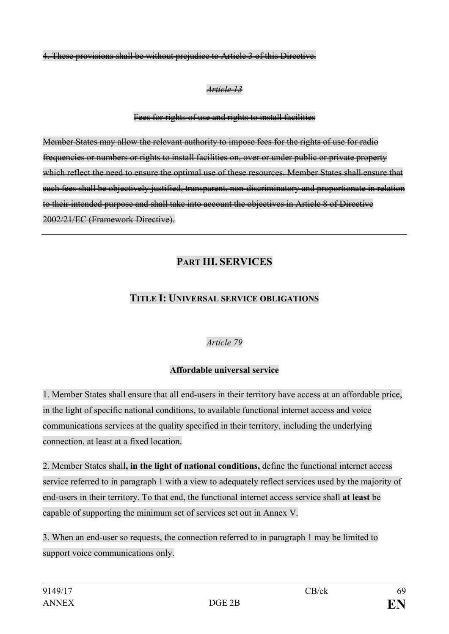4. These provisions shall be without prejudice to Article 3 of this Directive.

#### *Article 13*

#### Fees for rights of use and rights to install facilities

Member States may allow the relevant authority to impose fees for the rights of use for radio frequencies or numbers or rights to install facilities on, over or under public or private property which reflect the need to ensure the optimal use of these resources. Member States shall ensure that such fees shall be objectively justified, transparent, non discriminatory and proportionate in relation to their intended purpose and shall take into account the objectives in Article 8 of Directive 2002/21/EC (Framework Directive).

## **PART III. SERVICES**

### **TITLE I: UNIVERSAL SERVICE OBLIGATIONS**

### *Article 79*

#### **Affordable universal service**

1. Member States shall ensure that all end-users in their territory have access at an affordable price, in the light of specific national conditions, to available functional internet access and voice communications services at the quality specified in their territory, including the underlying connection, at least at a fixed location.

2. Member States shall**, in the light of national conditions,** define the functional internet access service referred to in paragraph 1 with a view to adequately reflect services used by the majority of end-users in their territory. To that end, the functional internet access service shall **at least** be capable of supporting the minimum set of services set out in Annex V.

3. When an end-user so requests, the connection referred to in paragraph 1 may be limited to support voice communications only.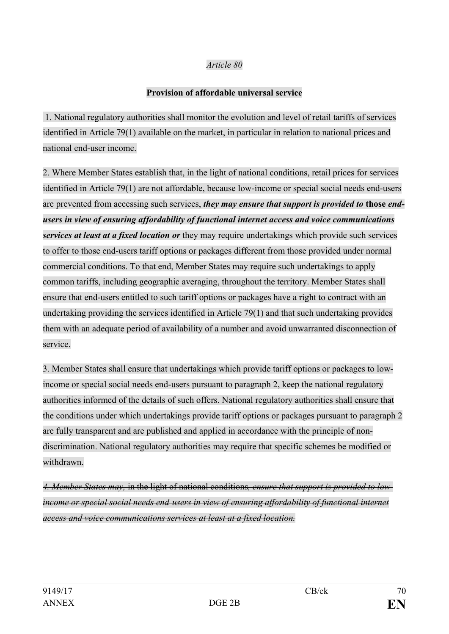#### *Article 80*

#### **Provision of affordable universal service**

1. National regulatory authorities shall monitor the evolution and level of retail tariffs of services identified in Article 79(1) available on the market, in particular in relation to national prices and national end-user income.

2. Where Member States establish that, in the light of national conditions, retail prices for services identified in Article 79(1) are not affordable, because low-income or special social needs end-users are prevented from accessing such services, *they may ensure that support is provided to* **those** *endusers in view of ensuring affordability of functional internet access and voice communications services at least at a fixed location or* they may require undertakings which provide such services to offer to those end-users tariff options or packages different from those provided under normal commercial conditions. To that end, Member States may require such undertakings to apply common tariffs, including geographic averaging, throughout the territory. Member States shall ensure that end-users entitled to such tariff options or packages have a right to contract with an undertaking providing the services identified in Article 79(1) and that such undertaking provides them with an adequate period of availability of a number and avoid unwarranted disconnection of service.

3. Member States shall ensure that undertakings which provide tariff options or packages to lowincome or special social needs end-users pursuant to paragraph 2, keep the national regulatory authorities informed of the details of such offers. National regulatory authorities shall ensure that the conditions under which undertakings provide tariff options or packages pursuant to paragraph 2 are fully transparent and are published and applied in accordance with the principle of nondiscrimination. National regulatory authorities may require that specific schemes be modified or withdrawn.

*4. Member States may,* in the light of national conditions*, ensure that support is provided to low income or special social needs end users in view of ensuring affordability of functional internet access and voice communications services at least at a fixed location.*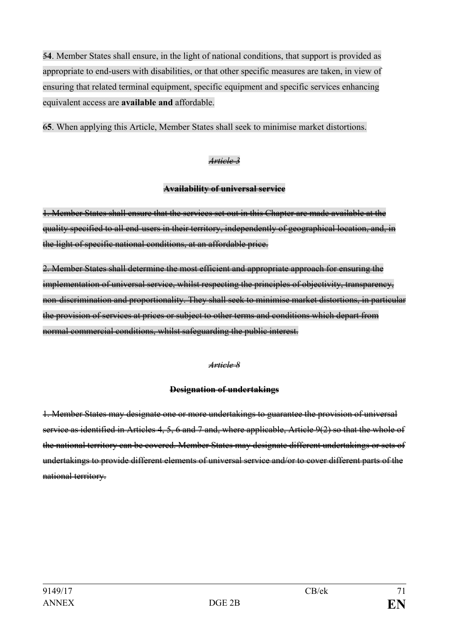5**4**. Member States shall ensure, in the light of national conditions, that support is provided as appropriate to end-users with disabilities, or that other specific measures are taken, in view of ensuring that related terminal equipment, specific equipment and specific services enhancing equivalent access are **available and** affordable.

6**5**. When applying this Article, Member States shall seek to minimise market distortions.

#### *Article 3*

#### **Availability of universal service**

1. Member States shall ensure that the services set out in this Chapter are made available at the quality specified to all end users in their territory, independently of geographical location, and, in the light of specific national conditions, at an affordable price.

2. Member States shall determine the most efficient and appropriate approach for ensuring the implementation of universal service, whilst respecting the principles of objectivity, transparency, non discrimination and proportionality. They shall seek to minimise market distortions, in particular the provision of services at prices or subject to other terms and conditions which depart from normal commercial conditions, whilst safeguarding the public interest.

#### *Article 8*

#### **Designation of undertakings**

1. Member States may designate one or more undertakings to guarantee the provision of universal service as identified in Articles 4, 5, 6 and 7 and, where applicable, Article 9(2) so that the whole of the national territory can be covered. Member States may designate different undertakings or sets of undertakings to provide different elements of universal service and/or to cover different parts of the national territory.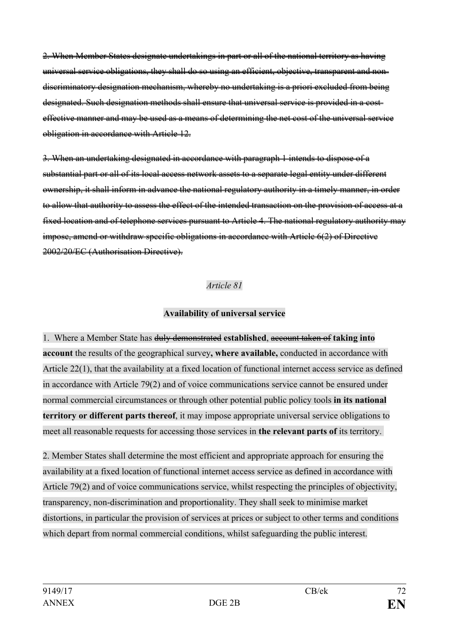2. When Member States designate undertakings in part or all of the national territory as having universal service obligations, they shall do so using an efficient, objective, transparent and non discriminatory designation mechanism, whereby no undertaking is a priori excluded from being designated. Such designation methods shall ensure that universal service is provided in a cost effective manner and may be used as a means of determining the net cost of the universal service obligation in accordance with Article 12.

3. When an undertaking designated in accordance with paragraph 1 intends to dispose of a substantial part or all of its local access network assets to a separate legal entity under different ownership, it shall inform in advance the national regulatory authority in a timely manner, in order to allow that authority to assess the effect of the intended transaction on the provision of access at a fixed location and of telephone services pursuant to Article 4. The national regulatory authority may impose, amend or withdraw specific obligations in accordance with Article 6(2) of Directive 2002/20/EC (Authorisation Directive).

### *Article 81*

#### **Availability of universal service**

1. Where a Member State has duly demonstrated **established**, account taken of **taking into account** the results of the geographical survey**, where available,** conducted in accordance with Article 22(1), that the availability at a fixed location of functional internet access service as defined in accordance with Article 79(2) and of voice communications service cannot be ensured under normal commercial circumstances or through other potential public policy tools **in its national territory or different parts thereof**, it may impose appropriate universal service obligations to meet all reasonable requests for accessing those services in **the relevant parts of** its territory.

2. Member States shall determine the most efficient and appropriate approach for ensuring the availability at a fixed location of functional internet access service as defined in accordance with Article 79(2) and of voice communications service, whilst respecting the principles of objectivity, transparency, non-discrimination and proportionality. They shall seek to minimise market distortions, in particular the provision of services at prices or subject to other terms and conditions which depart from normal commercial conditions, whilst safeguarding the public interest.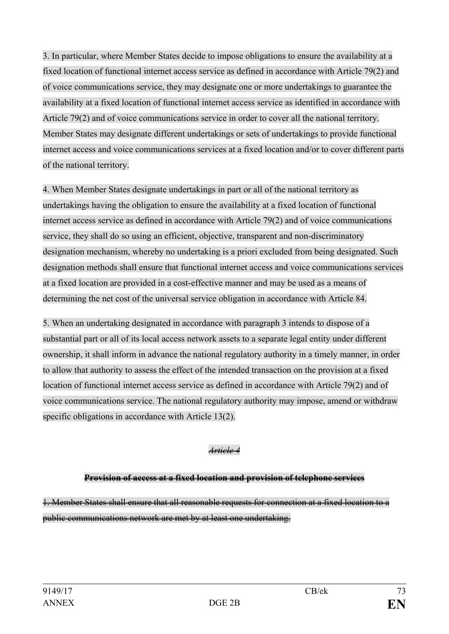3. In particular, where Member States decide to impose obligations to ensure the availability at a fixed location of functional internet access service as defined in accordance with Article 79(2) and of voice communications service, they may designate one or more undertakings to guarantee the availability at a fixed location of functional internet access service as identified in accordance with Article 79(2) and of voice communications service in order to cover all the national territory. Member States may designate different undertakings or sets of undertakings to provide functional internet access and voice communications services at a fixed location and/or to cover different parts of the national territory.

4. When Member States designate undertakings in part or all of the national territory as undertakings having the obligation to ensure the availability at a fixed location of functional internet access service as defined in accordance with Article 79(2) and of voice communications service, they shall do so using an efficient, objective, transparent and non-discriminatory designation mechanism, whereby no undertaking is a priori excluded from being designated. Such designation methods shall ensure that functional internet access and voice communications services at a fixed location are provided in a cost-effective manner and may be used as a means of determining the net cost of the universal service obligation in accordance with Article 84.

5. When an undertaking designated in accordance with paragraph 3 intends to dispose of a substantial part or all of its local access network assets to a separate legal entity under different ownership, it shall inform in advance the national regulatory authority in a timely manner, in order to allow that authority to assess the effect of the intended transaction on the provision at a fixed location of functional internet access service as defined in accordance with Article 79(2) and of voice communications service. The national regulatory authority may impose, amend or withdraw specific obligations in accordance with Article 13(2).

### *Article 4*

### **Provision of access at a fixed location and provision of telephone services**

1. Member States shall ensure that all reasonable requests for connection at a fixed location to a public communications network are met by at least one undertaking.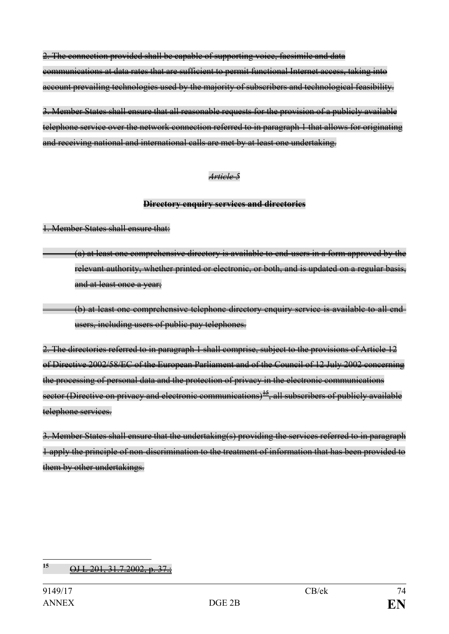2. The connection provided shall be capable of supporting voice, facsimile and data communications at data rates that are sufficient to permit functional Internet access, taking into account prevailing technologies used by the majority of subscribers and technological feasibility.

3. Member States shall ensure that all reasonable requests for the provision of a publicly available telephone service over the network connection referred to in paragraph 1 that allows for originating and receiving national and international calls are met by at least one undertaking.

### *Article 5*

#### **Directory enquiry services and directories**

1. Member States shall ensure that:

(a) at least one comprehensive directory is available to end users in a form approved by the relevant authority, whether printed or electronic, or both, and is updated on a regular basis, and at least once a year;

(b) at least one comprehensive telephone directory enquiry service is available to all end users, including users of public pay telephones.

2. The directories referred to in paragraph 1 shall comprise, subject to the provisions of Article 12 of Directive 2002/58/EC of the European Parliament and of the Council of 12 July 2002 concerning the processing of personal data and the protection of privacy in the electronic communications sector (Directive on privacy and electronic communications)<sup>15</sup>, all subscribers of publicly available telephone services.

3. Member States shall ensure that the undertaking(s) providing the services referred to in paragraph 1 apply the principle of non discrimination to the treatment of information that has been provided to them by other undertakings.

#### 15 **<sup>15</sup>** OJ L 201, 31.7.2002, p. 37.;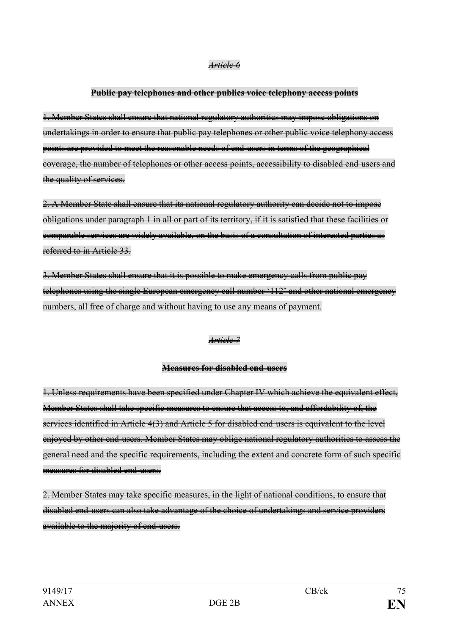#### *Article 6*

#### **Public pay telephones and other publics voice telephony access points**

1. Member States shall ensure that national regulatory authorities may impose obligations on undertakings in order to ensure that public pay telephones or other public voice telephony access points are provided to meet the reasonable needs of end users in terms of the geographical coverage, the number of telephones or other access points, accessibility to disabled end users and the quality of services.

2. A Member State shall ensure that its national regulatory authority can decide not to impose obligations under paragraph 1 in all or part of its territory, if it is satisfied that these facilities or comparable services are widely available, on the basis of a consultation of interested parties as referred to in Article 33.

3. Member States shall ensure that it is possible to make emergency calls from public pay telephones using the single European emergency call number '112' and other national emergency numbers, all free of charge and without having to use any means of payment.

#### *Article 7*

#### **Measures for disabled end users**

1. Unless requirements have been specified under Chapter IV which achieve the equivalent effect, Member States shall take specific measures to ensure that access to, and affordability of, the services identified in Article 4(3) and Article 5 for disabled end users is equivalent to the level enjoyed by other end users. Member States may oblige national regulatory authorities to assess the general need and the specific requirements, including the extent and concrete form of such specific measures for disabled end users.

2. Member States may take specific measures, in the light of national conditions, to ensure that disabled end users can also take advantage of the choice of undertakings and service providers available to the majority of end users.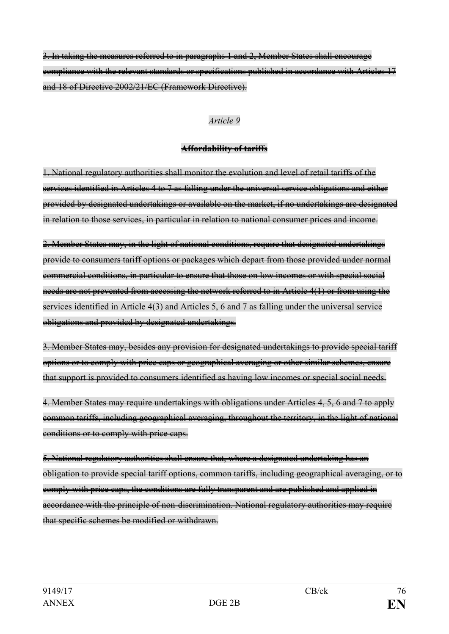3. In taking the measures referred to in paragraphs 1 and 2, Member States shall encourage compliance with the relevant standards or specifications published in accordance with Articles 17 and 18 of Directive 2002/21/EC (Framework Directive).

#### *Article 9*

#### **Affordability of tariffs**

1. National regulatory authorities shall monitor the evolution and level of retail tariffs of the services identified in Articles 4 to 7 as falling under the universal service obligations and either provided by designated undertakings or available on the market, if no undertakings are designated in relation to those services, in particular in relation to national consumer prices and income.

2. Member States may, in the light of national conditions, require that designated undertakings provide to consumers tariff options or packages which depart from those provided under normal commercial conditions, in particular to ensure that those on low incomes or with special social needs are not prevented from accessing the network referred to in Article 4(1) or from using the services identified in Article 4(3) and Articles 5, 6 and 7 as falling under the universal service obligations and provided by designated undertakings.

3. Member States may, besides any provision for designated undertakings to provide special tariff options or to comply with price caps or geographical averaging or other similar schemes, ensure that support is provided to consumers identified as having low incomes or special social needs.

4. Member States may require undertakings with obligations under Articles 4, 5, 6 and 7 to apply common tariffs, including geographical averaging, throughout the territory, in the light of national conditions or to comply with price caps.

5. National regulatory authorities shall ensure that, where a designated undertaking has an obligation to provide special tariff options, common tariffs, including geographical averaging, or to comply with price caps, the conditions are fully transparent and are published and applied in accordance with the principle of non discrimination. National regulatory authorities may require that specific schemes be modified or withdrawn.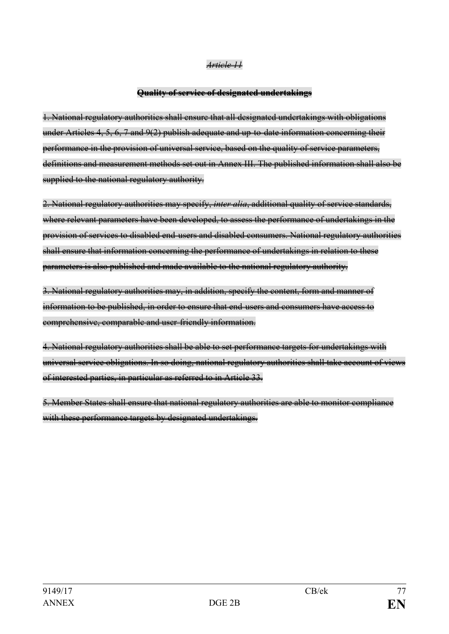#### *Article 11*

#### **Quality of service of designated undertakings**

1. National regulatory authorities shall ensure that all designated undertakings with obligations under Articles 4, 5, 6, 7 and 9(2) publish adequate and up to date information concerning their performance in the provision of universal service, based on the quality of service parameters, definitions and measurement methods set out in Annex III. The published information shall also be supplied to the national regulatory authority.

2. National regulatory authorities may specify, *inter alia*, additional quality of service standards, where relevant parameters have been developed, to assess the performance of undertakings in the provision of services to disabled end users and disabled consumers. National regulatory authorities shall ensure that information concerning the performance of undertakings in relation to these parameters is also published and made available to the national regulatory authority.

3. National regulatory authorities may, in addition, specify the content, form and manner of information to be published, in order to ensure that end users and consumers have access to comprehensive, comparable and user friendly information.

4. National regulatory authorities shall be able to set performance targets for undertakings with universal service obligations. In so doing, national regulatory authorities shall take account of views of interested parties, in particular as referred to in Article 33.

5. Member States shall ensure that national regulatory authorities are able to monitor compliance with these performance targets by designated undertakings.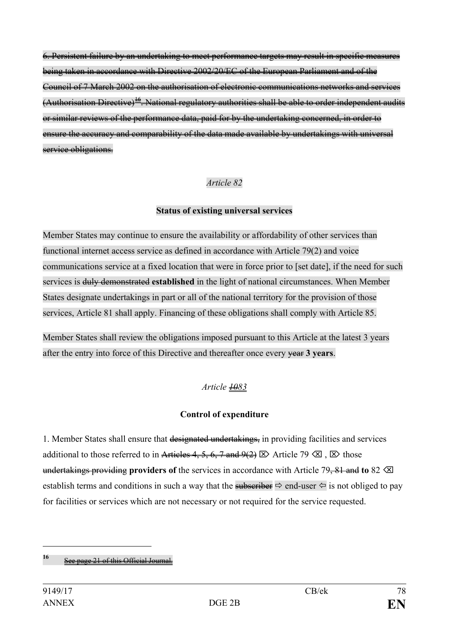6. Persistent failure by an undertaking to meet performance targets may result in specific measures being taken in accordance with Directive 2002/20/EC of the European Parliament and of the Council of 7 March 2002 on the authorisation of electronic communications networks and services  $(A$ uthorisation Directive)<sup>16</sup>. National regulatory authorities shall be able to order independent audits or similar reviews of the performance data, paid for by the undertaking concerned, in order to ensure the accuracy and comparability of the data made available by undertakings with universal service obligations.

### *Article 82*

### **Status of existing universal services**

Member States may continue to ensure the availability or affordability of other services than functional internet access service as defined in accordance with Article 79(2) and voice communications service at a fixed location that were in force prior to [set date], if the need for such services is duly demonstrated **established** in the light of national circumstances. When Member States designate undertakings in part or all of the national territory for the provision of those services, Article 81 shall apply. Financing of these obligations shall comply with Article 85.

Member States shall review the obligations imposed pursuant to this Article at the latest 3 years after the entry into force of this Directive and thereafter once every year **3 years**.

### *Article 1083*

### **Control of expenditure**

1. Member States shall ensure that designated undertakings, in providing facilities and services additional to those referred to in Articles 4, 5, 6, 7 and  $9(2)$   $\boxtimes$  Article 79  $\boxtimes$ ,  $\boxtimes$  those undertakings providing **providers of** the services in accordance with Article 79, 81 and **to** 82 establish terms and conditions in such a way that the subseriber  $\Rightarrow$  end-user  $\Leftarrow$  is not obliged to pay for facilities or services which are not necessary or not required for the service requested.

 $\overline{a}$ 

**<sup>16</sup>** See page 21 of this Official Journal.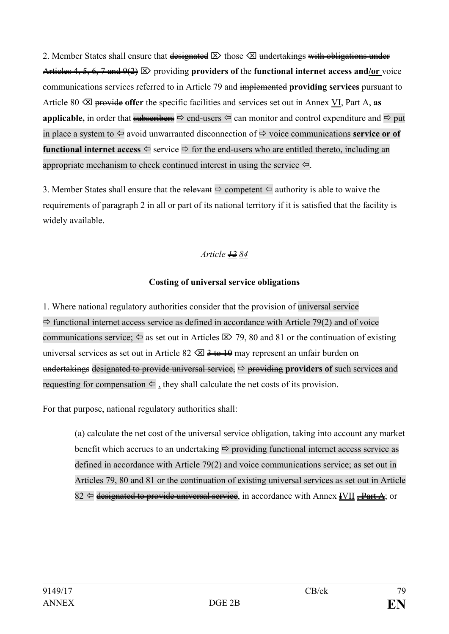2. Member States shall ensure that designated  $\boxtimes$  those  $\boxtimes$  undertakings with obligations under Articles 4, 5, 6, 7 and 9(2) providing **providers of** the **functional internet access and/or** voice communications services referred to in Article 79 and implemented **providing services** pursuant to Article 80  $\otimes$  provide offer the specific facilities and services set out in Annex VI, Part A, as **applicable,** in order that subseribers  $\Rightarrow$  end-users  $\Leftarrow$  can monitor and control expenditure and  $\Rightarrow$  put in place a system to  $\Leftarrow$  avoid unwarranted disconnection of  $\Rightarrow$  voice communications **service or of functional internet access**  $\Leftarrow$  service  $\Rightarrow$  for the end-users who are entitled thereto, including an appropriate mechanism to check continued interest in using the service  $\Leftarrow$ .

3. Member States shall ensure that the relevant  $\Rightarrow$  competent  $\Leftarrow$  authority is able to waive the requirements of paragraph 2 in all or part of its national territory if it is satisfied that the facility is widely available.

### *Article 12 84*

### **Costing of universal service obligations**

1. Where national regulatory authorities consider that the provision of universal service  $\Rightarrow$  functional internet access service as defined in accordance with Article 79(2) and of voice communications service:  $\Leftarrow$  as set out in Articles  $\boxtimes$  79, 80 and 81 or the continuation of existing universal services as set out in Article 82  $\otimes$  3 to 10 may represent an unfair burden on undertakings designated to provide universal service.  $\Rightarrow$  providing **providers of** such services and requesting for compensation  $\Leftarrow$ , they shall calculate the net costs of its provision.

For that purpose, national regulatory authorities shall:

(a) calculate the net cost of the universal service obligation, taking into account any market benefit which accrues to an undertaking  $\Rightarrow$  providing functional internet access service as defined in accordance with Article 79(2) and voice communications service; as set out in Articles 79, 80 and 81 or the continuation of existing universal services as set out in Article 82  $\Leftrightarrow$  designated to provide universal service, in accordance with Annex IVII <del>, Part A</del>; or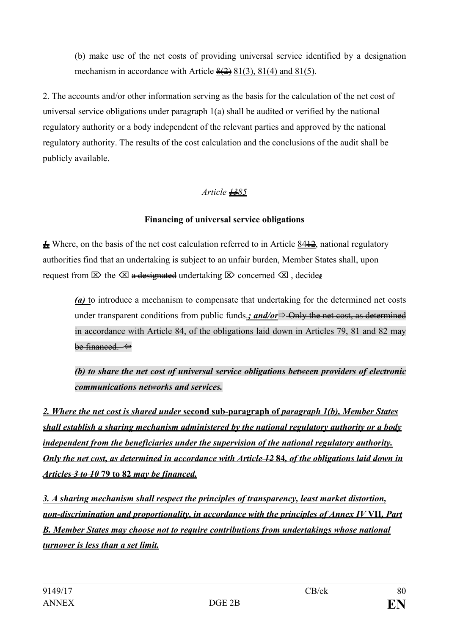(b) make use of the net costs of providing universal service identified by a designation mechanism in accordance with Article  $\frac{8(2)}{2}(3), 81(4)$  and  $81(5)$ .

2. The accounts and/or other information serving as the basis for the calculation of the net cost of universal service obligations under paragraph 1(a) shall be audited or verified by the national regulatory authority or a body independent of the relevant parties and approved by the national regulatory authority. The results of the cost calculation and the conclusions of the audit shall be publicly available.

### *Article 1385*

### **Financing of universal service obligations**

 $\pm$  Where, on the basis of the net cost calculation referred to in Article 84 $\pm$ , national regulatory authorities find that an undertaking is subject to an unfair burden, Member States shall, upon request from  $\boxtimes$  the  $\boxtimes$  a designated undertaking  $\boxtimes$  concerned  $\boxtimes$ , decide<sub>i</sub>

*(a)* to introduce a mechanism to compensate that undertaking for the determined net costs under transparent conditions from public funds.; and/or $\Rightarrow$  Only the net cost, as determined in accordance with Article 84, of the obligations laid down in Articles 79, 81 and 82 may be financed  $\Leftarrow$ 

*(b) to share the net cost of universal service obligations between providers of electronic communications networks and services.*

*2. Where the net cost is shared under* **second sub-paragraph of** *paragraph 1(b), Member States shall establish a sharing mechanism administered by the national regulatory authority or a body independent from the beneficiaries under the supervision of the national regulatory authority. Only the net cost, as determined in accordance with Article 12* **84***, of the obligations laid down in Articles 3 to 10* **79 to 82** *may be financed.*

*3. A sharing mechanism shall respect the principles of transparency, least market distortion, non-discrimination and proportionality, in accordance with the principles of Annex IV* **VII***, Part B. Member States may choose not to require contributions from undertakings whose national turnover is less than a set limit.*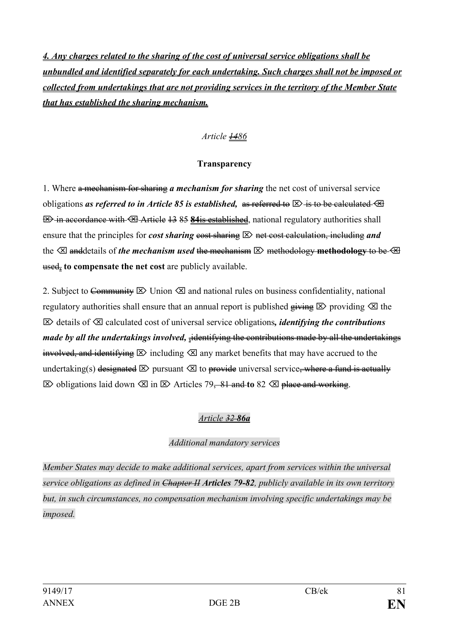*4. Any charges related to the sharing of the cost of universal service obligations shall be unbundled and identified separately for each undertaking. Such charges shall not be imposed or collected from undertakings that are not providing services in the territory of the Member State that has established the sharing mechanism.*

### *Article 1486*

### **Transparency**

1. Where a mechanism for sharing *a mechanism for sharing* the net cost of universal service obligations *as referred to in Article 85 is established*,  $\frac{a}{x}$  referred to  $\infty$  is to be calculated  $\otimes$  in accordance with Article 13 85 **84**is established, national regulatory authorities shall ensure that the principles for *cost sharing*  $\epsilon$  ost sharing  $\mathbb{Z}$  are cost calculation, including *and* the  $\otimes$  and details of *the mechanism used* the mechanism  $\otimes$  methodology methodology to be  $\otimes$ used, **to compensate the net cost** are publicly available.

2. Subject to Community  $\boxtimes$  Union  $\boxtimes$  and national rules on business confidentiality, national regulatory authorities shall ensure that an annual report is published  $\frac{1}{\text{H}} \mathbb{R}$  providing  $\otimes$  the details of calculated cost of universal service obligations*, identifying the contributions made by all the undertakings involved*, *indentifying the contributions made by all the undertakings* involved, and identifying  $\boxtimes$  including  $\boxtimes$  any market benefits that may have accrued to the undertaking(s) designated  $\boxtimes$  pursuant  $\boxtimes$  to provide universal service, where a fund is actually  $\boxtimes$  obligations laid down  $\boxtimes$  in  $\boxtimes$  Articles 79, 81 and **to** 82  $\boxtimes$  place and working.

### *Article 32 86a*

### *Additional mandatory services*

*Member States may decide to make additional services, apart from services within the universal service obligations as defined in Chapter II Articles 79-82, publicly available in its own territory but, in such circumstances, no compensation mechanism involving specific undertakings may be imposed.*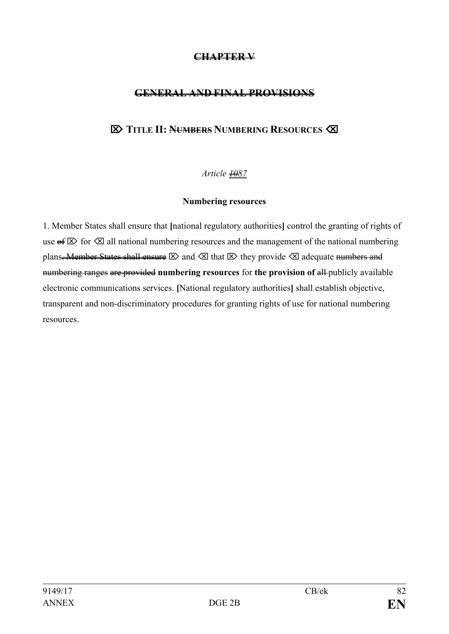### **CHAPTER V**

### **GENERAL AND FINAL PROVISIONS**

## **TEXAS TITLE II: NUMBERS NUMBERING RESOURCES**

### *Article 1087*

### **Numbering resources**

1. Member States shall ensure that **[**national regulatory authorities**]** control the granting of rights of use  $\oplus$   $\cong$  for  $\otimes$  all national numbering resources and the management of the national numbering plans. Member States shall ensure  $\boxtimes$  and  $\boxtimes$  that  $\boxtimes$  they provide  $\boxtimes$  adequate numbers and numbering ranges are provided **numbering resources** for **the provision of** all publicly available electronic communications services. **[**National regulatory authorities**]** shall establish objective, transparent and non-discriminatory procedures for granting rights of use for national numbering resources.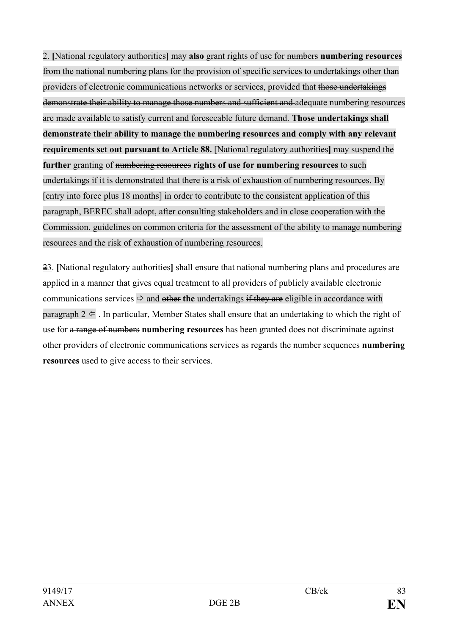2. **[National regulatory authorities]** may **also** grant rights of use for numbers **numbering resources** from the national numbering plans for the provision of specific services to undertakings other than providers of electronic communications networks or services, provided that those undertakings demonstrate their ability to manage those numbers and sufficient and adequate numbering resources are made available to satisfy current and foreseeable future demand. **Those undertakings shall demonstrate their ability to manage the numbering resources and comply with any relevant requirements set out pursuant to Article 88.** [National regulatory authorities**]** may suspend the **further** granting of numbering resources **rights of use for numbering resources** to such undertakings if it is demonstrated that there is a risk of exhaustion of numbering resources. By [entry into force plus 18 months] in order to contribute to the consistent application of this paragraph, BEREC shall adopt, after consulting stakeholders and in close cooperation with the Commission, guidelines on common criteria for the assessment of the ability to manage numbering resources and the risk of exhaustion of numbering resources.

23. **[**National regulatory authorities**]** shall ensure that national numbering plans and procedures are applied in a manner that gives equal treatment to all providers of publicly available electronic communications services  $\Rightarrow$  and other the undertakings if they are eligible in accordance with paragraph 2  $\Leftrightarrow$  . In particular, Member States shall ensure that an undertaking to which the right of use for a range of numbers **numbering resources** has been granted does not discriminate against other providers of electronic communications services as regards the number sequences **numbering resources** used to give access to their services.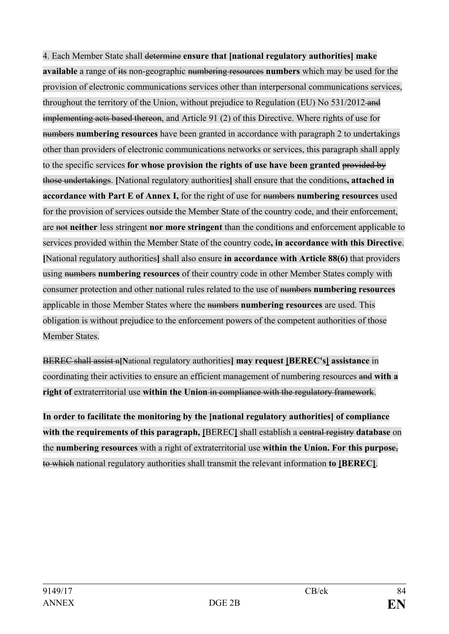4. Each Member State shall determine **ensure that [national regulatory authorities] make available** a range of its non-geographic numbering resources **numbers** which may be used for the provision of electronic communications services other than interpersonal communications services, throughout the territory of the Union, without prejudice to Regulation (EU) No 531/2012 and implementing acts based thereon, and Article 91 (2) of this Directive. Where rights of use for numbers **numbering resources** have been granted in accordance with paragraph 2 to undertakings other than providers of electronic communications networks or services, this paragraph shall apply to the specific services **for whose provision the rights of use have been granted** provided by those undertakings. **[**National regulatory authorities**]** shall ensure that the conditions**, attached in accordance with Part E of Annex I,** for the right of use for numbers **numbering resources** used for the provision of services outside the Member State of the country code, and their enforcement, are not **neither** less stringent **nor more stringent** than the conditions and enforcement applicable to services provided within the Member State of the country code**, in accordance with this Directive**. **[**National regulatory authorities**]** shall also ensure **in accordance with Article 88(6)** that providers using numbers **numbering resources** of their country code in other Member States comply with consumer protection and other national rules related to the use of numbers **numbering resources**  applicable in those Member States where the numbers **numbering resources** are used. This obligation is without prejudice to the enforcement powers of the competent authorities of those Member States.

BEREC shall assist n**[N**ational regulatory authorities**] may request [BEREC's] assistance** in coordinating their activities to ensure an efficient management of numbering resources and **with a right of** extraterritorial use **within the Union** in compliance with the regulatory framework.

**In order to facilitate the monitoring by the [national regulatory authorities] of compliance with the requirements of this paragraph, [**BEREC**]** shall establish a central registry **database** on the **numbering resources** with a right of extraterritorial use **within the Union. For this purpose**, to which national regulatory authorities shall transmit the relevant information **to [BEREC]**.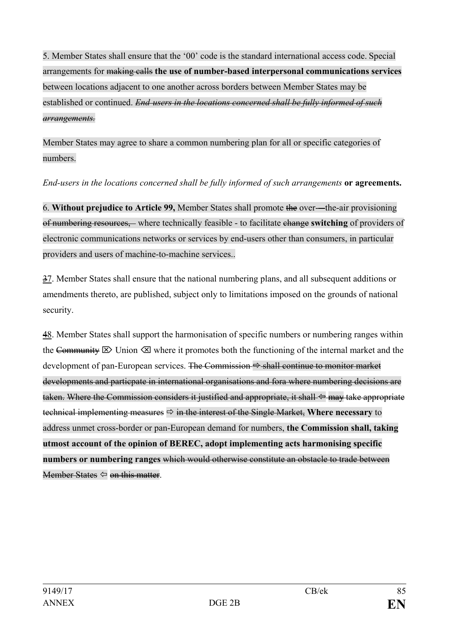5. Member States shall ensure that the '00' code is the standard international access code. Special arrangements for making calls **the use of number-based interpersonal communications services**  between locations adjacent to one another across borders between Member States may be established or continued. *End users in the locations concerned shall be fully informed of such arrangements.*

Member States may agree to share a common numbering plan for all or specific categories of numbers.

*End-users in the locations concerned shall be fully informed of such arrangements* **or agreements.**

6. **Without prejudice to Article 99,** Member States shall promote the over- the-air provisioning of numbering resources, where technically feasible - to facilitate change **switching** of providers of electronic communications networks or services by end-users other than consumers, in particular providers and users of machine-to-machine services..

37. Member States shall ensure that the national numbering plans, and all subsequent additions or amendments thereto, are published, subject only to limitations imposed on the grounds of national security.

48. Member States shall support the harmonisation of specific numbers or numbering ranges within the Community  $\boxtimes$  Union  $\boxtimes$  where it promotes both the functioning of the internal market and the development of pan-European services. The Commission  $\Rightarrow$  shall continue to monitor market developments and particpate in international organisations and fora where numbering decisions are taken. Where the Commission considers it justified and appropriate, it shall  $\Leftrightarrow$  may take appropriate technical implementing measures  $\Rightarrow$  in the interest of the Single Market. Where necessary to address unmet cross-border or pan-European demand for numbers, **the Commission shall, taking utmost account of the opinion of BEREC, adopt implementing acts harmonising specific numbers or numbering ranges** which would otherwise constitute an obstacle to trade between Member States  $\Leftrightarrow$  on this matter.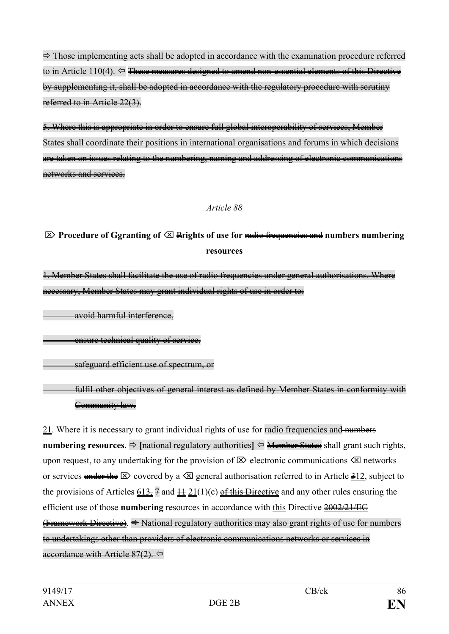$\Rightarrow$  Those implementing acts shall be adopted in accordance with the examination procedure referred to in Article 110(4).  $\Leftrightarrow$  These measures designed to amend non-essential elements of this Directive by supplementing it, shall be adopted in accordance with the regulatory procedure with scrutiny referred to in Article 22(3).

5. Where this is appropriate in order to ensure full global interoperability of services, Member States shall coordinate their positions in international organisations and forums in which decisions are taken on issues relating to the numbering, naming and addressing of electronic communications networks and services.

#### *Article 88*

## **EX** Procedure of Ggranting of  $\otimes$  Resights of use for <del>radio frequencies and numbers</del>-numbering **resources**

1. Member States shall facilitate the use of radio frequencies under general authorisations. Where necessary, Member States may grant individual rights of use in order to:

avoid harmful interference,

ensure technical quality of service,

safeguard efficient use of spectrum, or

fulfil other objectives of general interest as defined by Member States in conformity with Community law.

 $\frac{21}{2}$ . Where it is necessary to grant individual rights of use for radio frequencies and numbers **numbering resources,**  $\Rightarrow$  **[national regulatory authorities]**  $\Leftarrow$  **<b>Member States** shall grant such rights, upon request, to any undertaking for the provision of  $\boxtimes$  electronic communications  $\boxtimes$  networks or services under the  $\boxtimes$  covered by a  $\boxtimes$  general authorisation referred to in Article 312, subject to the provisions of Articles  $\frac{613}{7}$  and  $\frac{11}{100}$  of this Directive and any other rules ensuring the efficient use of those **numbering** resources in accordance with this Directive 2002/21/EC (Framework Directive).  $\Rightarrow$  National regulatory authorities may also grant rights of use for numbers to undertakings other than providers of electronic communications networks or services in accordance with Article  $87(2)$ .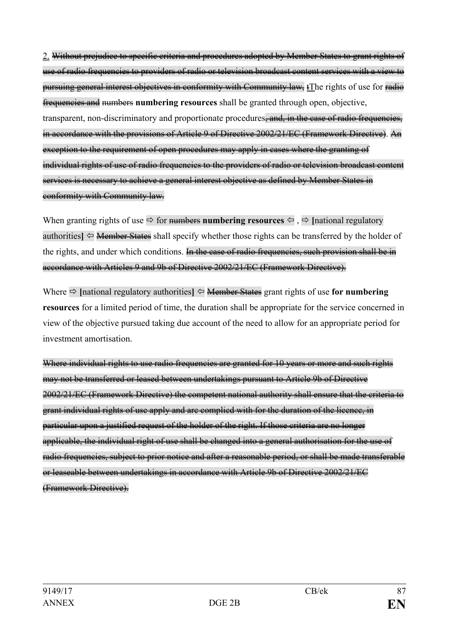2. Without prejudice to specific criteria and procedures adopted by Member States to grant rights of use of radio frequencies to providers of radio or television broadcast content services with a view to pursuing general interest objectives in conformity with Community law, t The rights of use for radio frequencies and numbers **numbering resources** shall be granted through open, objective, transparent, non-discriminatory and proportionate procedures, and, in the case of radio frequencies. in accordance with the provisions of Article 9 of Directive 2002/21/EC (Framework Directive). An exception to the requirement of open procedures may apply in cases where the granting of individual rights of use of radio frequencies to the providers of radio or television broadcast content services is necessary to achieve a general interest objective as defined by Member States in conformity with Community law.

When granting rights of use  $\Rightarrow$  for <del>numbers</del> **numbering resources**  $\Leftarrow$ ,  $\Rightarrow$  [national regulatory authorities  $\Diamond$  Member States shall specify whether those rights can be transferred by the holder of the rights, and under which conditions. In the case of radio frequencies, such provision shall be in accordance with Articles 9 and 9b of Directive 2002/21/EC (Framework Directive).

Where  $\Rightarrow$  [national regulatory authorities]  $\Leftarrow$  **Member States** grant rights of use **for numbering resources** for a limited period of time, the duration shall be appropriate for the service concerned in view of the objective pursued taking due account of the need to allow for an appropriate period for investment amortisation.

Where individual rights to use radio frequencies are granted for 10 years or more and such rights may not be transferred or leased between undertakings pursuant to Article 9b of Directive 2002/21/EC (Framework Directive) the competent national authority shall ensure that the criteria to grant individual rights of use apply and are complied with for the duration of the licence, in particular upon a justified request of the holder of the right. If those criteria are no longer applicable, the individual right of use shall be changed into a general authorisation for the use of radio frequencies, subject to prior notice and after a reasonable period, or shall be made transferable or leaseable between undertakings in accordance with Article 9b of Directive 2002/21/EC (Framework Directive).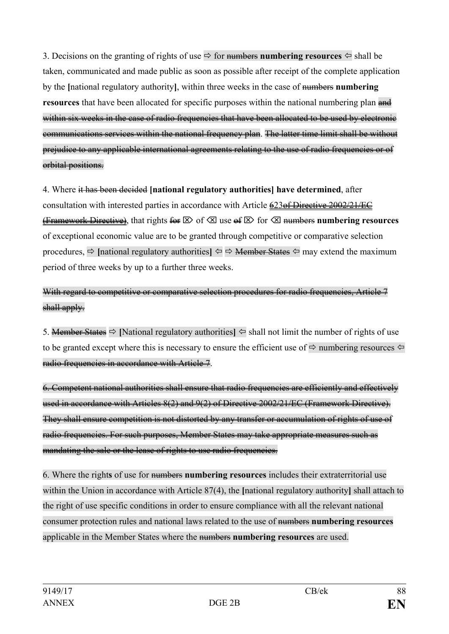3. Decisions on the granting of rights of use  $\Rightarrow$  for numbers **numbering resources**  $\Leftrightarrow$  shall be taken, communicated and made public as soon as possible after receipt of the complete application by the **[**national regulatory authority], within three weeks in the case of numbers **numbering resources** that have been allocated for specific purposes within the national numbering plan and within six weeks in the case of radio frequencies that have been allocated to be used by electronic communications services within the national frequency plan. The latter time limit shall be without prejudice to any applicable international agreements relating to the use of radio frequencies or of orbital positions.

4. Where it has been decided **[national regulatory authorities] have determined**, after consultation with interested parties in accordance with Article 623<del>of Directive 2002/21/EC</del> (Framework Directive), that rights  $\overline{f}_{\Theta}$  of  $\otimes$  use  $\Theta$   $\otimes$  for  $\otimes$  numbers **numbering resources** of exceptional economic value are to be granted through competitive or comparative selection procedures,  $\Rightarrow$  [national regulatory authorities]  $\Leftrightarrow \Rightarrow$  Member States  $\Leftrightarrow$  may extend the maximum period of three weeks by up to a further three weeks.

## With regard to competitive or comparative selection procedures for radio frequencies. Article 7 shall apply.

5. Member States  $\Rightarrow$  [National regulatory authorities]  $\Leftarrow$  shall not limit the number of rights of use to be granted except where this is necessary to ensure the efficient use of  $\Rightarrow$  numbering resources  $\Leftrightarrow$ radio frequencies in accordance with Article 7.

6. Competent national authorities shall ensure that radio frequencies are efficiently and effectively used in accordance with Articles 8(2) and 9(2) of Directive 2002/21/EC (Framework Directive). They shall ensure competition is not distorted by any transfer or accumulation of rights of use of radio frequencies. For such purposes, Member States may take appropriate measures such as mandating the sale or the lease of rights to use radio frequencies.

6. Where the right**s** of use for numbers **numbering resources** includes their extraterritorial use within the Union in accordance with Article 87(4), the Inational regulatory authority**]** shall attach to the right of use specific conditions in order to ensure compliance with all the relevant national consumer protection rules and national laws related to the use of numbers **numbering resources**  applicable in the Member States where the numbers **numbering resources** are used.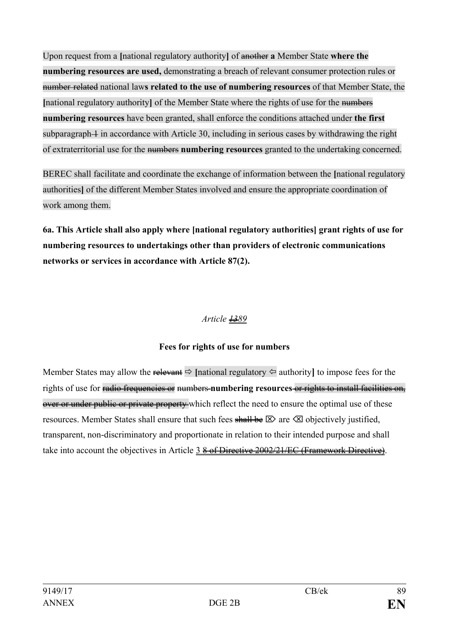Upon request from a **[**national regulatory authority**]** of another **a** Member State **where the numbering resources are used,** demonstrating a breach of relevant consumer protection rules or number related national law**s related to the use of numbering resources** of that Member State, the **[**national regulatory authority**]** of the Member State where the rights of use for the numbers **numbering resources** have been granted, shall enforce the conditions attached under **the first**  subparagraph 4 in accordance with Article 30, including in serious cases by withdrawing the right of extraterritorial use for the numbers **numbering resources** granted to the undertaking concerned.

BEREC shall facilitate and coordinate the exchange of information between the **[**national regulatory authorities**]** of the different Member States involved and ensure the appropriate coordination of work among them.

**6a. This Article shall also apply where [national regulatory authorities] grant rights of use for numbering resources to undertakings other than providers of electronic communications networks or services in accordance with Article 87(2).** 

### *Article 1389*

### **Fees for rights of use for numbers**

Member States may allow the <del>relevant</del>  $\Rightarrow$  [national regulatory  $\Leftrightarrow$  authority] to impose fees for the rights of use for radio frequencies or numbers-numbering resources-or rights to install facilities on, over or under public or private property which reflect the need to ensure the optimal use of these resources. Member States shall ensure that such fees shall be  $\boxtimes$  are  $\boxtimes$  objectively justified, transparent, non-discriminatory and proportionate in relation to their intended purpose and shall take into account the objectives in Article 3 8 of Directive 2002/21/EC (Framework Directive).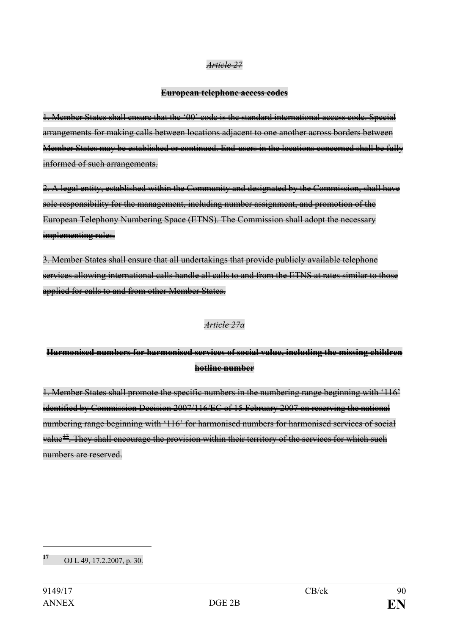#### *Article 27*

#### **European telephone access codes**

1. Member States shall ensure that the '00' code is the standard international access code. Special arrangements for making calls between locations adjacent to one another across borders between Member States may be established or continued. End users in the locations concerned shall be fully informed of such arrangements.

2. A legal entity, established within the Community and designated by the Commission, shall have sole responsibility for the management, including number assignment, and promotion of the European Telephony Numbering Space (ETNS). The Commission shall adopt the necessary implementing rules.

3. Member States shall ensure that all undertakings that provide publicly available telephone services allowing international calls handle all calls to and from the ETNS at rates similar to those applied for calls to and from other Member States.

#### *Article 27a*

## **Harmonised numbers for harmonised services of social value, including the missing children hotline number**

1. Member States shall promote the specific numbers in the numbering range beginning with '116' identified by Commission Decision 2007/116/EC of 15 February 2007 on reserving the national numbering range beginning with '116' for harmonised numbers for harmonised services of social value $\frac{12}{2}$ . They shall encourage the provision within their territory of the services for which such numbers are reserved.

 $\overline{a}$ 

**<sup>17</sup>** OJ L 49, 17.2.2007, p. 30.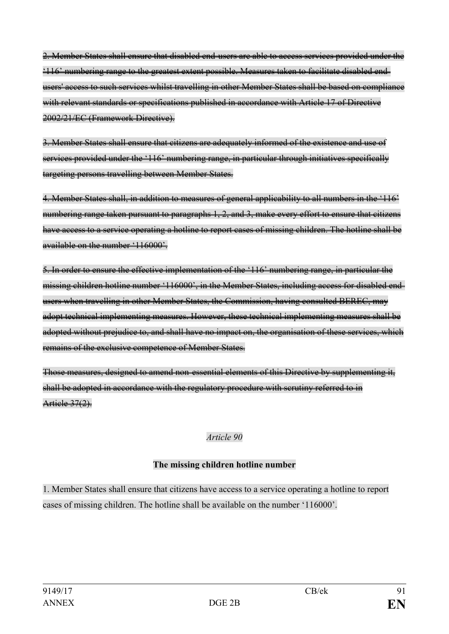2. Member States shall ensure that disabled end users are able to access services provided under the '116' numbering range to the greatest extent possible. Measures taken to facilitate disabled end users' access to such services whilst travelling in other Member States shall be based on compliance with relevant standards or specifications published in accordance with Article 17 of Directive 2002/21/EC (Framework Directive).

3. Member States shall ensure that citizens are adequately informed of the existence and use of services provided under the '116' numbering range, in particular through initiatives specifically targeting persons travelling between Member States.

4. Member States shall, in addition to measures of general applicability to all numbers in the '116' numbering range taken pursuant to paragraphs 1, 2, and 3, make every effort to ensure that citizens have access to a service operating a hotline to report cases of missing children. The hotline shall be available on the number '116000'.

5. In order to ensure the effective implementation of the '116' numbering range, in particular the missing children hotline number '116000', in the Member States, including access for disabled end users when travelling in other Member States, the Commission, having consulted BEREC, may adopt technical implementing measures. However, these technical implementing measures shall be adopted without prejudice to, and shall have no impact on, the organisation of these services, which remains of the exclusive competence of Member States.

Those measures, designed to amend non essential elements of this Directive by supplementing it, shall be adopted in accordance with the regulatory procedure with scrutiny referred to in Article 37(2).

### *Article 90*

### **The missing children hotline number**

1. Member States shall ensure that citizens have access to a service operating a hotline to report cases of missing children. The hotline shall be available on the number '116000'.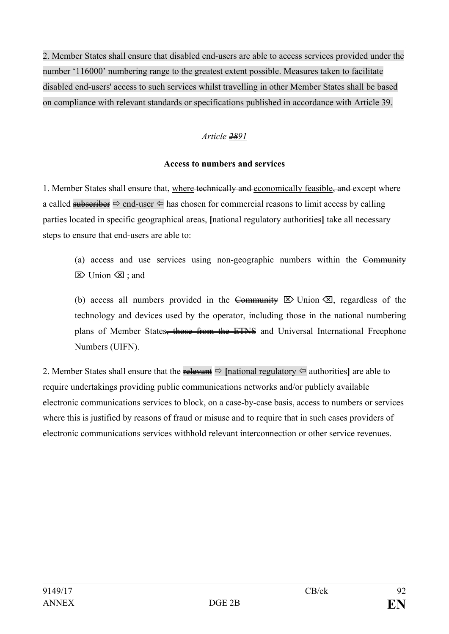2. Member States shall ensure that disabled end-users are able to access services provided under the number '116000' numbering range to the greatest extent possible. Measures taken to facilitate disabled end-users' access to such services whilst travelling in other Member States shall be based on compliance with relevant standards or specifications published in accordance with Article 39.

### *Article 2891*

### **Access to numbers and services**

1. Member States shall ensure that, where technically and economically feasible, and except where a called subscriber  $\Rightarrow$  end-user  $\Leftarrow$  has chosen for commercial reasons to limit access by calling parties located in specific geographical areas, **[**national regulatory authorities**]** take all necessary steps to ensure that end-users are able to:

(a) access and use services using non-geographic numbers within the  $\epsilon$  $\boxtimes$  Union  $\boxtimes$  ; and

(b) access all numbers provided in the Community  $\boxtimes$  Union  $\boxtimes$ , regardless of the technology and devices used by the operator, including those in the national numbering plans of Member States<del>, those from the ETNS</del> and Universal International Freephone Numbers (UIFN).

2. Member States shall ensure that the **relevant**  $\Rightarrow$  [national regulatory  $\Rightarrow$  authorities] are able to require undertakings providing public communications networks and/or publicly available electronic communications services to block, on a case-by-case basis, access to numbers or services where this is justified by reasons of fraud or misuse and to require that in such cases providers of electronic communications services withhold relevant interconnection or other service revenues.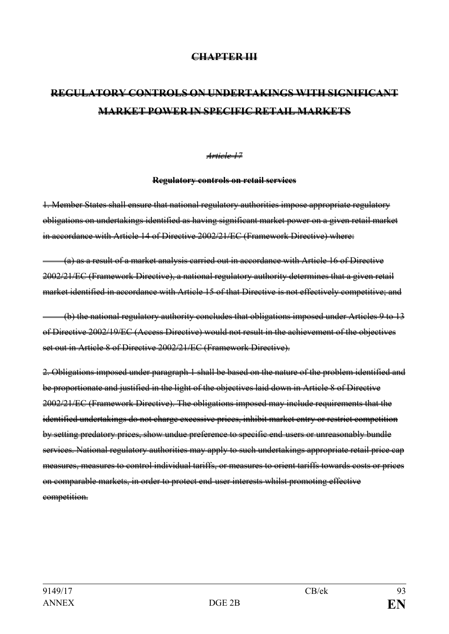#### **CHAPTER III**

# **REGULATORY CONTROLS ON UNDERTAKINGS WITH SIGNIFICANT MARKET POWER IN SPECIFIC RETAIL MARKETS**

#### *Article 17*

#### **Regulatory controls on retail services**

1. Member States shall ensure that national regulatory authorities impose appropriate regulatory obligations on undertakings identified as having significant market power on a given retail market in accordance with Article 14 of Directive 2002/21/EC (Framework Directive) where:

(a) as a result of a market analysis carried out in accordance with Article 16 of Directive 2002/21/EC (Framework Directive), a national regulatory authority determines that a given retail market identified in accordance with Article 15 of that Directive is not effectively competitive; and

(b) the national regulatory authority concludes that obligations imposed under Articles 9 to 13 of Directive 2002/19/EC (Access Directive) would not result in the achievement of the objectives set out in Article 8 of Directive 2002/21/EC (Framework Directive).

2. Obligations imposed under paragraph 1 shall be based on the nature of the problem identified and be proportionate and justified in the light of the objectives laid down in Article 8 of Directive 2002/21/EC (Framework Directive). The obligations imposed may include requirements that the identified undertakings do not charge excessive prices, inhibit market entry or restrict competition by setting predatory prices, show undue preference to specific end users or unreasonably bundle services. National regulatory authorities may apply to such undertakings appropriate retail price cap measures, measures to control individual tariffs, or measures to orient tariffs towards costs or prices on comparable markets, in order to protect end user interests whilst promoting effective competition.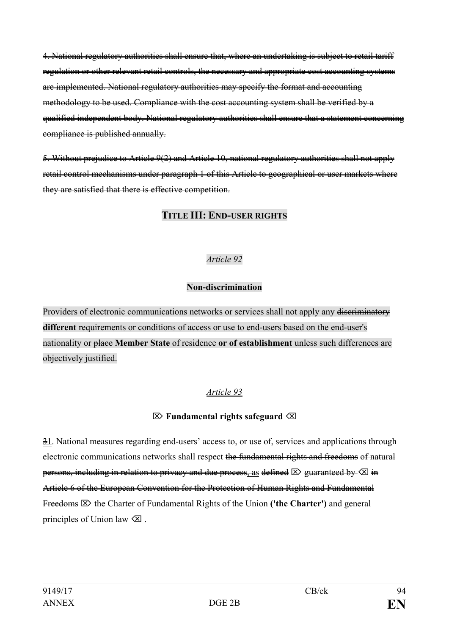4. National regulatory authorities shall ensure that, where an undertaking is subject to retail tariff regulation or other relevant retail controls, the necessary and appropriate cost accounting systems are implemented. National regulatory authorities may specify the format and accounting methodology to be used. Compliance with the cost accounting system shall be verified by a qualified independent body. National regulatory authorities shall ensure that a statement concerning compliance is published annually.

5. Without prejudice to Article 9(2) and Article 10, national regulatory authorities shall not apply retail control mechanisms under paragraph 1 of this Article to geographical or user markets where they are satisfied that there is effective competition.

### **TITLE III: END-USER RIGHTS**

### *Article 92*

#### **Non-discrimination**

Providers of electronic communications networks or services shall not apply any discriminatory **different** requirements or conditions of access or use to end-users based on the end-user's nationality or place **Member State** of residence **or of establishment** unless such differences are objectively justified.

### *Article 93*

### **EX** Fundamental rights safeguard  $\otimes$

31. National measures regarding end-users' access to, or use of, services and applications through electronic communications networks shall respect the fundamental rights and freedoms of natural persons, including in relation to privacy and due process, as defined  $\boxtimes$  guaranteed by  $\boxtimes$  in Article 6 of the European Convention for the Protection of Human Rights and Fundamental Freedoms  $\boxtimes$  the Charter of Fundamental Rights of the Union ('the Charter') and general principles of Union law  $\otimes$ .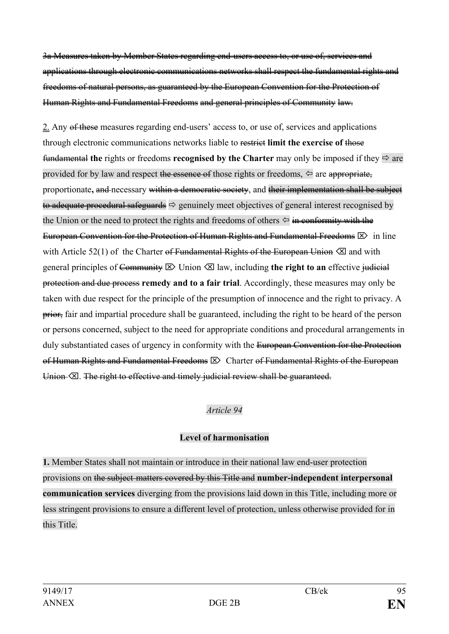3a Measures taken by Member States regarding end users access to, or use of, services and applications through electronic communications networks shall respect the fundamental rights and freedoms of natural persons, as guaranteed by the European Convention for the Protection of Human Rights and Fundamental Freedoms and general principles of Community law.

2. Any of these measures regarding end-users' access to, or use of, services and applications through electronic communications networks liable to restrict **limit the exercise of** those fundamental the rights or freedoms **recognised by the Charter** may only be imposed if they  $\Rightarrow$  are provided for by law and respect the essence of those rights or freedoms,  $\Leftrightarrow$  are appropriate, proportionate, and necessary within a democratic society, and their implementation shall be subject to adequate procedural safeguards  $\Rightarrow$  genuinely meet objectives of general interest recognised by the Union or the need to protect the rights and freedoms of others  $\Diamond$  in conformity with the European Convention for the Protection of Human Rights and Fundamental Freedoms  $\boxtimes$  in line with Article 52(1) of the Charter of Fundamental Rights of the European Union  $\otimes$  and with general principles of Community  $\boxtimes$  Union  $\boxtimes$  law, including the right to an effective judicial protection and due process **remedy and to a fair trial**. Accordingly, these measures may only be taken with due respect for the principle of the presumption of innocence and the right to privacy. A prior, fair and impartial procedure shall be guaranteed, including the right to be heard of the person or persons concerned, subject to the need for appropriate conditions and procedural arrangements in duly substantiated cases of urgency in conformity with the European Convention for the Protection of Human Rights and Fundamental Freedoms  $\boxtimes$  Charter of Fundamental Rights of the European Union  $\oslash$ . The right to effective and timely judicial review shall be guaranteed.

## *Article 94*

### **Level of harmonisation**

**1.** Member States shall not maintain or introduce in their national law end-user protection provisions on the subject matters covered by this Title and **number-independent interpersonal communication services** diverging from the provisions laid down in this Title, including more or less stringent provisions to ensure a different level of protection, unless otherwise provided for in this Title.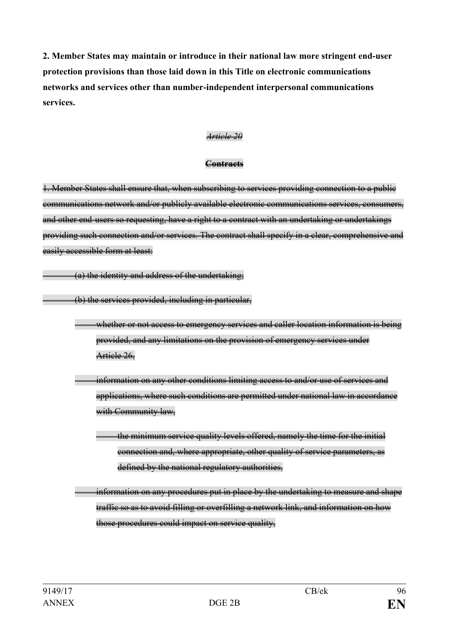**2. Member States may maintain or introduce in their national law more stringent end-user protection provisions than those laid down in this Title on electronic communications networks and services other than number-independent interpersonal communications services.**

#### *Article 20*

#### **Contracts**

1. Member States shall ensure that, when subscribing to services providing connection to a public communications network and/or publicly available electronic communications services, consumers, and other end users so requesting, have a right to a contract with an undertaking or undertakings providing such connection and/or services. The contract shall specify in a clear, comprehensive and easily accessible form at least:

(a) the identity and address of the undertaking;

(b) the services provided, including in particular,

whether or not access to emergency services and caller location information is being provided, and any limitations on the provision of emergency services under Article 26

 information on any other conditions limiting access to and/or use of services and applications, where such conditions are permitted under national law in accordance with Community law,

the minimum service quality levels offered, namely the time for the initial connection and, where appropriate, other quality of service parameters, as defined by the national regulatory authorities.

 information on any procedures put in place by the undertaking to measure and shape traffic so as to avoid filling or overfilling a network link, and information on how those procedures could impact on service quality,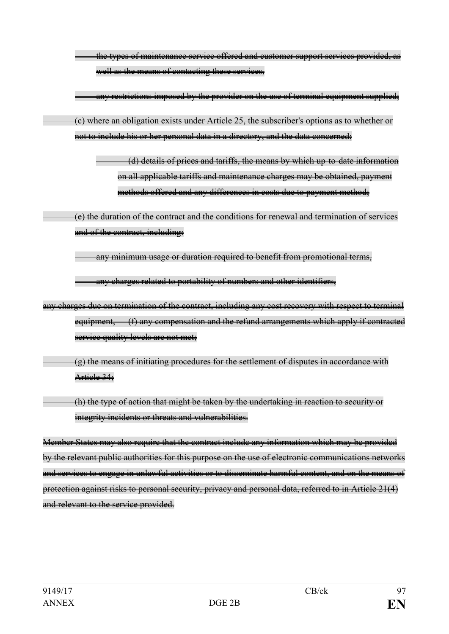the types of maintenance service offered and customer support services provided, as well as the means of contacting these services,

any restrictions imposed by the provider on the use of terminal equipment supplied;

(c) where an obligation exists under Article 25, the subscriber's options as to whether or not to include his or her personal data in a directory, and the data concerned;

> (d) details of prices and tariffs, the means by which up to date information on all applicable tariffs and maintenance charges may be obtained, payment methods offered and any differences in costs due to payment method;

 (e) the duration of the contract and the conditions for renewal and termination of services and of the contract, including:

any minimum usage or duration required to benefit from promotional terms,

any charges related to portability of numbers and other identifiers,

any charges due on termination of the contract, including any cost recovery with respect to terminal equipment, (f) any compensation and the refund arrangements which apply if contracted service quality levels are not met;

 $(g)$  the means of initiating procedures for the settlement of disputes in accordance with Artiele 34;

(h) the type of action that might be taken by the undertaking in reaction to security or integrity incidents or threats and vulnerabilities.

Member States may also require that the contract include any information which may be provided by the relevant public authorities for this purpose on the use of electronic communications networks and services to engage in unlawful activities or to disseminate harmful content, and on the means of protection against risks to personal security, privacy and personal data, referred to in Article 21(4) and relevant to the service provided.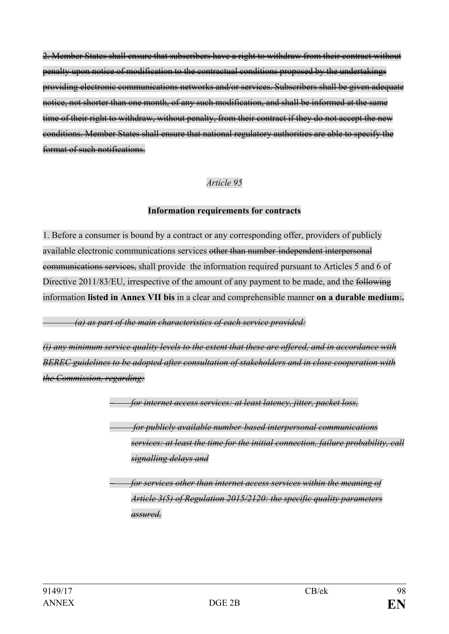2. Member States shall ensure that subscribers have a right to withdraw from their contract without penalty upon notice of modification to the contractual conditions proposed by the undertakings providing electronic communications networks and/or services. Subscribers shall be given adequate notice, not shorter than one month, of any such modification, and shall be informed at the same time of their right to withdraw, without penalty, from their contract if they do not accept the new conditions. Member States shall ensure that national regulatory authorities are able to specify the format of such notifications.

#### *Article 95*

#### **Information requirements for contracts**

1. Before a consumer is bound by a contract or any corresponding offer, providers of publicly available electronic communications services other than number independent interpersonal communications services, shall provide the information required pursuant to Articles 5 and 6 of Directive 2011/83/EU, irrespective of the amount of any payment to be made, and the following information **listed in Annex VII bis** in a clear and comprehensible manner **on a durable medium**:**.**

 *(a) as part of the main characteristics of each service provided:* 

*(i) any minimum service quality levels to the extent that these are offered, and in accordance with BEREC guidelines to be adopted after consultation of stakeholders and in close cooperation with the Commission, regarding:* 

*– for internet access services: at least latency, jitter, packet loss,* 

 *for publicly available number based interpersonal communications services: at least the time for the initial connection, failure probability, call signalling delays and* 

*– for services other than internet access services within the meaning of Article 3(5) of Regulation 2015/2120: the specific quality parameters assured,*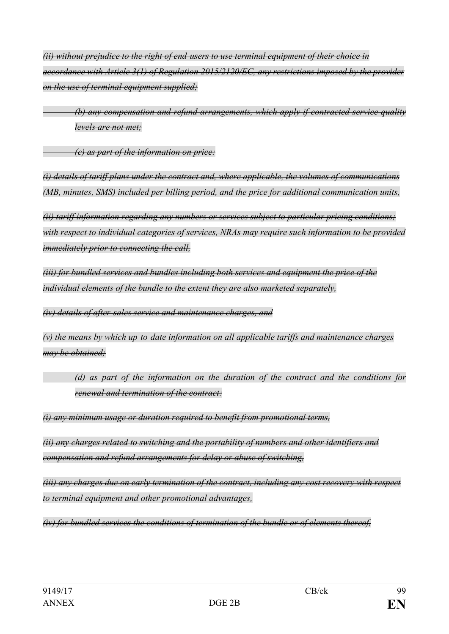*(ii) without prejudice to the right of end users to use terminal equipment of their choice in accordance with Article 3(1) of Regulation 2015/2120/EC, any restrictions imposed by the provider on the use of terminal equipment supplied;* 

*(b) any compensation and refund arrangements, which apply if contracted service quality levels are not met;*

 *(c) as part of the information on price:* 

*(i) details of tariff plans under the contract and, where applicable, the volumes of communications (MB, minutes, SMS) included per billing period, and the price for additional communication units,* 

*(ii) tariff information regarding any numbers or services subject to particular pricing conditions; with respect to individual categories of services, NRAs may require such information to be provided immediately prior to connecting the call,* 

*(iii) for bundled services and bundles including both services and equipment the price of the individual elements of the bundle to the extent they are also marketed separately,*

*(iv) details of after sales service and maintenance charges, and*

*(v) the means by which up to date information on all applicable tariffs and maintenance charges may be obtained;* 

*(d) as part of the information on the duration of the contract and the conditions for renewal and termination of the contract:* 

*(i) any minimum usage or duration required to benefit from promotional terms,*

*(ii) any charges related to switching and the portability of numbers and other identifiers and compensation and refund arrangements for delay or abuse of switching,* 

*(iii) any charges due on early termination of the contract, including any cost recovery with respect to terminal equipment and other promotional advantages,* 

*(iv) for bundled services the conditions of termination of the bundle or of elements thereof,*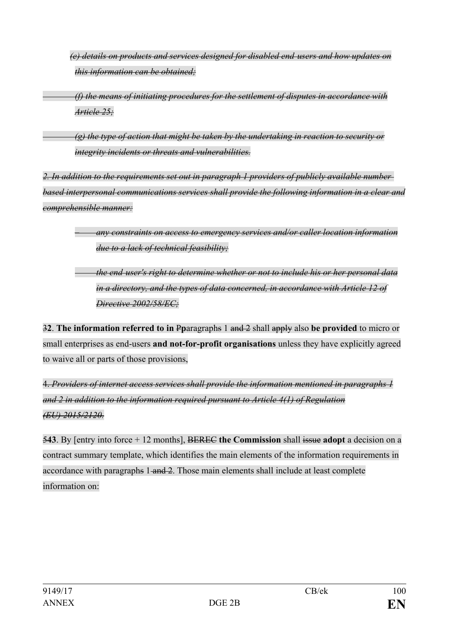*(e) details on products and services designed for disabled end users and how updates on this information can be obtained;* 

 *(f) the means of initiating procedures for the settlement of disputes in accordance with Article 25;* 

 *(g) the type of action that might be taken by the undertaking in reaction to security or integrity incidents or threats and vulnerabilities.* 

*2. In addition to the requirements set out in paragraph 1 providers of publicly available number based interpersonal communications services shall provide the following information in a clear and comprehensible manner:* 

> *– any constraints on access to emergency services and/or caller location information due to a lack of technical feasibility;*

 *the end user's right to determine whether or not to include his or her personal data in a directory, and the types of data concerned, in accordance with Article 12 of Directive 2002/58/EC;* 

3**2**. **The information referred to in** P**p**aragraphs 1 and 2 shall apply also **be provided** to micro or small enterprises as end-users **and not-for-profit organisations** unless they have explicitly agreed to waive all or parts of those provisions,

4. *Providers of internet access services shall provide the information mentioned in paragraphs 1 and 2 in addition to the information required pursuant to Article 4(1) of Regulation (EU) 2015/2120.* 

5**43**. By [entry into force + 12 months], BEREC **the Commission** shall issue **adopt** a decision on a contract summary template, which identifies the main elements of the information requirements in accordance with paragraphs 1 and 2. Those main elements shall include at least complete information on: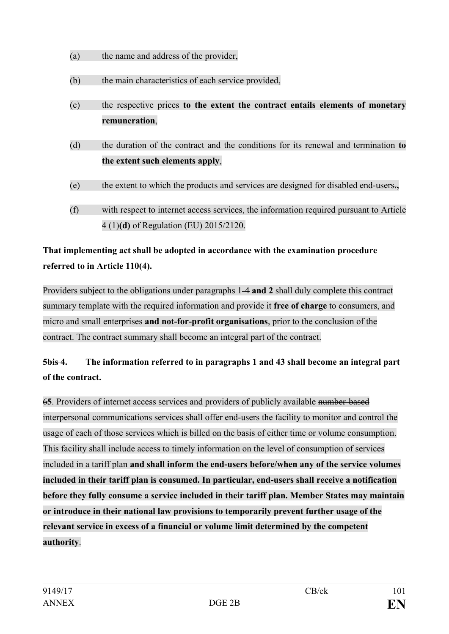- (a) the name and address of the provider,
- (b) the main characteristics of each service provided,
- (c) the respective prices **to the extent the contract entails elements of monetary remuneration**,
- (d) the duration of the contract and the conditions for its renewal and termination **to the extent such elements apply**,
- (e) the extent to which the products and services are designed for disabled end-users.**,**
- (f) with respect to internet access services, the information required pursuant to Article 4 (1)**(d)** of Regulation (EU) 2015/2120.

## **That implementing act shall be adopted in accordance with the examination procedure referred to in Article 110(4).**

Providers subject to the obligations under paragraphs 1 4 **and 2** shall duly complete this contract summary template with the required information and provide it **free of charge** to consumers, and micro and small enterprises **and not-for-profit organisations**, prior to the conclusion of the contract. The contract summary shall become an integral part of the contract.

## **5bis 4. The information referred to in paragraphs 1 and 43 shall become an integral part of the contract.**

6**5**. Providers of internet access services and providers of publicly available number based interpersonal communications services shall offer end-users the facility to monitor and control the usage of each of those services which is billed on the basis of either time or volume consumption. This facility shall include access to timely information on the level of consumption of services included in a tariff plan **and shall inform the end-users before/when any of the service volumes included in their tariff plan is consumed. In particular, end-users shall receive a notification before they fully consume a service included in their tariff plan. Member States may maintain or introduce in their national law provisions to temporarily prevent further usage of the relevant service in excess of a financial or volume limit determined by the competent authority**.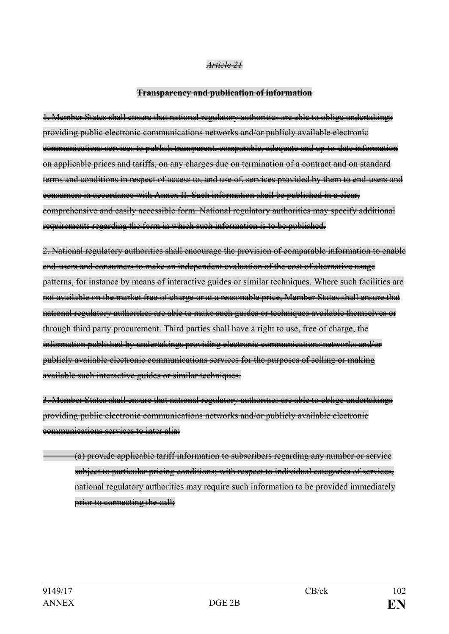#### *Article 21*

#### **Transparency and publication of information**

1. Member States shall ensure that national regulatory authorities are able to oblige undertakings providing public electronic communications networks and/or publicly available electronic communications services to publish transparent, comparable, adequate and up to date information on applicable prices and tariffs, on any charges due on termination of a contract and on standard terms and conditions in respect of access to, and use of, services provided by them to end users and consumers in accordance with Annex II. Such information shall be published in a clear, comprehensive and easily accessible form. National regulatory authorities may specify additional requirements regarding the form in which such information is to be published.

2. National regulatory authorities shall encourage the provision of comparable information to enable end users and consumers to make an independent evaluation of the cost of alternative usage patterns, for instance by means of interactive guides or similar techniques. Where such facilities are not available on the market free of charge or at a reasonable price, Member States shall ensure that national regulatory authorities are able to make such guides or techniques available themselves or through third party procurement. Third parties shall have a right to use, free of charge, the information published by undertakings providing electronic communications networks and/or publicly available electronic communications services for the purposes of selling or making available such interactive guides or similar techniques.

3. Member States shall ensure that national regulatory authorities are able to oblige undertakings providing public electronic communications networks and/or publicly available electronic communications services to inter alia:

 (a) provide applicable tariff information to subscribers regarding any number or service subject to particular pricing conditions; with respect to individual categories of services, national regulatory authorities may require such information to be provided immediately prior to connecting the call: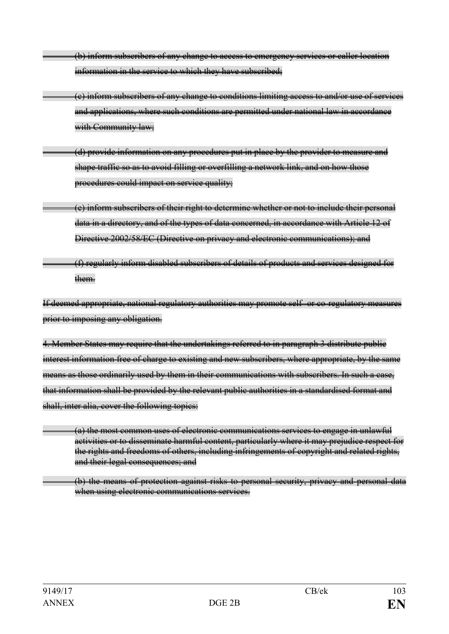(b) inform subscribers of any change to access to emergency services or caller location information in the service to which they have subscribed;

(c) inform subscribers of any change to conditions limiting access to and/or use of services and applications, where such conditions are permitted under national law in accordance with Community law:

 (d) provide information on any procedures put in place by the provider to measure and shape traffic so as to avoid filling or overfilling a network link, and on how those procedures could impact on service quality;

(e) inform subscribers of their right to determine whether or not to include their personal data in a directory, and of the types of data concerned, in accordance with Article 12 of Directive 2002/58/EC (Directive on privacy and electronic communications); and

 (f) regularly inform disabled subscribers of details of products and services designed for them.

If deemed appropriate, national regulatory authorities may promote self or co regulatory measures prior to imposing any obligation.

4. Member States may require that the undertakings referred to in paragraph 3 distribute public interest information free of charge to existing and new subscribers, where appropriate, by the same means as those ordinarily used by them in their communications with subscribers. In such a case, that information shall be provided by the relevant public authorities in a standardised format and shall, inter alia, cover the following topics:

(a) the most common uses of electronic communications services to engage in unlawful activities or to disseminate harmful content, particularly where it may prejudice respect for the rights and freedoms of others, including infringements of copyright and related rights, and their legal consequences; and

(b) the means of protection against risks to personal security, privacy and personal data when using electronic communications services.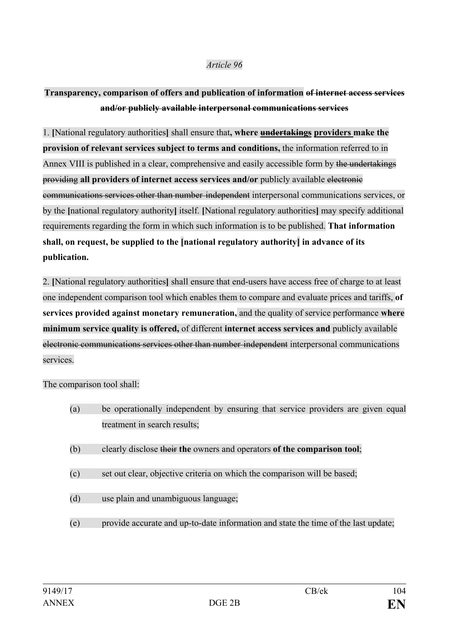#### *Article 96*

## **Transparency, comparison of offers and publication of information of internet access services and/or publicly available interpersonal communications services**

1. **[**National regulatory authorities**]** shall ensure that**, where undertakings providers make the provision of relevant services subject to terms and conditions,** the information referred to in Annex VIII is published in a clear, comprehensive and easily accessible form by the undertakings providing **all providers of internet access services and/or** publicly available electronic communications services other than number independent interpersonal communications services, or by the **[**national regulatory authority**]** itself. **[**National regulatory authorities**]** may specify additional requirements regarding the form in which such information is to be published. **That information shall, on request, be supplied to the [national regulatory authority] in advance of its publication.**

2. **[**National regulatory authorities**]** shall ensure that end-users have access free of charge to at least one independent comparison tool which enables them to compare and evaluate prices and tariffs, **of services provided against monetary remuneration,** and the quality of service performance **where minimum service quality is offered,** of different **internet access services and** publicly available electronic communications services other than number independent interpersonal communications services.

The comparison tool shall:

| (a) | be operationally independent by ensuring that service providers are given equal |  |  |  |  |  |
|-----|---------------------------------------------------------------------------------|--|--|--|--|--|
|     | treatment in search results;                                                    |  |  |  |  |  |
|     |                                                                                 |  |  |  |  |  |

- (b) clearly disclose their **the** owners and operators **of the comparison tool**;
- (c) set out clear, objective criteria on which the comparison will be based;
- (d) use plain and unambiguous language;
- (e) provide accurate and up-to-date information and state the time of the last update;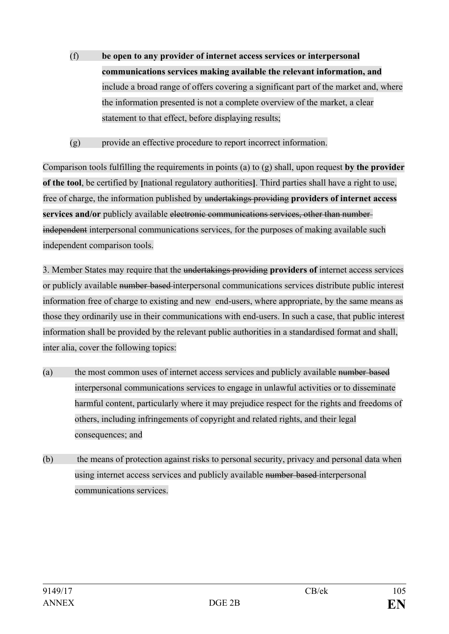- (f) **be open to any provider of internet access services or interpersonal communications services making available the relevant information, and** include a broad range of offers covering a significant part of the market and, where the information presented is not a complete overview of the market, a clear statement to that effect, before displaying results;
- (g) provide an effective procedure to report incorrect information.

Comparison tools fulfilling the requirements in points (a) to (g) shall, upon request **by the provider of the tool**, be certified by **[**national regulatory authorities**]**. Third parties shall have a right to use, free of charge, the information published by undertakings providing **providers of internet access services and/or** publicly available electronic communications services, other than numberindependent interpersonal communications services, for the purposes of making available such independent comparison tools.

3. Member States may require that the undertakings providing **providers of** internet access services or publicly available number based interpersonal communications services distribute public interest information free of charge to existing and new end-users, where appropriate, by the same means as those they ordinarily use in their communications with end-users. In such a case, that public interest information shall be provided by the relevant public authorities in a standardised format and shall, inter alia, cover the following topics:

- (a) the most common uses of internet access services and publicly available number based interpersonal communications services to engage in unlawful activities or to disseminate harmful content, particularly where it may prejudice respect for the rights and freedoms of others, including infringements of copyright and related rights, and their legal consequences; and
- (b) the means of protection against risks to personal security, privacy and personal data when using internet access services and publicly available number based interpersonal communications services.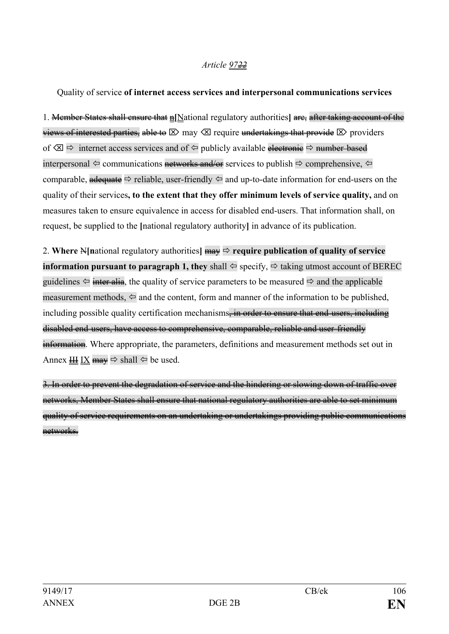### *Article 9722*

#### Quality of service **of internet access services and interpersonal communications services**

1. Member States shall ensure that n**[**National regulatory authorities**]** are, after taking account of the views of interested parties, able to  $\boxtimes$  may  $\boxtimes$  require undertakings that provide  $\boxtimes$  providers of  $\otimes \Rightarrow$  internet access services and of  $\Leftrightarrow$  publicly available electronic  $\Leftrightarrow$  number based interpersonal  $\Leftarrow$  communications networks and/or services to publish  $\Rightarrow$  comprehensive,  $\Leftrightarrow$ comparable, adequate  $\Rightarrow$  reliable, user-friendly  $\Leftrightarrow$  and up-to-date information for end-users on the quality of their services**, to the extent that they offer minimum levels of service quality,** and on measures taken to ensure equivalence in access for disabled end-users. That information shall, on request, be supplied to the **[**national regulatory authority**]** in advance of its publication.

2. **Where**  $\mathbb{N}$  [national regulatory authorities]  $\frac{\mathbf{m}\cdot\mathbf{w}}{\mathbf{m}\cdot\mathbf{w}} \Rightarrow$  **require publication of quality of service information pursuant to paragraph 1, they** shall  $\Leftrightarrow$  specify,  $\Leftrightarrow$  taking utmost account of BEREC guidelines  $\Diamond$  inter alia, the quality of service parameters to be measured  $\Diamond$  and the applicable measurement methods,  $\Leftrightarrow$  and the content, form and manner of the information to be published, including possible quality certification mechanisms, in order to ensure that end users, including disabled end users, have access to comprehensive, comparable, reliable and user friendly information. Where appropriate, the parameters, definitions and measurement methods set out in Annex  $\overline{H}$  IX may  $\Rightarrow$  shall  $\Leftarrow$  be used.

3. In order to prevent the degradation of service and the hindering or slowing down of traffic over networks, Member States shall ensure that national regulatory authorities are able to set minimum quality of service requirements on an undertaking or undertakings providing public communications networks.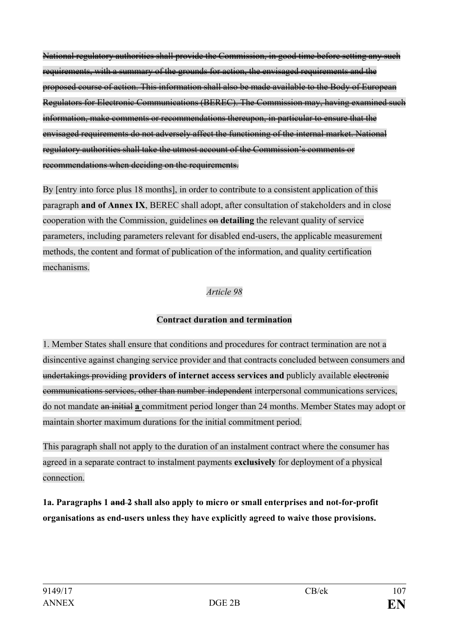National regulatory authorities shall provide the Commission, in good time before setting any such requirements, with a summary of the grounds for action, the envisaged requirements and the proposed course of action. This information shall also be made available to the Body of European Regulators for Electronic Communications (BEREC). The Commission may, having examined such information, make comments or recommendations thereupon, in particular to ensure that the envisaged requirements do not adversely affect the functioning of the internal market. National regulatory authorities shall take the utmost account of the Commission's comments or recommendations when deciding on the requirements.

By [entry into force plus 18 months], in order to contribute to a consistent application of this paragraph **and of Annex IX**, BEREC shall adopt, after consultation of stakeholders and in close cooperation with the Commission, guidelines on **detailing** the relevant quality of service parameters, including parameters relevant for disabled end-users, the applicable measurement methods, the content and format of publication of the information, and quality certification mechanisms.

### *Article 98*

### **Contract duration and termination**

1. Member States shall ensure that conditions and procedures for contract termination are not a disincentive against changing service provider and that contracts concluded between consumers and undertakings providing **providers of internet access services and** publicly available electronic communications services, other than number independent interpersonal communications services, do not mandate an initial **a** commitment period longer than 24 months. Member States may adopt or maintain shorter maximum durations for the initial commitment period.

This paragraph shall not apply to the duration of an instalment contract where the consumer has agreed in a separate contract to instalment payments **exclusively** for deployment of a physical connection.

**1a. Paragraphs 1 and 2 shall also apply to micro or small enterprises and not-for-profit organisations as end-users unless they have explicitly agreed to waive those provisions.**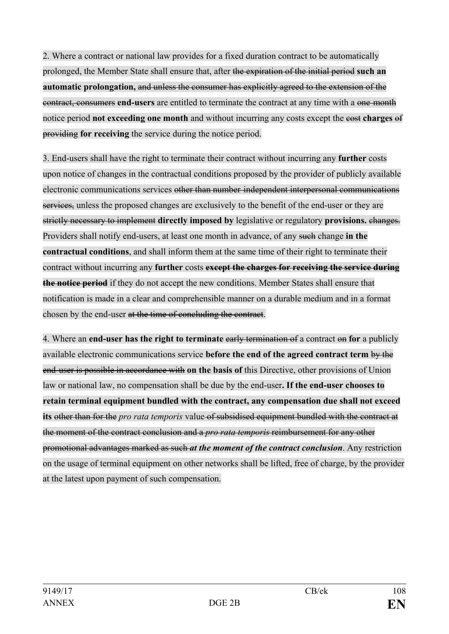2. Where a contract or national law provides for a fixed duration contract to be automatically prolonged, the Member State shall ensure that, after the expiration of the initial period **such an automatic prolongation,** and unless the consumer has explicitly agreed to the extension of the contract, consumers **end-users** are entitled to terminate the contract at any time with a one month notice period **not exceeding one month** and without incurring any costs except the cost **charges** of providing **for receiving** the service during the notice period.

3. End-users shall have the right to terminate their contract without incurring any **further** costs upon notice of changes in the contractual conditions proposed by the provider of publicly available electronic communications services other than number independent interpersonal communications services, unless the proposed changes are exclusively to the benefit of the end-user or they are strictly necessary to implement **directly imposed by** legislative or regulatory **provisions.** changes. Providers shall notify end-users, at least one month in advance, of any such change **in the contractual conditions**, and shall inform them at the same time of their right to terminate their contract without incurring any **further** costs **except the charges for receiving the service during the notice period** if they do not accept the new conditions. Member States shall ensure that notification is made in a clear and comprehensible manner on a durable medium and in a format chosen by the end-user at the time of concluding the contract.

4. Where an **end-user has the right to terminate** early termination of a contract on **for** a publicly available electronic communications service **before the end of the agreed contract term** by the end user is possible in accordance with **on the basis of** this Directive, other provisions of Union law or national law, no compensation shall be due by the end-user**. If the end-user chooses to retain terminal equipment bundled with the contract, any compensation due shall not exceed its** other than for the *pro rata temporis* value of subsidised equipment bundled with the contract at the moment of the contract conclusion and a *pro rata temporis* reimbursement for any other promotional advantages marked as such *at the moment of the contract conclusion*. Any restriction on the usage of terminal equipment on other networks shall be lifted, free of charge, by the provider at the latest upon payment of such compensation.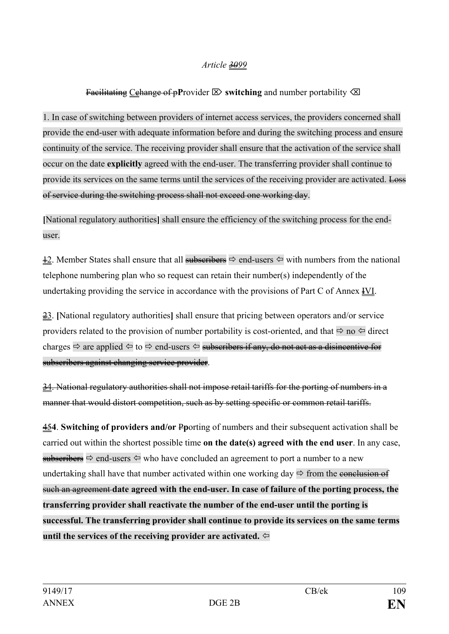### Facilitating Cehange of pProvider  $\boxtimes$  switching and number portability  $\boxtimes$

1. In case of switching between providers of internet access services, the providers concerned shall provide the end-user with adequate information before and during the switching process and ensure continuity of the service. The receiving provider shall ensure that the activation of the service shall occur on the date **explicitly** agreed with the end-user. The transferring provider shall continue to provide its services on the same terms until the services of the receiving provider are activated. Loss of service during the switching process shall not exceed one working day.

**[**National regulatory authorities**]** shall ensure the efficiency of the switching process for the enduser.

 $\pm$ 2. Member States shall ensure that all subseribers  $\Rightarrow$  end-users  $\Leftarrow$  with numbers from the national telephone numbering plan who so request can retain their number(s) independently of the undertaking providing the service in accordance with the provisions of Part C of Annex **IVI**.

23. **[**National regulatory authorities**]** shall ensure that pricing between operators and/or service providers related to the provision of number portability is cost-oriented, and that  $\Rightarrow$  no  $\Leftarrow$  direct charges  $\Rightarrow$  are applied  $\Leftarrow$  to  $\Rightarrow$  end-users  $\Leftarrow$  subscribers if any, do not act as a disincentive for subscribers against changing service provider.

34. National regulatory authorities shall not impose retail tariffs for the porting of numbers in a manner that would distort competition, such as by setting specific or common retail tariffs.

45**4**. **Switching of providers and/or** P**p**orting of numbers and their subsequent activation shall be carried out within the shortest possible time **on the date(s) agreed with the end user**. In any case, subscribers  $\Rightarrow$  end-users  $\Leftrightarrow$  who have concluded an agreement to port a number to a new undertaking shall have that number activated within one working day  $\Rightarrow$  from the conclusion of such an agreement **date agreed with the end-user. In case of failure of the porting process, the transferring provider shall reactivate the number of the end-user until the porting is successful. The transferring provider shall continue to provide its services on the same terms until the services of the receiving provider are activated.**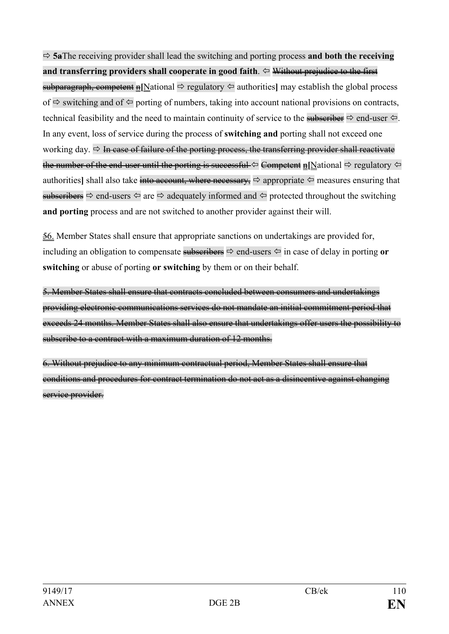$\Rightarrow$  5aThe receiving provider shall lead the switching and porting process and both the receiving and transferring providers shall cooperate in good faith.  $\Leftrightarrow$  Without prejudice to the first  $\frac{\text{subparameter} \cdot \text{independent}}{\text{subparameter}}$  **n** [National  $\Rightarrow$  regulatory  $\Leftarrow$  authorities] may establish the global process of  $\Rightarrow$  switching and of  $\Leftarrow$  porting of numbers, taking into account national provisions on contracts, technical feasibility and the need to maintain continuity of service to the subscriber  $\Rightarrow$  end-user  $\Leftarrow$ . In any event, loss of service during the process of **switching and** porting shall not exceed one working day.  $\Rightarrow$  In case of failure of the porting process, the transferring provider shall reactivate the number of the end user until the porting is successful  $\Diamond$  Competent net **n**[National  $\Diamond$  regulatory  $\Diamond$ authorities] shall also take into account, where necessary,  $\Rightarrow$  appropriate  $\Leftarrow$  measures ensuring that subseribers  $\Rightarrow$  end-users  $\Leftrightarrow$  are  $\Leftrightarrow$  adequately informed and  $\Leftrightarrow$  protected throughout the switching **and porting** process and are not switched to another provider against their will.

56. Member States shall ensure that appropriate sanctions on undertakings are provided for, including an obligation to compensate subseribers  $\Rightarrow$  end-users  $\Leftarrow$  in case of delay in porting or **switching** or abuse of porting **or switching** by them or on their behalf.

5. Member States shall ensure that contracts concluded between consumers and undertakings providing electronic communications services do not mandate an initial commitment period that exceeds 24 months. Member States shall also ensure that undertakings offer users the possibility to subscribe to a contract with a maximum duration of 12 months.

6. Without prejudice to any minimum contractual period, Member States shall ensure that conditions and procedures for contract termination do not act as a disincentive against changing service provider.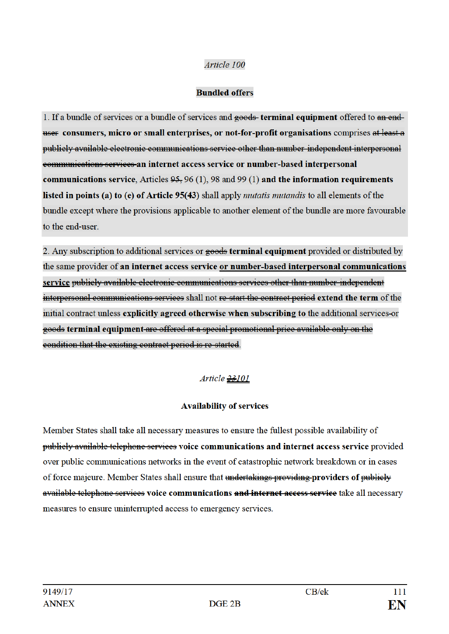#### **Bundled offers**

1. If a bundle of services or a bundle of services and goods-terminal equipment offered to an enduser consumers, micro or small enterprises, or not-for-profit organisations comprises at least a publicly available electronic communications service other than number independent interpersonal eommunications services an internet access service or number-based interpersonal communications service, Articles  $95-96(1)$ , 98 and 99 (1) and the information requirements listed in points (a) to (e) of Article 95(43) shall apply *mutatis mutandis* to all elements of the bundle except where the provisions applicable to another element of the bundle are more favourable to the end-user.

2. Any subscription to additional services or goods terminal equipment provided or distributed by the same provider of an internet access service or number-based interpersonal communications service publicly available electronic communications services other than number independent interpersonal communications services shall not re-start the contract period extend the term of the initial contract unless explicitly agreed otherwise when subscribing to the additional services-or goods terminal equipment are offered at a special promotional price available only on the eondition that the existing contract period is re-started.

# Article 23101

#### **Availability of services**

Member States shall take all necessary measures to ensure the fullest possible availability of publiely available telephone services voice communications and internet access service provided over public communications networks in the event of catastrophic network breakdown or in cases of force majeure. Member States shall ensure that undertakings providing providers of publicly available telephone services voice communications and internet access service take all necessary measures to ensure uninterrupted access to emergency services.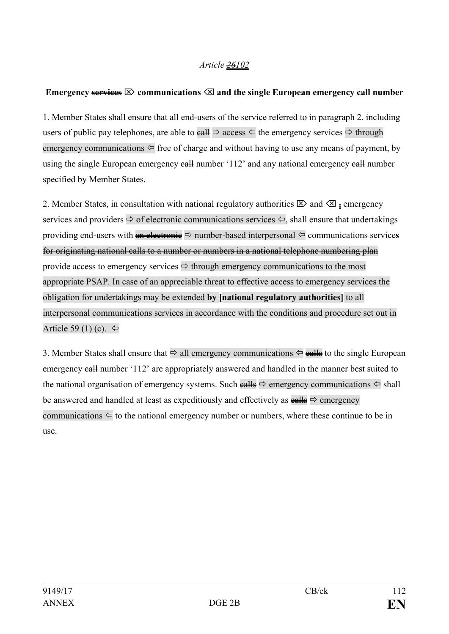#### **Emergency services**  $\boxtimes$  communications  $\boxtimes$  and the single European emergency call number

1. Member States shall ensure that all end-users of the service referred to in paragraph 2, including users of public pay telephones, are able to  $\frac{1}{\sqrt{2}} \oplus \frac{1}{\sqrt{2}}$  access  $\Leftrightarrow$  the emergency services  $\Rightarrow$  through emergency communications  $\Leftarrow$  free of charge and without having to use any means of payment, by using the single European emergency  $\epsilon$  all number '112' and any national emergency  $\epsilon$  all number specified by Member States.

2. Member States, in consultation with national regulatory authorities  $\boxtimes$  and  $\boxtimes$ , emergency services and providers  $\Rightarrow$  of electronic communications services  $\Leftarrow$ , shall ensure that undertakings providing end-users with  $\mathbf{a}$  number-based interpersonal  $\Leftarrow$  communications services for originating national calls to a number or numbers in a national telephone numbering plan provide access to emergency services  $\Leftrightarrow$  through emergency communications to the most appropriate PSAP. In case of an appreciable threat to effective access to emergency services the obligation for undertakings may be extended **by [national regulatory authorities]** to all interpersonal communications services in accordance with the conditions and procedure set out in Article 59 (1) (c).  $\Leftrightarrow$ 

3. Member States shall ensure that  $\Rightarrow$  all emergency communications  $\Leftarrow$  ealls to the single European emergency eall number '112' are appropriately answered and handled in the manner best suited to the national organisation of emergency systems. Such ealls  $\Rightarrow$  emergency communications  $\Leftarrow$  shall be answered and handled at least as expeditiously and effectively as  $\frac{\text{ealls}}{\ } \Rightarrow$  emergency communications  $\Leftarrow$  to the national emergency number or numbers, where these continue to be in use.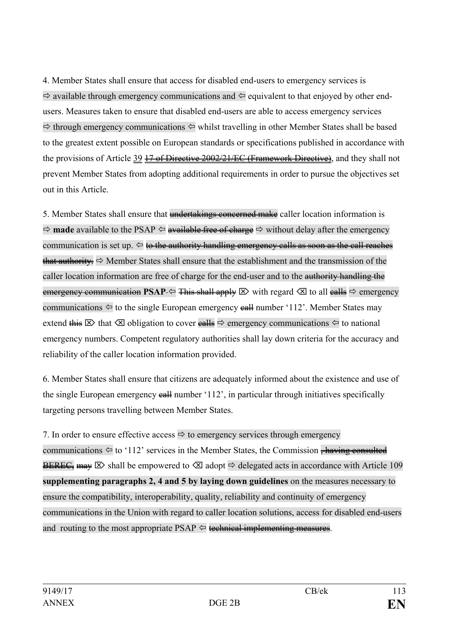4. Member States shall ensure that access for disabled end-users to emergency services is  $\Rightarrow$  available through emergency communications and  $\Leftarrow$  equivalent to that enjoyed by other endusers. Measures taken to ensure that disabled end-users are able to access emergency services  $\Rightarrow$  through emergency communications  $\Leftrightarrow$  whilst travelling in other Member States shall be based to the greatest extent possible on European standards or specifications published in accordance with the provisions of Article 39 17 of Directive 2002/21/EC (Framework Directive), and they shall not prevent Member States from adopting additional requirements in order to pursue the objectives set out in this Article.

5. Member States shall ensure that undertaking concerned make caller location information is  $\Rightarrow$  made available to the PSAP  $\Leftrightarrow$  available free of charge  $\Leftrightarrow$  without delay after the emergency communication is set up.  $\Leftrightarrow$  to the authority handling emergency calls as soon as the call reaches that authority.  $\Rightarrow$  Member States shall ensure that the establishment and the transmission of the caller location information are free of charge for the end-user and to the authority handling the emergency communication **PSAP**  $\leftarrow$  This shall apply  $\boxtimes$  with regard  $\boxtimes$  to all ealls  $\Rightarrow$  emergency communications  $\Leftarrow$  to the single European emergency eall number '112'. Member States may extend this  $\boxtimes$  that  $\boxtimes$  obligation to cover ealls  $\ominus$  emergency communications  $\ominus$  to national emergency numbers. Competent regulatory authorities shall lay down criteria for the accuracy and reliability of the caller location information provided.

6. Member States shall ensure that citizens are adequately informed about the existence and use of the single European emergency  $\frac{112}{12}$ , in particular through initiatives specifically targeting persons travelling between Member States.

7. In order to ensure effective access  $\Rightarrow$  to emergency services through emergency communications  $\Leftarrow$  to '112' services in the Member States, the Commission  $\frac{1}{\sqrt{2}}$  having consulted BEREC, may  $\boxtimes$  shall be empowered to  $\boxtimes$  adopt  $\Rightarrow$  delegated acts in accordance with Article 109 **supplementing paragraphs 2, 4 and 5 by laying down guidelines** on the measures necessary to ensure the compatibility, interoperability, quality, reliability and continuity of emergency communications in the Union with regard to caller location solutions, access for disabled end-users and routing to the most appropriate  $PSAP \Leftrightarrow$  technical implementing measures.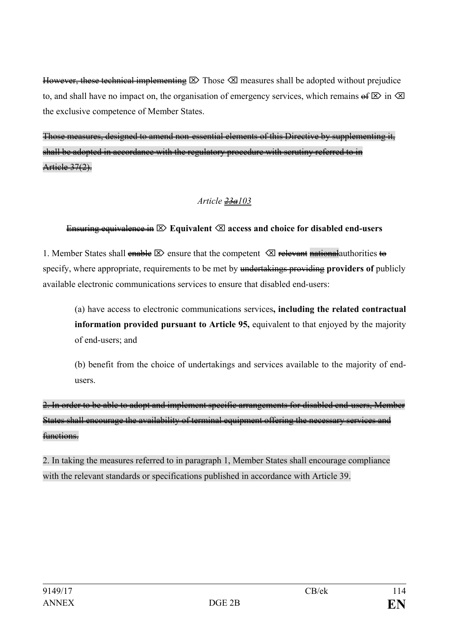However, these technical implementing  $\boxtimes$  Those  $\boxtimes$  measures shall be adopted without prejudice to, and shall have no impact on, the organisation of emergency services, which remains  $\oplus$   $\otimes$  in  $\otimes$ the exclusive competence of Member States.

Those measures, designed to amend non essential elements of this Directive by supplementing it, shall be adopted in accordance with the regulatory procedure with scrutiny referred to in Article 37(2).

# *Article 23a103*

# Ensuring equivalence in  $\boxtimes$  Equivalent  $\boxtimes$  access and choice for disabled end-users

1. Member States shall enable  $\boxtimes$  ensure that the competent  $\boxtimes$  relevant national authorities to specify, where appropriate, requirements to be met by undertakings providing **providers of** publicly available electronic communications services to ensure that disabled end-users:

(a) have access to electronic communications services**, including the related contractual information provided pursuant to Article 95,** equivalent to that enjoyed by the majority of end-users; and

(b) benefit from the choice of undertakings and services available to the majority of endusers.

2. In order to be able to adopt and implement specific arrangements for disabled end users, Member States shall encourage the availability of terminal equipment offering the necessary services and functions.

2. In taking the measures referred to in paragraph 1, Member States shall encourage compliance with the relevant standards or specifications published in accordance with Article 39.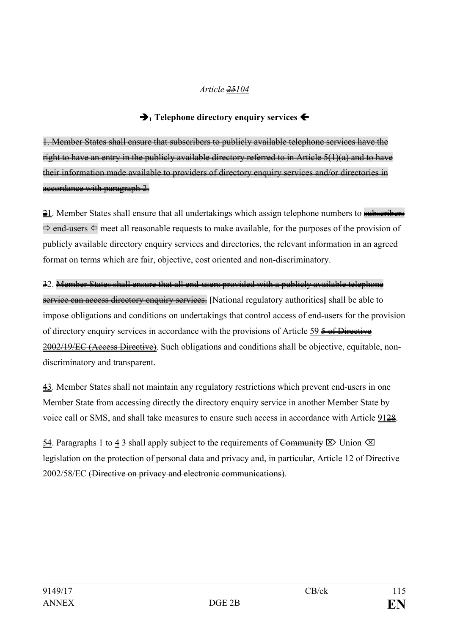# $\rightarrow$ <sub>1</sub> Telephone directory enquiry services  $\leftarrow$

1. Member States shall ensure that subscribers to publicly available telephone services have the right to have an entry in the publicly available directory referred to in Article 5(1)(a) and to have their information made available to providers of directory enquiry services and/or directories in accordance with paragraph 2.

 $\geq$ 1. Member States shall ensure that all undertakings which assign telephone numbers to subscribers  $\Rightarrow$  end-users  $\Leftrightarrow$  meet all reasonable requests to make available, for the purposes of the provision of publicly available directory enquiry services and directories, the relevant information in an agreed format on terms which are fair, objective, cost oriented and non-discriminatory.

32. Member States shall ensure that all end users provided with a publicly available telephone service can access directory enquiry services. **[**National regulatory authorities**]** shall be able to impose obligations and conditions on undertakings that control access of end-users for the provision of directory enquiry services in accordance with the provisions of Article  $59 \frac{1}{5}$  of Directive 2002/19/EC (Access Directive). Such obligations and conditions shall be objective, equitable, nondiscriminatory and transparent.

43. Member States shall not maintain any regulatory restrictions which prevent end-users in one Member State from accessing directly the directory enquiry service in another Member State by voice call or SMS, and shall take measures to ensure such access in accordance with Article  $9128$ .

 $\frac{1}{24}$ . Paragraphs 1 to  $\frac{1}{2}$  shall apply subject to the requirements of Community  $\boxtimes$  Union  $\boxtimes$ legislation on the protection of personal data and privacy and, in particular, Article 12 of Directive 2002/58/EC (Directive on privacy and electronic communications).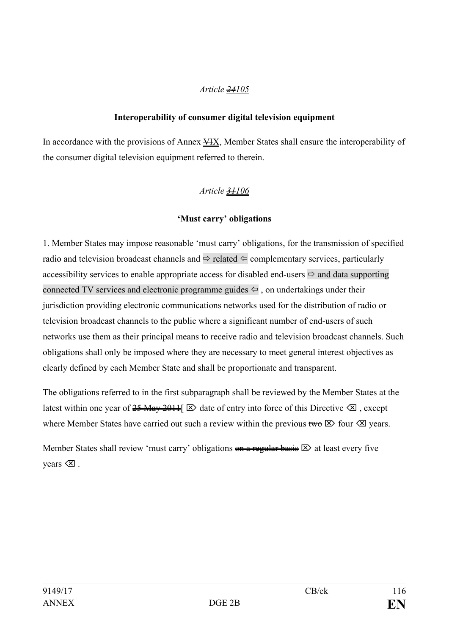#### **Interoperability of consumer digital television equipment**

In accordance with the provisions of Annex  $\frac{1}{1}X$ , Member States shall ensure the interoperability of the consumer digital television equipment referred to therein.

### *Article 31106*

#### **'Must carry' obligations**

1. Member States may impose reasonable 'must carry' obligations, for the transmission of specified radio and television broadcast channels and  $\Rightarrow$  related  $\Leftrightarrow$  complementary services, particularly accessibility services to enable appropriate access for disabled end-users  $\Rightarrow$  and data supporting connected TV services and electronic programme guides  $\Leftarrow$ , on undertakings under their jurisdiction providing electronic communications networks used for the distribution of radio or television broadcast channels to the public where a significant number of end-users of such networks use them as their principal means to receive radio and television broadcast channels. Such obligations shall only be imposed where they are necessary to meet general interest objectives as clearly defined by each Member State and shall be proportionate and transparent.

The obligations referred to in the first subparagraph shall be reviewed by the Member States at the latest within one year of  $25$  May  $2011$   $\boxed{\times}$  date of entry into force of this Directive  $\boxed{\times}$ , except where Member States have carried out such a review within the previous  $\overline{\mathbf{w}}$  four  $\otimes$  years.

Member States shall review 'must carry' obligations  $\Theta$  as a regular basis  $\boxtimes$  at least every five years  $\otimes$ .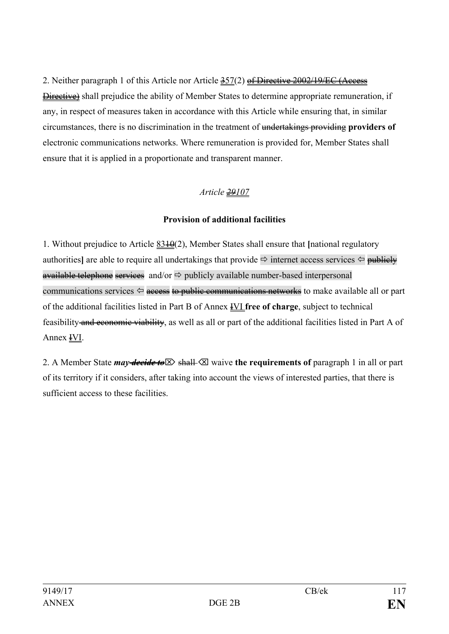2. Neither paragraph 1 of this Article nor Article  $\frac{357(2)}{96}$  Directive 2002/19/EC (Access **Directive**) shall prejudice the ability of Member States to determine appropriate remuneration, if any, in respect of measures taken in accordance with this Article while ensuring that, in similar circumstances, there is no discrimination in the treatment of undertakings providing **providers of**  electronic communications networks. Where remuneration is provided for, Member States shall ensure that it is applied in a proportionate and transparent manner.

# *Article 29107*

### **Provision of additional facilities**

1. Without prejudice to Article 83<del>10</del>(2), Member States shall ensure that Inational regulatory authorities] are able to require all undertakings that provide  $\Rightarrow$  internet access services  $\Leftrightarrow$  publicly available telephone services and/or  $\Rightarrow$  publicly available number-based interpersonal communications services  $\Leftarrow$  access to public communications networks to make available all or part of the additional facilities listed in Part B of Annex IVI **free of charge**, subject to technical feasibility and economic viability, as well as all or part of the additional facilities listed in Part A of Annex IVI.

2. A Member State *may-decide to*  $\boxtimes$  shall  $\boxtimes$  waive the requirements of paragraph 1 in all or part of its territory if it considers, after taking into account the views of interested parties, that there is sufficient access to these facilities.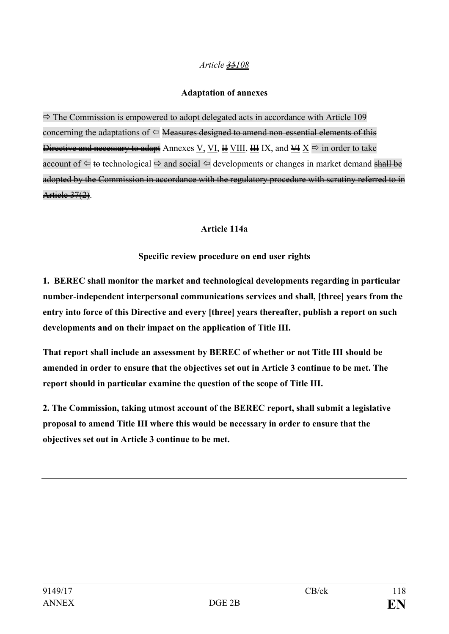#### **Adaptation of annexes**

 $\Rightarrow$  The Commission is empowered to adopt delegated acts in accordance with Article 109 concerning the adaptations of  $\Leftrightarrow$  Measures designed to amend non-essential elements of this Directive and necessary to adapt Annexes V, VI,  $\overline{H}$  VIII,  $\overline{H}$  IX, and  $\overline{H}$   $X \Rightarrow$  in order to take account of  $\Leftrightarrow$  to technological  $\Leftrightarrow$  and social  $\Leftrightarrow$  developments or changes in market demand shall be adopted by the Commission in accordance with the regulatory procedure with scrutiny referred to in Article 37(2).

#### **Article 114a**

#### **Specific review procedure on end user rights**

**1. BEREC shall monitor the market and technological developments regarding in particular number-independent interpersonal communications services and shall, [three] years from the entry into force of this Directive and every [three] years thereafter, publish a report on such developments and on their impact on the application of Title III.**

**That report shall include an assessment by BEREC of whether or not Title III should be amended in order to ensure that the objectives set out in Article 3 continue to be met. The report should in particular examine the question of the scope of Title III.**

**2. The Commission, taking utmost account of the BEREC report, shall submit a legislative proposal to amend Title III where this would be necessary in order to ensure that the objectives set out in Article 3 continue to be met.**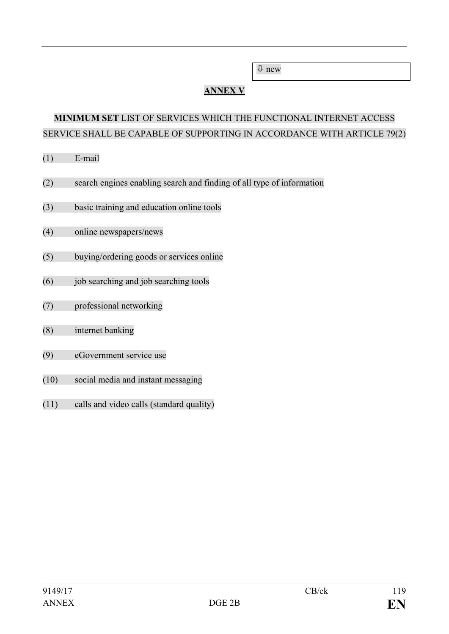new

# **ANNEX V**

# **MINIMUM SET** LIST OF SERVICES WHICH THE FUNCTIONAL INTERNET ACCESS SERVICE SHALL BE CAPABLE OF SUPPORTING IN ACCORDANCE WITH ARTICLE 79(2)

- (1) E-mail
- (2) search engines enabling search and finding of all type of information
- (3) basic training and education online tools
- (4) online newspapers/news
- (5) buying/ordering goods or services online
- (6) job searching and job searching tools
- (7) professional networking
- (8) internet banking
- (9) eGovernment service use
- (10) social media and instant messaging
- (11) calls and video calls (standard quality)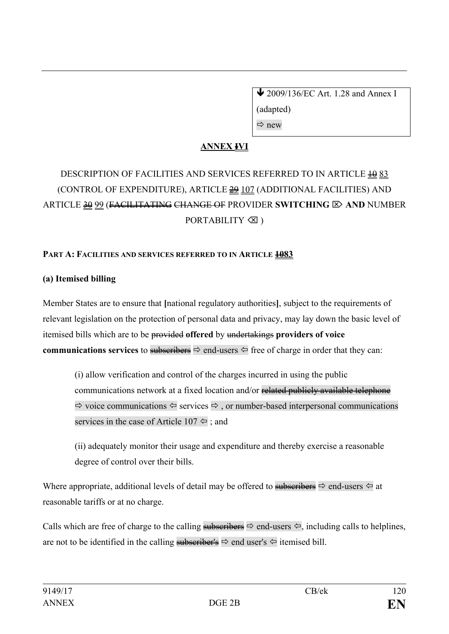$\sqrt{2009/136}$ /EC Art. 1.28 and Annex I (adapted)  $\Rightarrow$  new

# **ANNEX IVI**

# DESCRIPTION OF FACILITIES AND SERVICES REFERRED TO IN ARTICLE  $\frac{10}{10}$  83 (CONTROL OF EXPENDITURE), ARTICLE  $\frac{29}{2}$  107 (ADDITIONAL FACILITIES) AND ARTICLE 30 99 (FACILITATING CHANGE OF PROVIDER SWITCHING  $\boxtimes$  AND NUMBER PORTABILITY  $\otimes$ )

# PART A: **FACILITIES AND SERVICES REFERRED TO IN ARTICLE**  $\frac{1083}{1000}$

### **(a) Itemised billing**

Member States are to ensure that **[**national regulatory authorities**]**, subject to the requirements of relevant legislation on the protection of personal data and privacy, may lay down the basic level of itemised bills which are to be provided **offered** by undertakings **providers of voice communications services** to subscribers  $\Rightarrow$  end-users  $\Leftarrow$  free of charge in order that they can:

(i) allow verification and control of the charges incurred in using the public communications network at a fixed location and/or related publicly available telephone  $\Rightarrow$  voice communications  $\Leftrightarrow$  services  $\Leftrightarrow$ , or number-based interpersonal communications services in the case of Article 107  $\Leftrightarrow$ ; and

(ii) adequately monitor their usage and expenditure and thereby exercise a reasonable degree of control over their bills.

Where appropriate, additional levels of detail may be offered to subscribers  $\Rightarrow$  end-users  $\Leftarrow$  at reasonable tariffs or at no charge.

Calls which are free of charge to the calling subscribers  $\Rightarrow$  end-users  $\Leftrightarrow$ , including calls to helplines, are not to be identified in the calling subscriber's  $\Rightarrow$  end user's  $\Leftrightarrow$  itemised bill.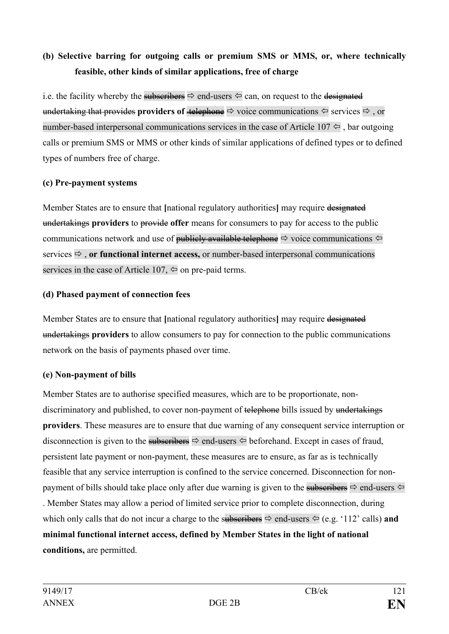# **(b) Selective barring for outgoing calls or premium SMS or MMS, or, where technically feasible, other kinds of similar applications, free of charge**

i.e. the facility whereby the subscribers  $\Rightarrow$  end-users  $\Leftarrow$  can, on request to the designated undertaking that provides providers of  $\triangleleft$  elephone  $\Rightarrow$  voice communications  $\Leftarrow$  services  $\Rightarrow$  or number-based interpersonal communications services in the case of Article 107  $\Leftarrow$ , bar outgoing calls or premium SMS or MMS or other kinds of similar applications of defined types or to defined types of numbers free of charge.

### **(c) Pre-payment systems**

Member States are to ensure that **[**national regulatory authorities] may require designated undertakings **providers** to provide **offer** means for consumers to pay for access to the public communications network and use of publicly available telephone  $\Rightarrow$  voice communications  $\Leftrightarrow$ services  $\Rightarrow$ , **or functional internet access,** or number-based interpersonal communications services in the case of Article 107,  $\Leftrightarrow$  on pre-paid terms.

### **(d) Phased payment of connection fees**

Member States are to ensure that Inational regulatory authorities<sup>I</sup> may require designated undertakings **providers** to allow consumers to pay for connection to the public communications network on the basis of payments phased over time.

# **(e) Non-payment of bills**

Member States are to authorise specified measures, which are to be proportionate, nondiscriminatory and published, to cover non-payment of telephone bills issued by undertakings **providers**. These measures are to ensure that due warning of any consequent service interruption or disconnection is given to the subseribers  $\Rightarrow$  end-users  $\Leftrightarrow$  beforehand. Except in cases of fraud, persistent late payment or non-payment, these measures are to ensure, as far as is technically feasible that any service interruption is confined to the service concerned. Disconnection for nonpayment of bills should take place only after due warning is given to the subscribers  $\Rightarrow$  end-users  $\Leftrightarrow$ . Member States may allow a period of limited service prior to complete disconnection, during which only calls that do not incur a charge to the subscribers  $\Rightarrow$  end-users  $\Leftarrow$  (e.g. '112' calls) and **minimal functional internet access, defined by Member States in the light of national conditions,** are permitted.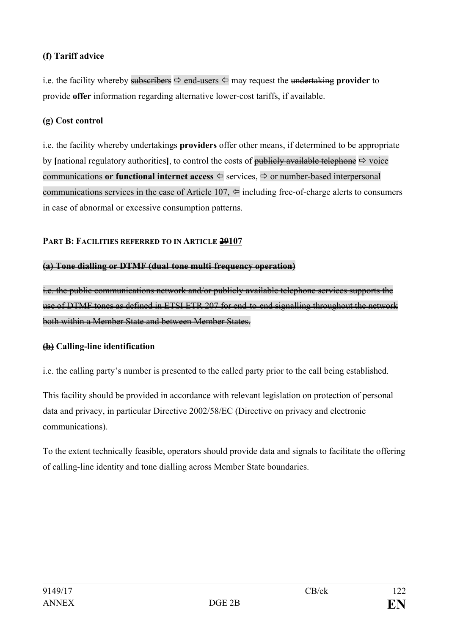# **(f) Tariff advice**

i.e. the facility whereby subseribers  $\Rightarrow$  end-users  $\Leftrightarrow$  may request the undertaking **provider** to provide **offer** information regarding alternative lower-cost tariffs, if available.

### **(g) Cost control**

i.e. the facility whereby undertakings **providers** offer other means, if determined to be appropriate by Inational regulatory authorities<sup>, to control the costs of <del>publicly available telephone</del>  $\Rightarrow$  voice</sup> communications **or functional internet access**  $\Leftrightarrow$  services,  $\Leftrightarrow$  or number-based interpersonal communications services in the case of Article 107,  $\Leftrightarrow$  including free-of-charge alerts to consumers in case of abnormal or excessive consumption patterns.

### PART **B:** FACILITIES REFERRED TO IN ARTICLE **29107**

### **(a) Tone dialling or DTMF (dual tone multi frequency operation)**

i.e. the public communications network and/or publicly available telephone services supports the use of DTMF tones as defined in ETSI ETR 207 for end to end signalling throughout the network both within a Member State and between Member States.

# **(b) Calling-line identification**

i.e. the calling party's number is presented to the called party prior to the call being established.

This facility should be provided in accordance with relevant legislation on protection of personal data and privacy, in particular Directive 2002/58/EC (Directive on privacy and electronic communications).

To the extent technically feasible, operators should provide data and signals to facilitate the offering of calling-line identity and tone dialling across Member State boundaries.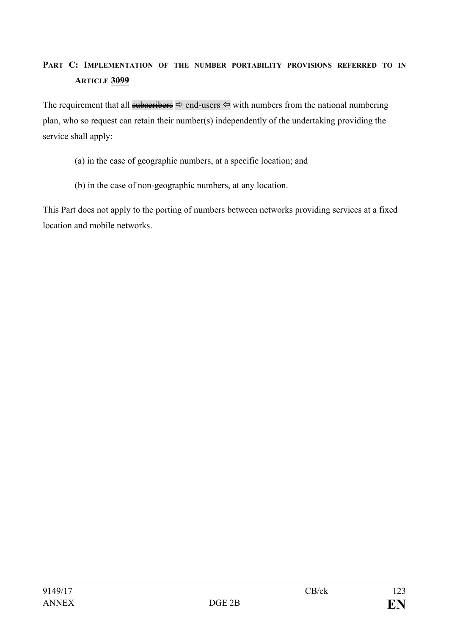# **PART C: IMPLEMENTATION OF THE NUMBER PORTABILITY PROVISIONS REFERRED TO IN ARTICLE 3099**

The requirement that all subscribers  $\Rightarrow$  end-users  $\Leftrightarrow$  with numbers from the national numbering plan, who so request can retain their number(s) independently of the undertaking providing the service shall apply:

- (a) in the case of geographic numbers, at a specific location; and
- (b) in the case of non-geographic numbers, at any location.

This Part does not apply to the porting of numbers between networks providing services at a fixed location and mobile networks.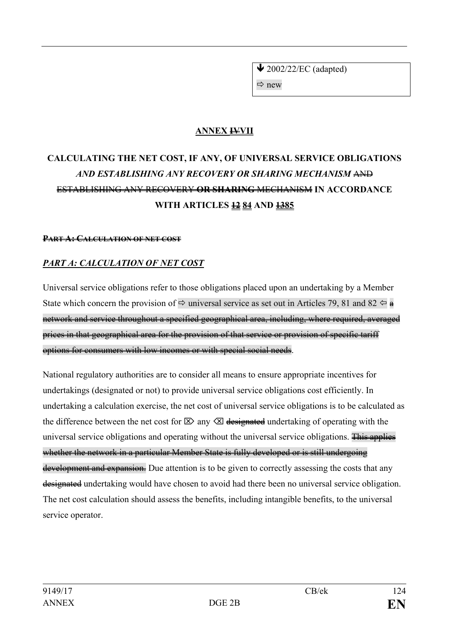$\triangle$  2002/22/EC (adapted)  $\Rightarrow$  new

#### **ANNEX WVII**

# **CALCULATING THE NET COST, IF ANY, OF UNIVERSAL SERVICE OBLIGATIONS**  *AND ESTABLISHING ANY RECOVERY OR SHARING MECHANISM* AND ESTABLISHING ANY RECOVERY **OR SHARING** MECHANISM **IN ACCORDANCE WITH ARTICLES 12 84 AND 1385**

#### **PART A: CALCULATION OF NET COST**

#### *PART A: CALCULATION OF NET COST*

Universal service obligations refer to those obligations placed upon an undertaking by a Member State which concern the provision of  $\Rightarrow$  universal service as set out in Articles 79, 81 and 82  $\Leftarrow$  and network and service throughout a specified geographical area, including, where required, averaged prices in that geographical area for the provision of that service or provision of specific tariff options for consumers with low incomes or with special social needs.

National regulatory authorities are to consider all means to ensure appropriate incentives for undertakings (designated or not) to provide universal service obligations cost efficiently. In undertaking a calculation exercise, the net cost of universal service obligations is to be calculated as the difference between the net cost for  $\boxtimes$  any  $\boxtimes$  designated undertaking of operating with the universal service obligations and operating without the universal service obligations. This applies whether the network in a particular Member State is fully developed or is still undergoing development and expansion. Due attention is to be given to correctly assessing the costs that any designated undertaking would have chosen to avoid had there been no universal service obligation. The net cost calculation should assess the benefits, including intangible benefits, to the universal service operator.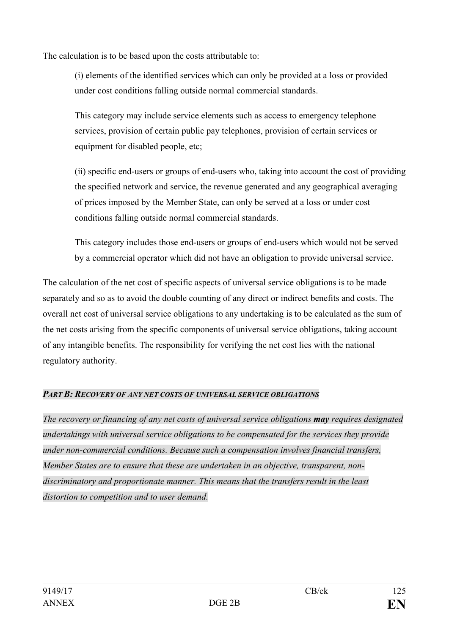The calculation is to be based upon the costs attributable to:

(i) elements of the identified services which can only be provided at a loss or provided under cost conditions falling outside normal commercial standards.

This category may include service elements such as access to emergency telephone services, provision of certain public pay telephones, provision of certain services or equipment for disabled people, etc;

(ii) specific end-users or groups of end-users who, taking into account the cost of providing the specified network and service, the revenue generated and any geographical averaging of prices imposed by the Member State, can only be served at a loss or under cost conditions falling outside normal commercial standards.

This category includes those end-users or groups of end-users which would not be served by a commercial operator which did not have an obligation to provide universal service.

The calculation of the net cost of specific aspects of universal service obligations is to be made separately and so as to avoid the double counting of any direct or indirect benefits and costs. The overall net cost of universal service obligations to any undertaking is to be calculated as the sum of the net costs arising from the specific components of universal service obligations, taking account of any intangible benefits. The responsibility for verifying the net cost lies with the national regulatory authority.

# *PART B: RECOVERY OF ANY NET COSTS OF UNIVERSAL SERVICE OBLIGATIONS*

*The recovery or financing of any net costs of universal service obligations may requires designated undertakings with universal service obligations to be compensated for the services they provide under non-commercial conditions. Because such a compensation involves financial transfers, Member States are to ensure that these are undertaken in an objective, transparent, nondiscriminatory and proportionate manner. This means that the transfers result in the least distortion to competition and to user demand.*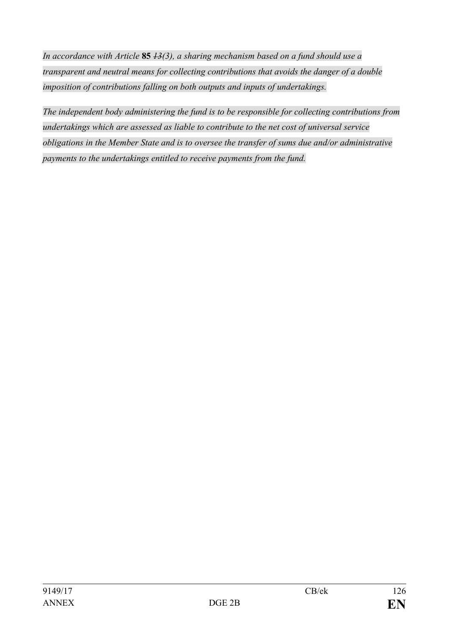*In accordance with Article* **85** *13(3), a sharing mechanism based on a fund should use a transparent and neutral means for collecting contributions that avoids the danger of a double imposition of contributions falling on both outputs and inputs of undertakings.*

*The independent body administering the fund is to be responsible for collecting contributions from undertakings which are assessed as liable to contribute to the net cost of universal service obligations in the Member State and is to oversee the transfer of sums due and/or administrative payments to the undertakings entitled to receive payments from the fund.*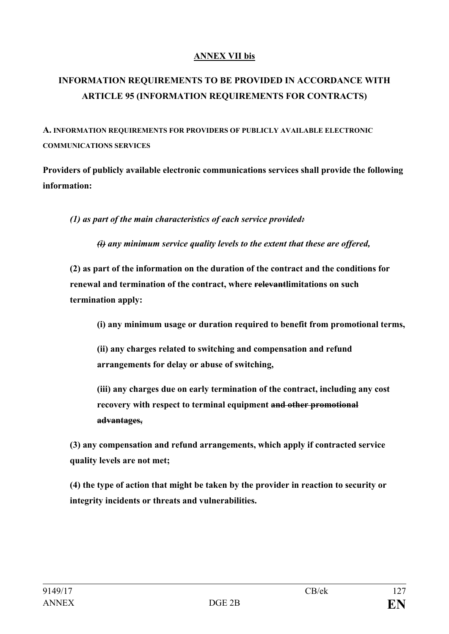### **ANNEX VII bis**

# **INFORMATION REQUIREMENTS TO BE PROVIDED IN ACCORDANCE WITH ARTICLE 95 (INFORMATION REQUIREMENTS FOR CONTRACTS)**

**A. INFORMATION REQUIREMENTS FOR PROVIDERS OF PUBLICLY AVAILABLE ELECTRONIC COMMUNICATIONS SERVICES**

**Providers of publicly available electronic communications services shall provide the following information:**

*(1) as part of the main characteristics of each service provided:*

*(i) any minimum service quality levels to the extent that these are offered,* 

**(2) as part of the information on the duration of the contract and the conditions for renewal and termination of the contract, where relevantlimitations on such termination apply:**

**(i) any minimum usage or duration required to benefit from promotional terms,**

**(ii) any charges related to switching and compensation and refund arrangements for delay or abuse of switching,**

**(iii) any charges due on early termination of the contract, including any cost recovery with respect to terminal equipment and other promotional advantages,**

**(3) any compensation and refund arrangements, which apply if contracted service quality levels are not met;**

**(4) the type of action that might be taken by the provider in reaction to security or integrity incidents or threats and vulnerabilities.**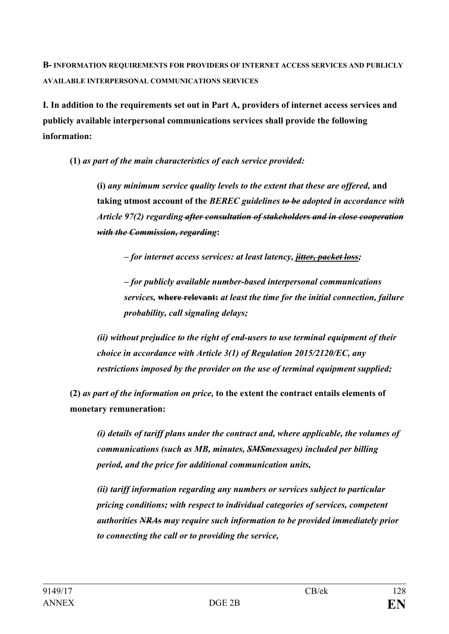**B- INFORMATION REQUIREMENTS FOR PROVIDERS OF INTERNET ACCESS SERVICES AND PUBLICLY AVAILABLE INTERPERSONAL COMMUNICATIONS SERVICES**

**I. In addition to the requirements set out in Part A, providers of internet access services and publicly available interpersonal communications services shall provide the following information:**

**(1)** *as part of the main characteristics of each service provided:*

**(i)** *any minimum service quality levels to the extent that these are offered,* **and taking utmost account of the** *BEREC guidelines to be adopted in accordance with Article 97(2) regarding after consultation of stakeholders and in close cooperation with the Commission, regarding***:**

*– for internet access services: at least latency, jitter, packet loss;*

**–** *for publicly available number-based interpersonal communications services,* **where relevant:** *at least the time for the initial connection, failure probability, call signaling delays;*

*(ii) without prejudice to the right of end-users to use terminal equipment of their choice in accordance with Article 3(1) of Regulation 2015/2120/EC, any restrictions imposed by the provider on the use of terminal equipment supplied;*

**(2)** *as part of the information on price,* **to the extent the contract entails elements of monetary remuneration:**

*(i) details of tariff plans under the contract and, where applicable, the volumes of communications (such as MB, minutes, SMSmessages) included per billing period, and the price for additional communication units,*

*(ii) tariff information regarding any numbers or services subject to particular pricing conditions; with respect to individual categories of services, competent authorities NRAs may require such information to be provided immediately prior to connecting the call or to providing the service,*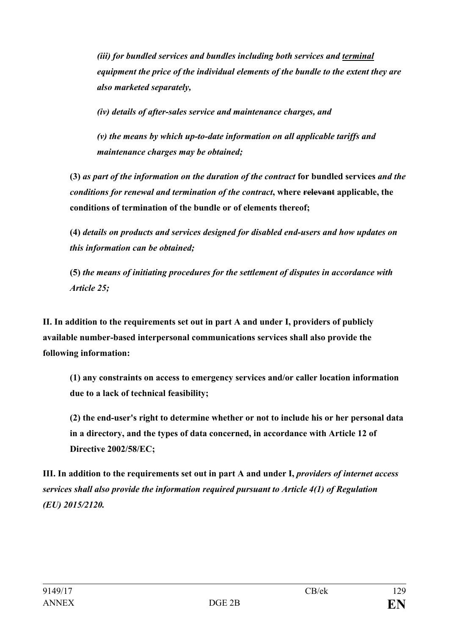*(iii) for bundled services and bundles including both services and terminal equipment the price of the individual elements of the bundle to the extent they are also marketed separately,*

*(iv) details of after-sales service and maintenance charges, and*

*(v) the means by which up-to-date information on all applicable tariffs and maintenance charges may be obtained;*

**(3)** *as part of the information on the duration of the contract* **for bundled services** *and the conditions for renewal and termination of the contract***, where relevant applicable, the conditions of termination of the bundle or of elements thereof;** 

**(4)** *details on products and services designed for disabled end-users and how updates on this information can be obtained;* 

**(5)** *the means of initiating procedures for the settlement of disputes in accordance with Article 25;*

**II. In addition to the requirements set out in part A and under I, providers of publicly available number-based interpersonal communications services shall also provide the following information:**

**(1) any constraints on access to emergency services and/or caller location information due to a lack of technical feasibility;**

**(2) the end-user's right to determine whether or not to include his or her personal data in a directory, and the types of data concerned, in accordance with Article 12 of Directive 2002/58/EC;**

**III. In addition to the requirements set out in part A and under I,** *providers of internet access services shall also provide the information required pursuant to Article 4(1) of Regulation (EU) 2015/2120.*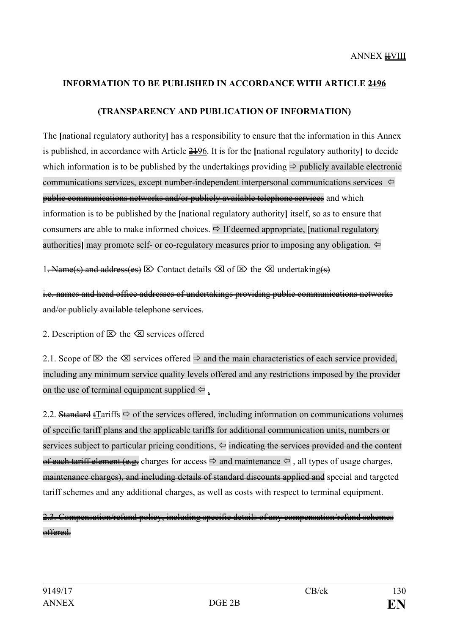#### **INFORMATION TO BE PUBLISHED IN ACCORDANCE WITH ARTICLE 2196**

#### **(TRANSPARENCY AND PUBLICATION OF INFORMATION)**

The **[**national regulatory authority**]** has a responsibility to ensure that the information in this Annex is published, in accordance with Article 2196. It is for the **[**national regulatory authority**]** to decide which information is to be published by the undertakings providing  $\Rightarrow$  publicly available electronic communications services, except number-independent interpersonal communications services  $\Leftrightarrow$ public communications networks and/or publicly available telephone services and which information is to be published by the **[**national regulatory authority**]** itself, so as to ensure that consumers are able to make informed choices.  $\Rightarrow$  If deemed appropriate, [national regulatory authorities] may promote self- or co-regulatory measures prior to imposing any obligation.  $\Leftrightarrow$ 

1. Name(s) and address(es)  $\boxtimes$  Contact details  $\boxtimes$  of  $\boxtimes$  the  $\boxtimes$  undertaking(s)

i.e. names and head office addresses of undertakings providing public communications networks and/or publicly available telephone services.

2. Description of  $\boxtimes$  the  $\boxtimes$  services offered

2.1. Scope of  $\boxtimes$  the  $\boxtimes$  services offered  $\Rightarrow$  and the main characteristics of each service provided, including any minimum service quality levels offered and any restrictions imposed by the provider on the use of terminal equipment supplied  $\Leftrightarrow$ .

2.2. Standard trariffs  $\Rightarrow$  of the services offered, including information on communications volumes of specific tariff plans and the applicable tariffs for additional communication units, numbers or services subject to particular pricing conditions,  $\Leftrightarrow$  indicating the services provided and the content of each tariff element (e.g. charges for access  $\Rightarrow$  and maintenance  $\Leftarrow$ , all types of usage charges, maintenance charges), and including details of standard discounts applied and special and targeted tariff schemes and any additional charges, as well as costs with respect to terminal equipment.

2.3. Compensation/refund policy, including specific details of any compensation/refund schemes offered.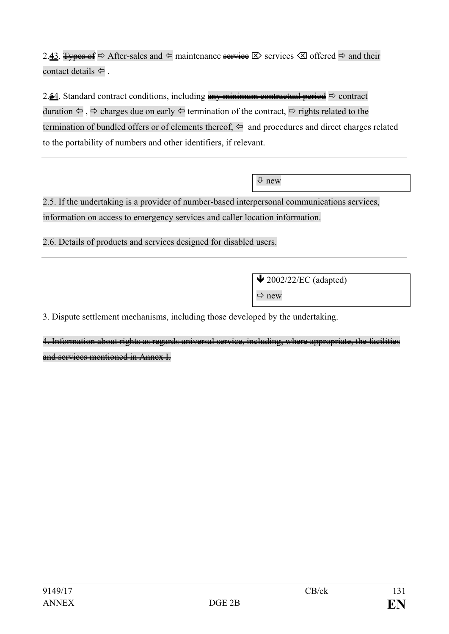2.43. Types of  $\Rightarrow$  After-sales and  $\Leftarrow$  maintenance services  $\otimes$  services  $\otimes$  offered  $\Rightarrow$  and their contact details  $\Leftrightarrow$ .

2.54. Standard contract conditions, including any minimum contractual period  $\Rightarrow$  contract duration  $\Leftrightarrow \Rightarrow$  charges due on early  $\Leftrightarrow$  termination of the contract,  $\Leftrightarrow$  rights related to the termination of bundled offers or of elements thereof,  $\Leftrightarrow$  and procedures and direct charges related to the portability of numbers and other identifiers, if relevant.

new

2.5. If the undertaking is a provider of number-based interpersonal communications services, information on access to emergency services and caller location information.

2.6. Details of products and services designed for disabled users.

 $\bigvee$  2002/22/EC (adapted)

 $Arr$  new

3. Dispute settlement mechanisms, including those developed by the undertaking.

4. Information about rights as regards universal service, including, where appropriate, the facilities and services mentioned in Annex I.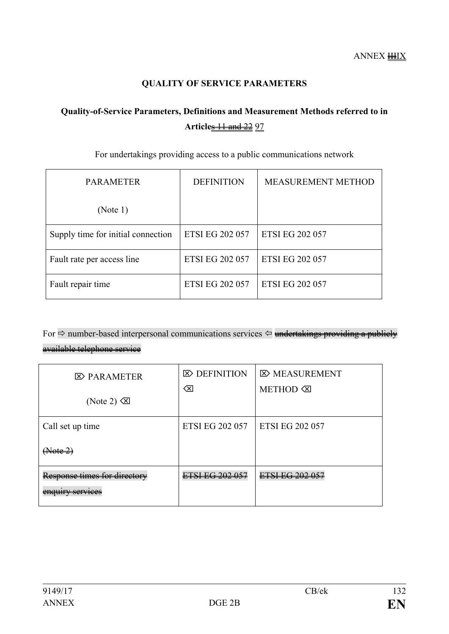### **QUALITY OF SERVICE PARAMETERS**

# **Quality-of-Service Parameters, Definitions and Measurement Methods referred to in**  Article**s** 11 and 22 97

| <b>PARAMETER</b>                   | <b>DEFINITION</b>      | <b>MEASUREMENT METHOD</b> |
|------------------------------------|------------------------|---------------------------|
| (Note 1)                           |                        |                           |
| Supply time for initial connection | ETSI EG 202 057        | <b>ETSI EG 202 057</b>    |
| Fault rate per access line         | <b>ETSI EG 202 057</b> | <b>ETSI EG 202 057</b>    |
| Fault repair time                  | <b>ETSI EG 202 057</b> | ETSI EG 202 057           |

For undertakings providing access to a public communications network

For  $\Rightarrow$  number-based interpersonal communications services  $\Leftrightarrow$  undertakings providing a publicly available telephone service

| <b>E&gt; PARAMETER</b>                                      | <b>E&gt; DEFINITION</b> | <b>E&gt;MEASUREMENT</b> |
|-------------------------------------------------------------|-------------------------|-------------------------|
| (Note 2) $\otimes$                                          | ख़                      | <b>METHOD</b>           |
| Call set up time                                            | <b>ETSI EG 202 057</b>  | <b>ETSI EG 202 057</b>  |
|                                                             |                         |                         |
| Response times for directory<br><del>enquiry services</del> | <u>NI EG 202 057</u>    | ETSI EG 202 057         |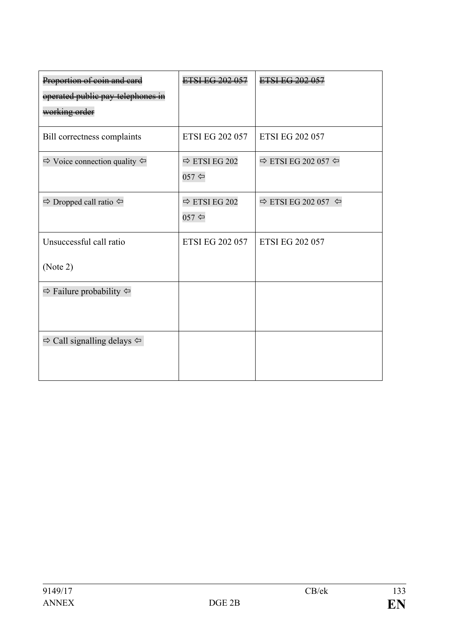| Proportion of coin and card<br>operated public pay telephones in<br>working order | <b>ETSI EG 202 057</b>                             | <b>ETSI EG 202 057</b>                          |
|-----------------------------------------------------------------------------------|----------------------------------------------------|-------------------------------------------------|
| Bill correctness complaints                                                       | <b>ETSI EG 202 057</b>                             | <b>ETSI EG 202 057</b>                          |
| $\Rightarrow$ Voice connection quality $\Leftarrow$                               | $\Rightarrow$ ETSI EG 202<br>057 $\Leftrightarrow$ | $\Rightarrow$ ETSI EG 202 057 $\Leftrightarrow$ |
| $\Rightarrow$ Dropped call ratio $\Leftrightarrow$                                | $\Rightarrow$ ETSI EG 202<br>057 $\Leftrightarrow$ | $\Rightarrow$ ETSI EG 202 057 $\Leftrightarrow$ |
| Unsuccessful call ratio                                                           | <b>ETSI EG 202 057</b>                             | <b>ETSI EG 202 057</b>                          |
| (Note 2)                                                                          |                                                    |                                                 |
| $\Rightarrow$ Failure probability $\Leftrightarrow$                               |                                                    |                                                 |
| $\Rightarrow$ Call signalling delays $\Leftrightarrow$                            |                                                    |                                                 |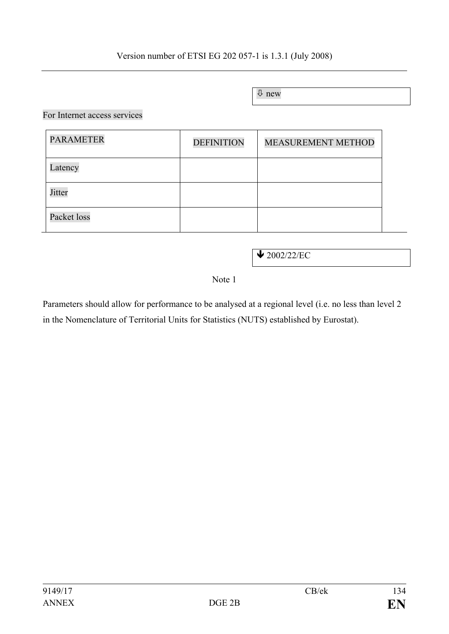# Version number of ETSI EG 202 057-1 is 1.3.1 (July 2008)

new

For Internet access services

| <b>PARAMETER</b> | <b>DEFINITION</b> | <b>MEASUREMENT METHOD</b> |
|------------------|-------------------|---------------------------|
| Latency          |                   |                           |
| Jitter           |                   |                           |
| Packet loss      |                   |                           |

 $\bigvee$  2002/22/EC

#### Note 1

Parameters should allow for performance to be analysed at a regional level (i.e. no less than level 2 in the Nomenclature of Territorial Units for Statistics (NUTS) established by Eurostat).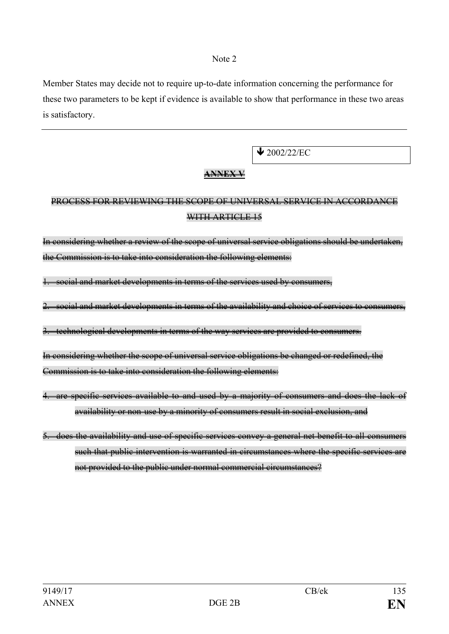#### Note 2

Member States may decide not to require up-to-date information concerning the performance for these two parameters to be kept if evidence is available to show that performance in these two areas is satisfactory.

 $\bigvee$  2002/22/EC

#### **ANNEX V**

# PROCESS FOR REVIEWING THE SCOPE OF UNIVERSAL SERVICE IN ACCORDANCE WITH ARTICLE 15

In considering whether a review of the scope of universal service obligations should be undertaken, the Commission is to take into consideration the following elements:

1. social and market developments in terms of the services used by consumers,

2. social and market developments in terms of the availability and choice of services to consumers,

3. technological developments in terms of the way services are provided to consumers.

In considering whether the scope of universal service obligations be changed or redefined, the Commission is to take into consideration the following elements:

4. are specific services available to and used by a majority of consumers and does the lack of availability or non use by a minority of consumers result in social exclusion, and

5. does the availability and use of specific services convey a general net benefit to all consumers such that public intervention is warranted in circumstances where the specific services are not provided to the public under normal commercial circumstances?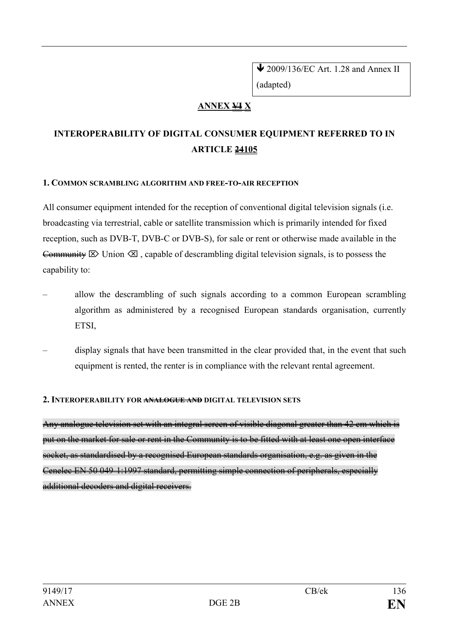↓ 2009/136/EC Art. 1.28 and Annex II (adapted)

# **ANNEX VI X**

# **INTEROPERABILITY OF DIGITAL CONSUMER EQUIPMENT REFERRED TO IN ARTICLE 24105**

#### **1. COMMON SCRAMBLING ALGORITHM AND FREE-TO-AIR RECEPTION**

All consumer equipment intended for the reception of conventional digital television signals (i.e. broadcasting via terrestrial, cable or satellite transmission which is primarily intended for fixed reception, such as DVB-T, DVB-C or DVB-S), for sale or rent or otherwise made available in the Community  $\boxtimes$  Union  $\boxtimes$ , capable of descrambling digital television signals, is to possess the capability to:

- allow the descrambling of such signals according to a common European scrambling algorithm as administered by a recognised European standards organisation, currently ETSI,
- display signals that have been transmitted in the clear provided that, in the event that such equipment is rented, the renter is in compliance with the relevant rental agreement.

#### **2. INTEROPERABILITY FOR ANALOGUE AND DIGITAL TELEVISION SETS**

Any analogue television set with an integral screen of visible diagonal greater than 42 cm which is put on the market for sale or rent in the Community is to be fitted with at least one open interface socket, as standardised by a recognised European standards organisation, e.g. as given in the Cenelec EN 50 049 1:1997 standard, permitting simple connection of peripherals, especially additional decoders and digital receivers.